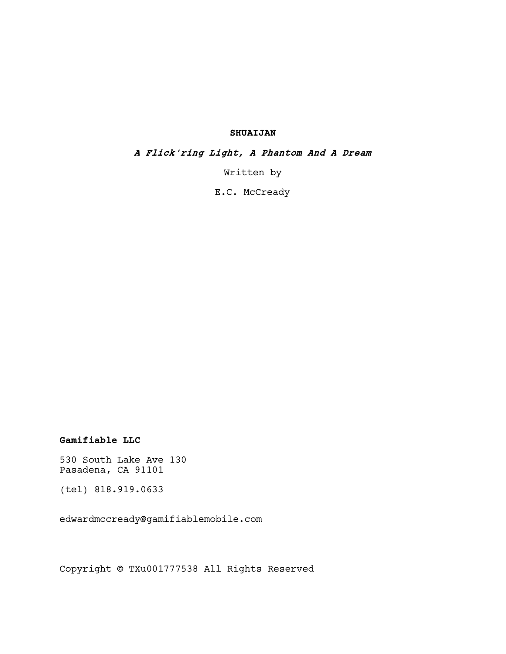# SHUAIJAN

# A Flick'ring Light, A Phantom And A Dream

Written by

E.C. McCready

# Gamifiable LLC

530 South Lake Ave 130 Pasadena, CA 91101

(tel) 818.919.0633

edwardmccready@gamifiablemobile.com

Copyright © TXu001777538 All Rights Reserved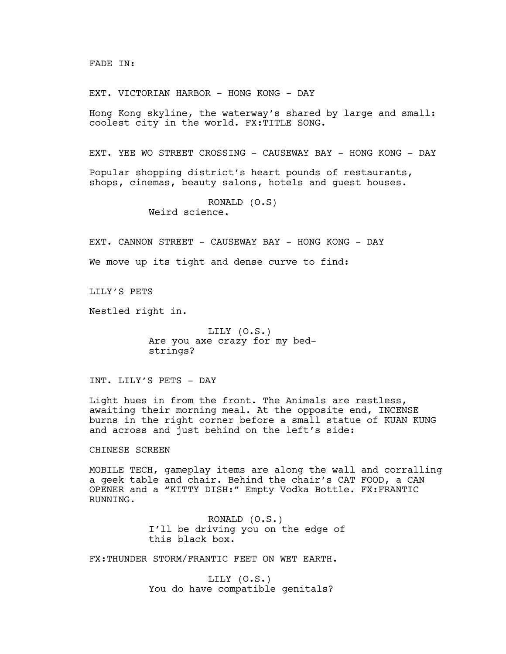FADE IN:

EXT. VICTORIAN HARBOR - HONG KONG - DAY

Hong Kong skyline, the waterway's shared by large and small: coolest city in the world. FX:TITLE SONG.

EXT. YEE WO STREET CROSSING - CAUSEWAY BAY - HONG KONG - DAY

Popular shopping district's heart pounds of restaurants, shops, cinemas, beauty salons, hotels and guest houses.

> RONALD (O.S) Weird science.

EXT. CANNON STREET - CAUSEWAY BAY - HONG KONG - DAY

We move up its tight and dense curve to find:

LILY'S PETS

Nestled right in.

LILY (O.S.) Are you axe crazy for my bedstrings?

INT. LILY'S PETS - DAY

Light hues in from the front. The Animals are restless, awaiting their morning meal. At the opposite end, INCENSE burns in the right corner before a small statue of KUAN KUNG and across and just behind on the left's side:

## CHINESE SCREEN

MOBILE TECH, gameplay items are along the wall and corralling a geek table and chair. Behind the chair's CAT FOOD, a CAN OPENER and a "KITTY DISH:" Empty Vodka Bottle. FX:FRANTIC RUNNING.

> RONALD (O.S.) I'll be driving you on the edge of this black box.

FX:THUNDER STORM/FRANTIC FEET ON WET EARTH.

LILY (O.S.) You do have compatible genitals?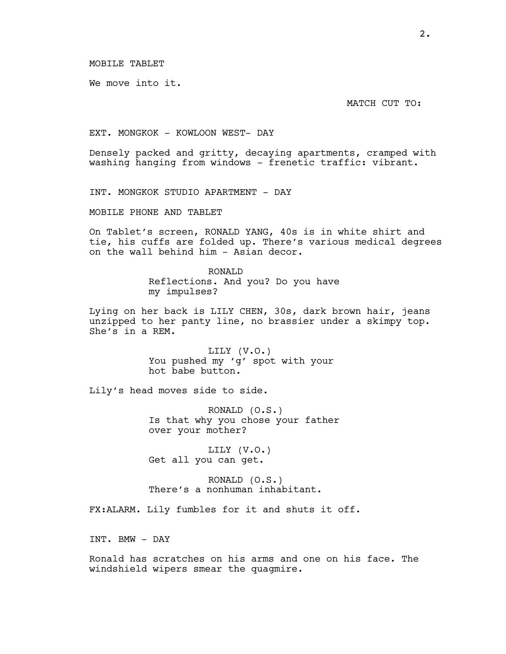### MOBILE TABLET

We move into it.

MATCH CUT TO:

EXT. MONGKOK - KOWLOON WEST- DAY

Densely packed and gritty, decaying apartments, cramped with washing hanging from windows - frenetic traffic: vibrant.

INT. MONGKOK STUDIO APARTMENT - DAY

MOBILE PHONE AND TABLET

On Tablet's screen, RONALD YANG, 40s is in white shirt and tie, his cuffs are folded up. There's various medical degrees on the wall behind him - Asian decor.

> RONALD Reflections. And you? Do you have my impulses?

Lying on her back is LILY CHEN, 30s, dark brown hair, jeans unzipped to her panty line, no brassier under a skimpy top. She's in a REM.

> LILY (V.O.) You pushed my 'g' spot with your hot babe button.

Lily's head moves side to side.

RONALD (O.S.) Is that why you chose your father over your mother?

LILY (V.O.) Get all you can get.

RONALD (O.S.) There's a nonhuman inhabitant.

FX:ALARM. Lily fumbles for it and shuts it off.

INT. BMW - DAY

Ronald has scratches on his arms and one on his face. The windshield wipers smear the quagmire.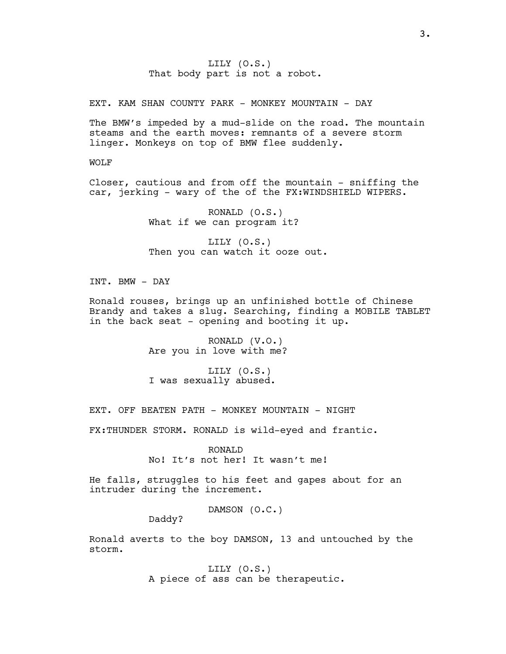LILY (O.S.) That body part is not a robot.

EXT. KAM SHAN COUNTY PARK - MONKEY MOUNTAIN - DAY

The BMW's impeded by a mud-slide on the road. The mountain steams and the earth moves: remnants of a severe storm linger. Monkeys on top of BMW flee suddenly.

WOLF

Closer, cautious and from off the mountain - sniffing the car, jerking - wary of the of the FX:WINDSHIELD WIPERS.

> RONALD (O.S.) What if we can program it?

LILY (O.S.) Then you can watch it ooze out.

INT. BMW - DAY

Ronald rouses, brings up an unfinished bottle of Chinese Brandy and takes a slug. Searching, finding a MOBILE TABLET in the back seat - opening and booting it up.

> RONALD (V.O.) Are you in love with me?

LILY (O.S.) I was sexually abused.

EXT. OFF BEATEN PATH - MONKEY MOUNTAIN - NIGHT

FX:THUNDER STORM. RONALD is wild-eyed and frantic.

RONAT<sub>D</sub> No! It's not her! It wasn't me!

He falls, struggles to his feet and gapes about for an intruder during the increment.

DAMSON (O.C.)

Daddy?

Ronald averts to the boy DAMSON, 13 and untouched by the storm.

> LILY (O.S.) A piece of ass can be therapeutic.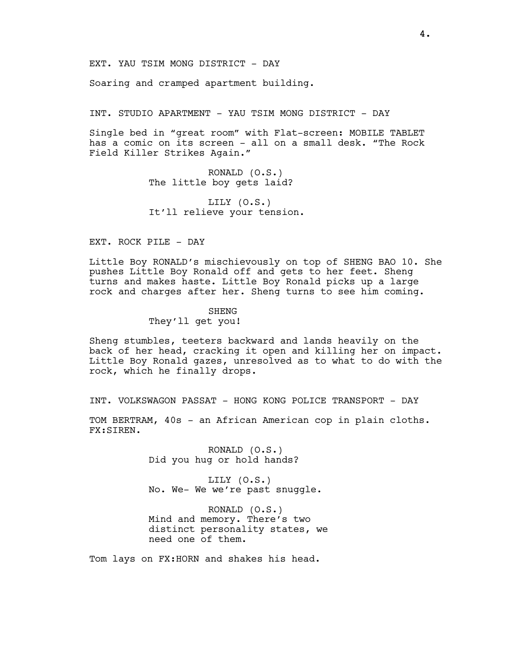EXT. YAU TSIM MONG DISTRICT - DAY

Soaring and cramped apartment building.

INT. STUDIO APARTMENT - YAU TSIM MONG DISTRICT - DAY

Single bed in "great room" with Flat-screen: MOBILE TABLET has a comic on its screen - all on a small desk. "The Rock Field Killer Strikes Again."

> RONALD (O.S.) The little boy gets laid?

LILY (O.S.) It'll relieve your tension.

EXT. ROCK PILE - DAY

Little Boy RONALD's mischievously on top of SHENG BAO 10. She pushes Little Boy Ronald off and gets to her feet. Sheng turns and makes haste. Little Boy Ronald picks up a large rock and charges after her. Sheng turns to see him coming.

### SHENG

They'll get you!

Sheng stumbles, teeters backward and lands heavily on the back of her head, cracking it open and killing her on impact. Little Boy Ronald gazes, unresolved as to what to do with the rock, which he finally drops.

INT. VOLKSWAGON PASSAT - HONG KONG POLICE TRANSPORT - DAY

TOM BERTRAM, 40s - an African American cop in plain cloths. FX:SIREN.

> RONALD (O.S.) Did you hug or hold hands?

LILY (O.S.) No. We- We we're past snuggle.

RONALD (O.S.) Mind and memory. There's two distinct personality states, we need one of them.

Tom lays on FX:HORN and shakes his head.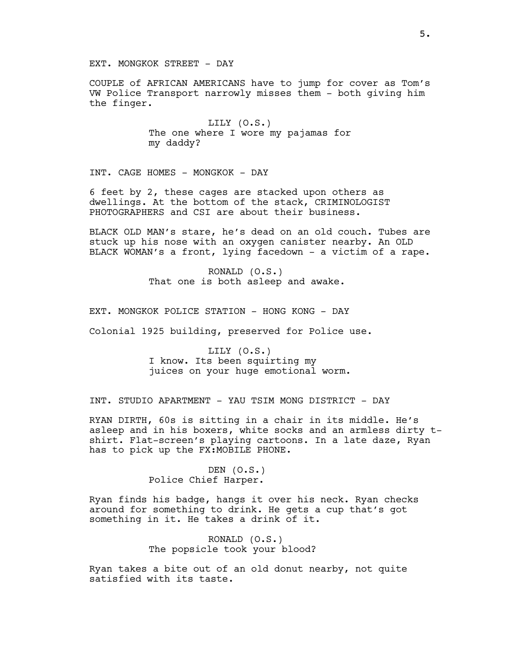### EXT. MONGKOK STREET - DAY

COUPLE of AFRICAN AMERICANS have to jump for cover as Tom's VW Police Transport narrowly misses them - both giving him the finger.

> LILY (O.S.) The one where I wore my pajamas for my daddy?

INT. CAGE HOMES - MONGKOK - DAY

6 feet by 2, these cages are stacked upon others as dwellings. At the bottom of the stack, CRIMINOLOGIST PHOTOGRAPHERS and CSI are about their business.

BLACK OLD MAN's stare, he's dead on an old couch. Tubes are stuck up his nose with an oxygen canister nearby. An OLD BLACK WOMAN's a front, lying facedown - a victim of a rape.

> RONALD (O.S.) That one is both asleep and awake.

EXT. MONGKOK POLICE STATION - HONG KONG - DAY

Colonial 1925 building, preserved for Police use.

LILY (O.S.) I know. Its been squirting my juices on your huge emotional worm.

INT. STUDIO APARTMENT - YAU TSIM MONG DISTRICT - DAY

RYAN DIRTH, 60s is sitting in a chair in its middle. He's asleep and in his boxers, white socks and an armless dirty tshirt. Flat-screen's playing cartoons. In a late daze, Ryan has to pick up the FX:MOBILE PHONE.

> DEN (O.S.) Police Chief Harper.

Ryan finds his badge, hangs it over his neck. Ryan checks around for something to drink. He gets a cup that's got something in it. He takes a drink of it.

> RONALD (O.S.) The popsicle took your blood?

Ryan takes a bite out of an old donut nearby, not quite satisfied with its taste.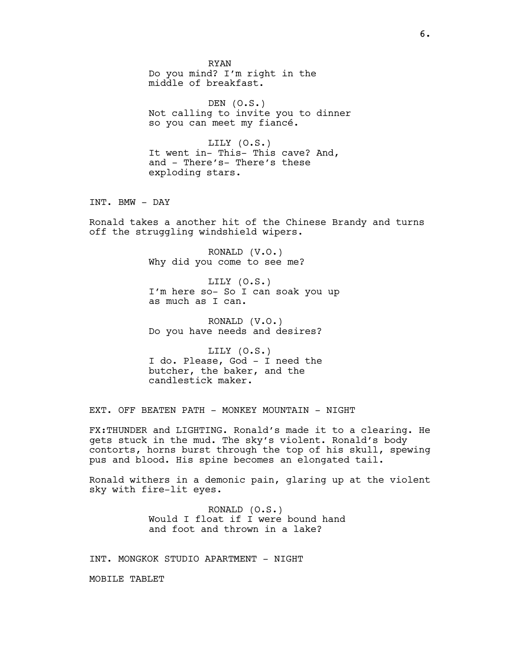RYAN Do you mind? I'm right in the middle of breakfast.

DEN (O.S.) Not calling to invite you to dinner so you can meet my fiancé.

LILY (O.S.) It went in- This- This cave? And, and - There's- There's these exploding stars.

INT. BMW - DAY

Ronald takes a another hit of the Chinese Brandy and turns off the struggling windshield wipers.

> RONALD (V.O.) Why did you come to see me?

LILY (O.S.) I'm here so- So I can soak you up as much as I can.

RONALD (V.O.) Do you have needs and desires?

LILY (O.S.) I do. Please, God - I need the butcher, the baker, and the candlestick maker.

EXT. OFF BEATEN PATH - MONKEY MOUNTAIN - NIGHT

FX:THUNDER and LIGHTING. Ronald's made it to a clearing. He gets stuck in the mud. The sky's violent. Ronald's body contorts, horns burst through the top of his skull, spewing pus and blood. His spine becomes an elongated tail.

Ronald withers in a demonic pain, glaring up at the violent sky with fire-lit eyes.

> RONALD (O.S.) Would I float if  $I$  were bound hand and foot and thrown in a lake?

INT. MONGKOK STUDIO APARTMENT - NIGHT

MOBILE TABLET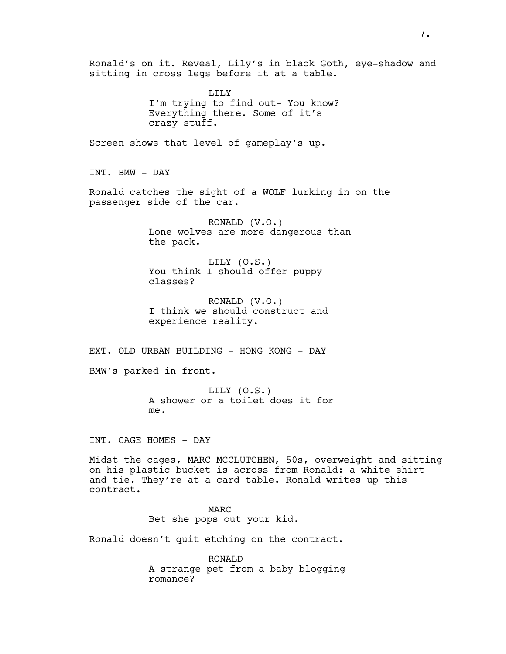Ronald's on it. Reveal, Lily's in black Goth, eye-shadow and sitting in cross legs before it at a table. LILY I'm trying to find out- You know? Everything there. Some of it's crazy stuff. Screen shows that level of gameplay's up. INT. BMW - DAY Ronald catches the sight of a WOLF lurking in on the passenger side of the car. RONALD (V.O.) Lone wolves are more dangerous than the pack. LILY (O.S.) You think I should offer puppy classes? RONALD (V.O.) I think we should construct and experience reality. EXT. OLD URBAN BUILDING - HONG KONG - DAY BMW's parked in front. LILY (O.S.) A shower or a toilet does it for me. INT. CAGE HOMES - DAY Midst the cages, MARC MCCLUTCHEN, 50s, overweight and sitting on his plastic bucket is across from Ronald: a white shirt and tie. They're at a card table. Ronald writes up this contract. MARC Bet she pops out your kid.

Ronald doesn't quit etching on the contract.

RONALD A strange pet from a baby blogging romance?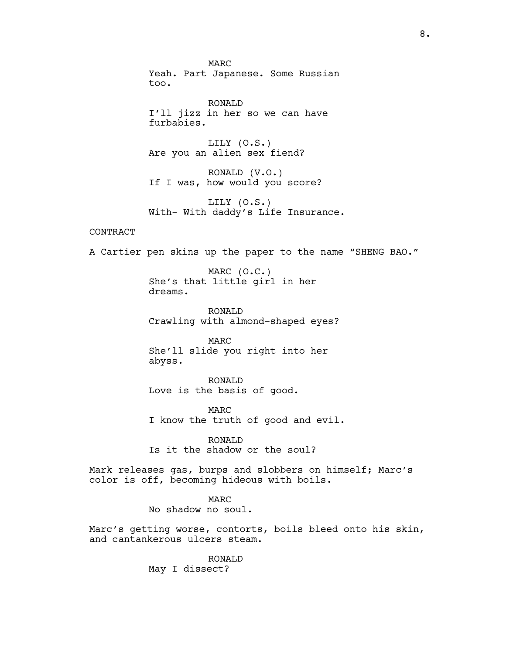MARC Yeah. Part Japanese. Some Russian too.

RONALD I'll jizz in her so we can have furbabies.

LILY (O.S.) Are you an alien sex fiend?

RONALD (V.O.) If I was, how would you score?

LILY (O.S.) With- With daddy's Life Insurance.

# CONTRACT

A Cartier pen skins up the paper to the name "SHENG BAO."

MARC (O.C.) She's that little girl in her dreams.

RONALD Crawling with almond-shaped eyes?

MARC She'll slide you right into her abyss.

RONALD Love is the basis of good.

MARC I know the truth of good and evil.

RONALD Is it the shadow or the soul?

Mark releases gas, burps and slobbers on himself; Marc's color is off, becoming hideous with boils.

### MARC

No shadow no soul.

Marc's getting worse, contorts, boils bleed onto his skin, and cantankerous ulcers steam.

> RONALD May I dissect?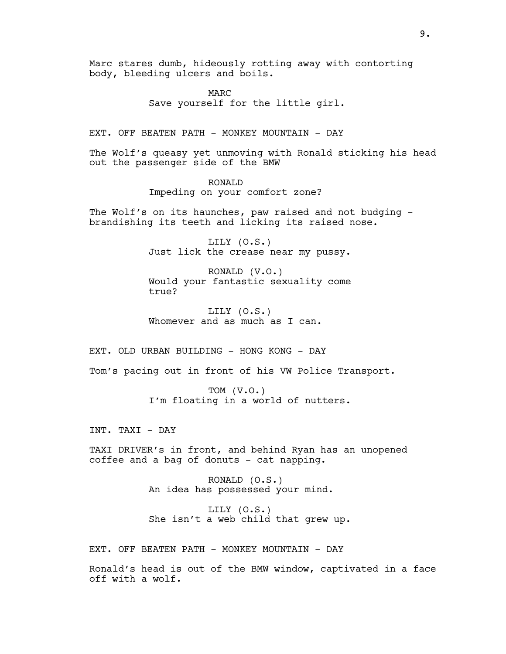Marc stares dumb, hideously rotting away with contorting body, bleeding ulcers and boils.

> MARC Save yourself for the little girl.

EXT. OFF BEATEN PATH - MONKEY MOUNTAIN - DAY

The Wolf's queasy yet unmoving with Ronald sticking his head out the passenger side of the BMW

> RONALD Impeding on your comfort zone?

The Wolf's on its haunches, paw raised and not budging brandishing its teeth and licking its raised nose.

> LILY (O.S.) Just lick the crease near my pussy.

> RONALD (V.O.) Would your fantastic sexuality come true?

LILY (O.S.) Whomever and as much as I can.

EXT. OLD URBAN BUILDING - HONG KONG - DAY

Tom's pacing out in front of his VW Police Transport.

TOM (V.O.) I'm floating in a world of nutters.

INT. TAXI - DAY

TAXI DRIVER's in front, and behind Ryan has an unopened  $cofree$  and a bag of donuts  $-$  cat napping.

> RONALD (O.S.) An idea has possessed your mind.

LILY (O.S.) She isn't a web child that grew up.

EXT. OFF BEATEN PATH - MONKEY MOUNTAIN - DAY

Ronald's head is out of the BMW window, captivated in a face off with a wolf.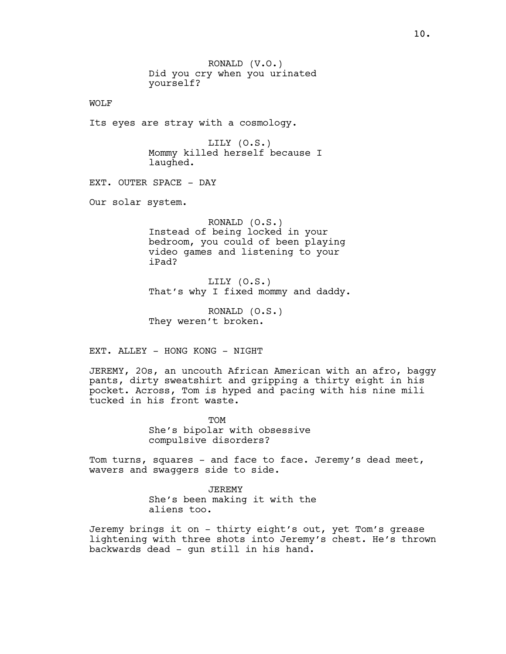RONALD (V.O.) Did you cry when you urinated yourself?

WOLF

Its eyes are stray with a cosmology.

LILY (O.S.) Mommy killed herself because I laughed.

EXT. OUTER SPACE - DAY

Our solar system.

RONALD (O.S.) Instead of being locked in your bedroom, you could of been playing video games and listening to your iPad?

LILY (O.S.) That's why I fixed mommy and daddy.

RONALD (O.S.) They weren't broken.

EXT. ALLEY - HONG KONG - NIGHT

JEREMY, 2Os, an uncouth African American with an afro, baggy pants, dirty sweatshirt and gripping a thirty eight in his pocket. Across, Tom is hyped and pacing with his nine mili tucked in his front waste.

> TOM She's bipolar with obsessive compulsive disorders?

Tom turns, squares - and face to face. Jeremy's dead meet, wavers and swaggers side to side.

> JEREMY She's been making it with the aliens too.

Jeremy brings it on - thirty eight's out, yet Tom's grease lightening with three shots into Jeremy's chest. He's thrown backwards dead - gun still in his hand.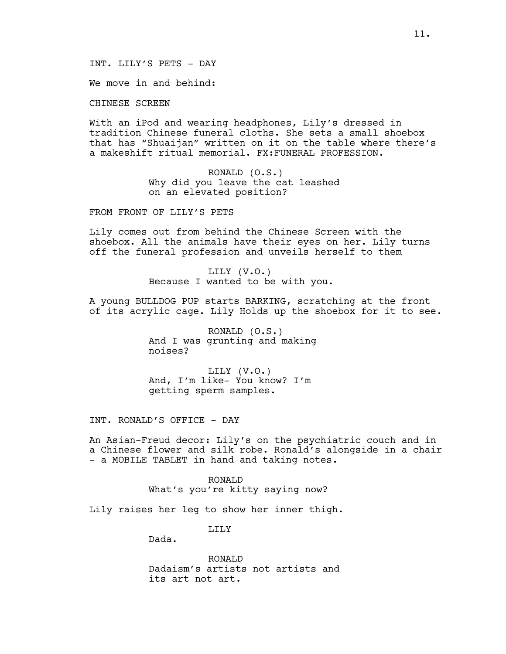INT. LILY'S PETS - DAY

We move in and behind:

CHINESE SCREEN

With an iPod and wearing headphones, Lily's dressed in tradition Chinese funeral cloths. She sets a small shoebox that has "Shuaijan" written on it on the table where there's a makeshift ritual memorial. FX:FUNERAL PROFESSION.

> RONALD (O.S.) Why did you leave the cat leashed on an elevated position?

FROM FRONT OF LILY'S PETS

Lily comes out from behind the Chinese Screen with the shoebox. All the animals have their eyes on her. Lily turns off the funeral profession and unveils herself to them

> LILY (V.O.) Because I wanted to be with you.

A young BULLDOG PUP starts BARKING, scratching at the front of its acrylic cage. Lily Holds up the shoebox for it to see.

> RONALD (O.S.) And I was grunting and making noises?

LILY (V.O.) And, I'm like- You know? I'm getting sperm samples.

INT. RONALD'S OFFICE - DAY

An Asian-Freud decor: Lily's on the psychiatric couch and in a Chinese flower and silk robe. Ronald's alongside in a chair - a MOBILE TABLET in hand and taking notes.

> RONALD What's you're kitty saying now?

Lily raises her leg to show her inner thigh.

LILY

Dada.

RONALD Dadaism's artists not artists and its art not art.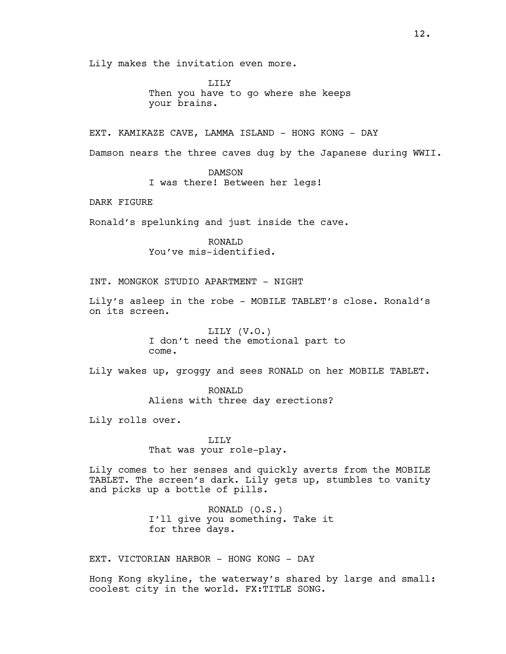Lily makes the invitation even more.

LILY Then you have to go where she keeps your brains.

EXT. KAMIKAZE CAVE, LAMMA ISLAND - HONG KONG - DAY

Damson nears the three caves dug by the Japanese during WWII.

DAMSON

I was there! Between her legs!

DARK FIGURE

Ronald's spelunking and just inside the cave.

RONALD You've mis-identified.

INT. MONGKOK STUDIO APARTMENT - NIGHT

Lily's asleep in the robe - MOBILE TABLET's close. Ronald's on its screen.

> LILY (V.O.) I don't need the emotional part to come.

Lily wakes up, groggy and sees RONALD on her MOBILE TABLET.

RONALD Aliens with three day erections?

Lily rolls over.

LILY That was your role-play.

Lily comes to her senses and quickly averts from the MOBILE TABLET. The screen's dark. Lily gets up, stumbles to vanity and picks up a bottle of pills.

> RONALD (O.S.) I'll give you something. Take it for three days.

EXT. VICTORIAN HARBOR - HONG KONG - DAY

Hong Kong skyline, the waterway's shared by large and small: coolest city in the world. FX:TITLE SONG.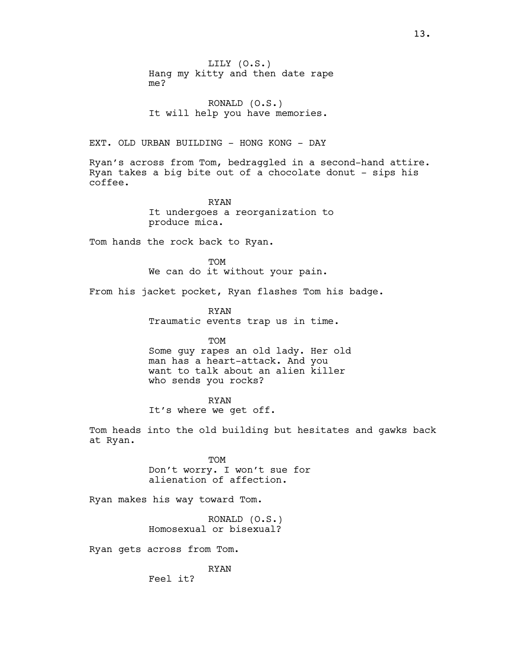LILY (O.S.) Hang my kitty and then date rape me?

RONALD (O.S.) It will help you have memories.

EXT. OLD URBAN BUILDING - HONG KONG - DAY

Ryan's across from Tom, bedraggled in a second-hand attire. Ryan takes a big bite out of a chocolate donut - sips his coffee.

> RYAN It undergoes a reorganization to produce mica.

Tom hands the rock back to Ryan.

**TOM** We can do it without your pain.

From his jacket pocket, Ryan flashes Tom his badge.

RYAN Traumatic events trap us in time.

TOM

Some guy rapes an old lady. Her old man has a heart-attack. And you want to talk about an alien killer who sends you rocks?

RYAN It's where we get off.

Tom heads into the old building but hesitates and gawks back at Ryan.

> TOM Don't worry. I won't sue for alienation of affection.

Ryan makes his way toward Tom.

RONALD (O.S.) Homosexual or bisexual?

Ryan gets across from Tom.

RYAN

Feel it?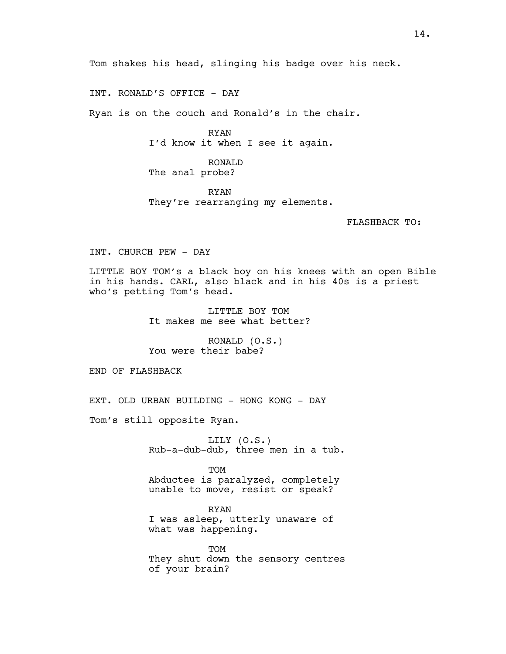Tom shakes his head, slinging his badge over his neck.

INT. RONALD'S OFFICE - DAY

Ryan is on the couch and Ronald's in the chair.

RYAN I'd know it when I see it again.

RONALD The anal probe?

RYAN They're rearranging my elements.

FLASHBACK TO:

INT. CHURCH PEW - DAY

LITTLE BOY TOM's a black boy on his knees with an open Bible in his hands. CARL, also black and in his 40s is a priest who's petting Tom's head.

> LITTLE BOY TOM It makes me see what better?

RONALD (O.S.) You were their babe?

END OF FLASHBACK

EXT. OLD URBAN BUILDING - HONG KONG - DAY

Tom's still opposite Ryan.

LILY (O.S.) Rub-a-dub-dub, three men in a tub.

**TOM** Abductee is paralyzed, completely unable to move, resist or speak?

RYAN I was asleep, utterly unaware of what was happening.

TOM They shut down the sensory centres of your brain?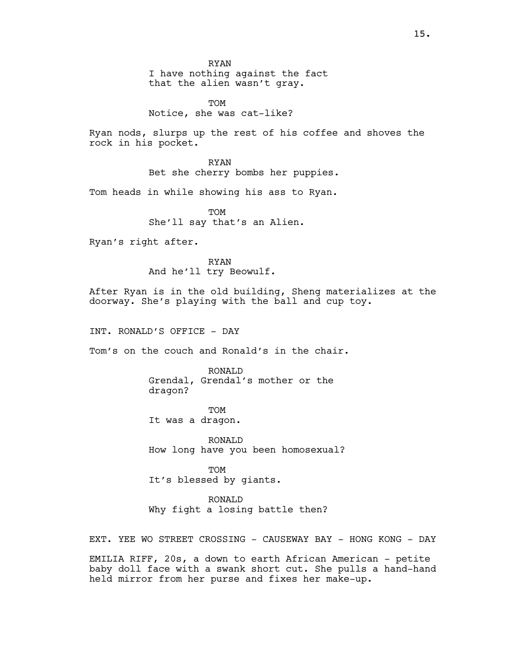RYAN

I have nothing against the fact that the alien wasn't gray.

**TOM** Notice, she was cat-like?

Ryan nods, slurps up the rest of his coffee and shoves the rock in his pocket.

> RYAN Bet she cherry bombs her puppies.

Tom heads in while showing his ass to Ryan.

**TOM** She'll say that's an Alien.

Ryan's right after.

RYAN And he'll try Beowulf.

After Ryan is in the old building, Sheng materializes at the doorway. She's playing with the ball and cup toy.

INT. RONALD'S OFFICE - DAY

Tom's on the couch and Ronald's in the chair.

RONAT<sub>D</sub> Grendal, Grendal's mother or the dragon?

TOM It was a dragon.

RONALD How long have you been homosexual?

**TOM** It's blessed by giants.

RONALD Why fight a losing battle then?

EXT. YEE WO STREET CROSSING - CAUSEWAY BAY - HONG KONG - DAY

EMILIA RIFF, 20s, a down to earth African American - petite baby doll face with a swank short cut. She pulls a hand-hand held mirror from her purse and fixes her make-up.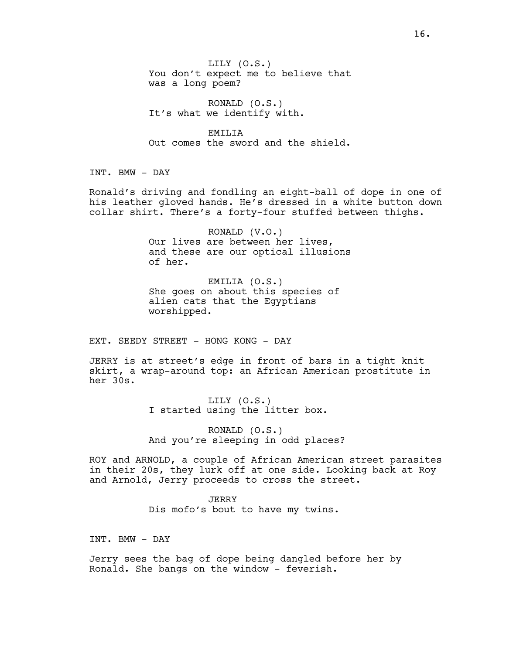LILY (O.S.) You don't expect me to believe that was a long poem?

RONALD (O.S.) It's what we identify with.

EMILIA Out comes the sword and the shield.

INT. BMW - DAY

Ronald's driving and fondling an eight-ball of dope in one of his leather gloved hands. He's dressed in a white button down collar shirt. There's a forty-four stuffed between thighs.

> RONALD (V.O.) Our lives are between her lives, and these are our optical illusions of her.

EMILIA (O.S.) She goes on about this species of alien cats that the Egyptians worshipped.

EXT. SEEDY STREET - HONG KONG - DAY

JERRY is at street's edge in front of bars in a tight knit skirt, a wrap-around top: an African American prostitute in her 30s.

> LILY (O.S.) I started using the litter box.

RONALD (O.S.) And you're sleeping in odd places?

ROY and ARNOLD, a couple of African American street parasites in their 20s, they lurk off at one side. Looking back at Roy and Arnold, Jerry proceeds to cross the street.

> JERRY Dis mofo's bout to have my twins.

INT. BMW - DAY

Jerry sees the bag of dope being dangled before her by Ronald. She bangs on the window - feverish.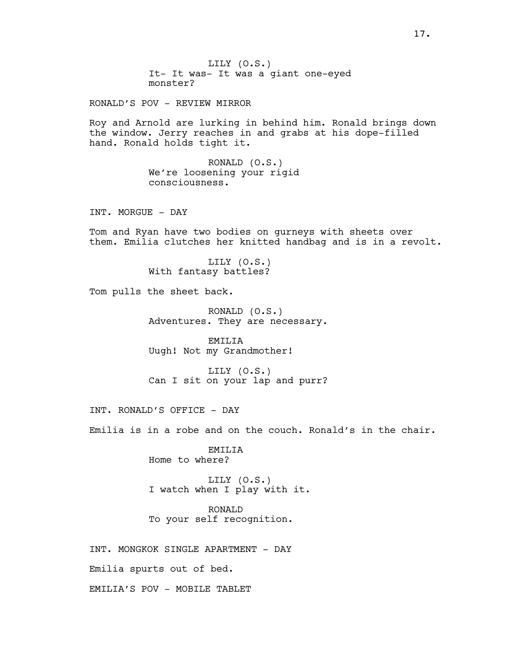LILY (O.S.) It- It was- It was a giant one-eyed monster?

RONALD'S POV - REVIEW MIRROR

Roy and Arnold are lurking in behind him. Ronald brings down the window. Jerry reaches in and grabs at his dope-filled hand. Ronald holds tight it.

> RONALD (O.S.) We're loosening your rigid consciousness.

INT. MORGUE - DAY

Tom and Ryan have two bodies on gurneys with sheets over them. Emilia clutches her knitted handbag and is in a revolt.

> LILY (O.S.) With fantasy battles?

Tom pulls the sheet back.

RONALD (O.S.) Adventures. They are necessary.

EMILIA Uugh! Not my Grandmother!

LILY (O.S.) Can I sit on your lap and purr?

INT. RONALD'S OFFICE - DAY

Emilia is in a robe and on the couch. Ronald's in the chair.

EMILIA Home to where?

LILY (O.S.) I watch when I play with it.

RONALD To your self recognition.

INT. MONGKOK SINGLE APARTMENT - DAY Emilia spurts out of bed. EMILIA'S POV - MOBILE TABLET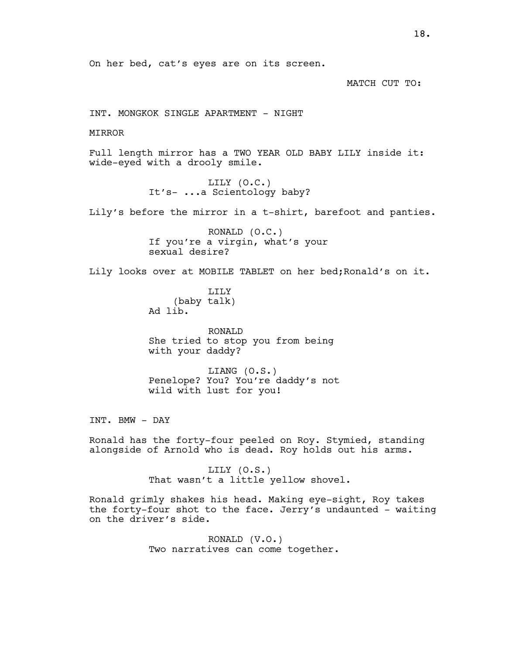MATCH CUT TO:

INT. MONGKOK SINGLE APARTMENT - NIGHT

MIRROR

Full length mirror has a TWO YEAR OLD BABY LILY inside it: wide-eyed with a drooly smile.

> LILY (O.C.) It's- ...a Scientology baby?

Lily's before the mirror in a t-shirt, barefoot and panties.

RONALD (O.C.) If you're a virgin, what's your sexual desire?

Lily looks over at MOBILE TABLET on her bed;Ronald's on it.

LILY (baby talk) Ad lib.

RONALD She tried to stop you from being with your daddy?

LIANG (O.S.) Penelope? You? You're daddy's not wild with lust for you!

INT. BMW - DAY

Ronald has the forty-four peeled on Roy. Stymied, standing alongside of Arnold who is dead. Roy holds out his arms.

> LILY (O.S.) That wasn't a little yellow shovel.

Ronald grimly shakes his head. Making eye-sight, Roy takes the forty-four shot to the face. Jerry's undaunted - waiting on the driver's side.

> RONALD (V.O.) Two narratives can come together.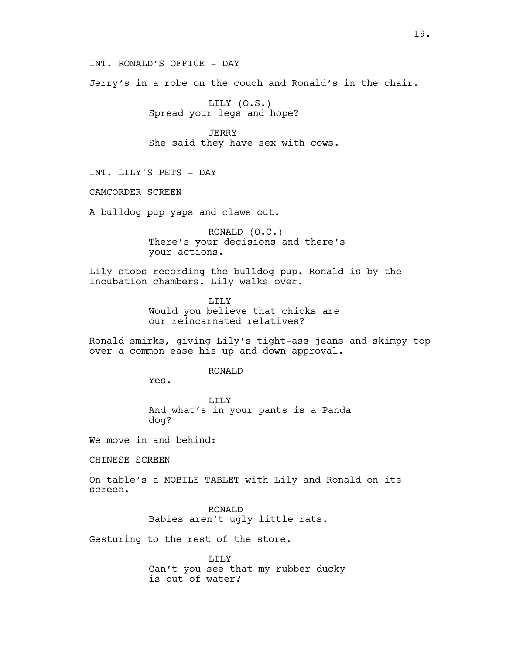INT. RONALD'S OFFICE - DAY

Jerry's in a robe on the couch and Ronald's in the chair.

LILY (O.S.) Spread your legs and hope?

JERRY She said they have sex with cows.

INT. LILY'S PETS - DAY

CAMCORDER SCREEN

A bulldog pup yaps and claws out.

RONALD (O.C.) There's your decisions and there's your actions.

Lily stops recording the bulldog pup. Ronald is by the incubation chambers. Lily walks over.

> LILY Would you believe that chicks are our reincarnated relatives?

Ronald smirks, giving Lily's tight-ass jeans and skimpy top over a common ease his up and down approval.

### RONALD

Yes.

LILY And what's in your pants is a Panda dog?

We move in and behind:

CHINESE SCREEN

On table's a MOBILE TABLET with Lily and Ronald on its screen.

> RONALD Babies aren't ugly little rats.

Gesturing to the rest of the store.

LILY Can't you see that my rubber ducky is out of water?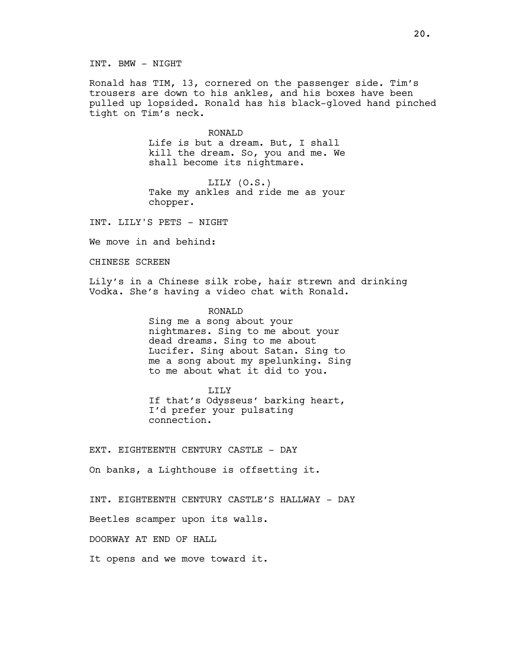INT. BMW - NIGHT

Ronald has TIM, 13, cornered on the passenger side. Tim's trousers are down to his ankles, and his boxes have been pulled up lopsided. Ronald has his black-gloved hand pinched tight on Tim's neck.

> RONALD Life is but a dream. But, I shall kill the dream. So, you and me. We shall become its nightmare.

> LILY (O.S.) Take my ankles and ride me as your chopper.

INT. LILY'S PETS - NIGHT

We move in and behind:

CHINESE SCREEN

Lily's in a Chinese silk robe, hair strewn and drinking Vodka. She's having a video chat with Ronald.

> RONALD Sing me a song about your nightmares. Sing to me about your dead dreams. Sing to me about Lucifer. Sing about Satan. Sing to me a song about my spelunking. Sing to me about what it did to you.

T.TT.Y If that's Odysseus' barking heart, I'd prefer your pulsating connection.

EXT. EIGHTEENTH CENTURY CASTLE - DAY

On banks, a Lighthouse is offsetting it.

INT. EIGHTEENTH CENTURY CASTLE'S HALLWAY - DAY

Beetles scamper upon its walls.

DOORWAY AT END OF HALL

It opens and we move toward it.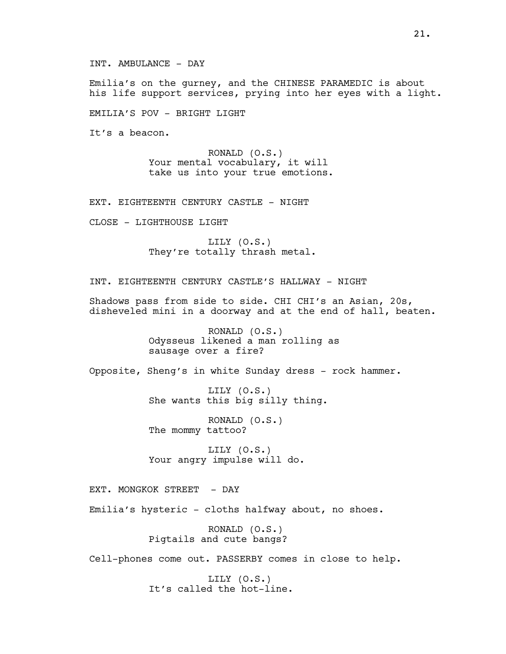Emilia's on the gurney, and the CHINESE PARAMEDIC is about his life support services, prying into her eyes with a light.

EMILIA'S POV - BRIGHT LIGHT

It's a beacon.

RONALD (O.S.) Your mental vocabulary, it will take us into your true emotions.

EXT. EIGHTEENTH CENTURY CASTLE - NIGHT

CLOSE - LIGHTHOUSE LIGHT

LILY (O.S.) They're totally thrash metal.

INT. EIGHTEENTH CENTURY CASTLE'S HALLWAY - NIGHT

Shadows pass from side to side. CHI CHI's an Asian, 20s, disheveled mini in a doorway and at the end of hall, beaten.

> RONALD (O.S.) Odysseus likened a man rolling as sausage over a fire?

Opposite, Sheng's in white Sunday dress - rock hammer.

LILY (O.S.) She wants this big silly thing.

RONALD (O.S.) The mommy tattoo?

LILY (O.S.) Your angry impulse will do.

EXT. MONGKOK STREET - DAY

Emilia's hysteric - cloths halfway about, no shoes.

RONALD (O.S.) Pigtails and cute bangs?

Cell-phones come out. PASSERBY comes in close to help.

LILY (O.S.) It's called the hot-line.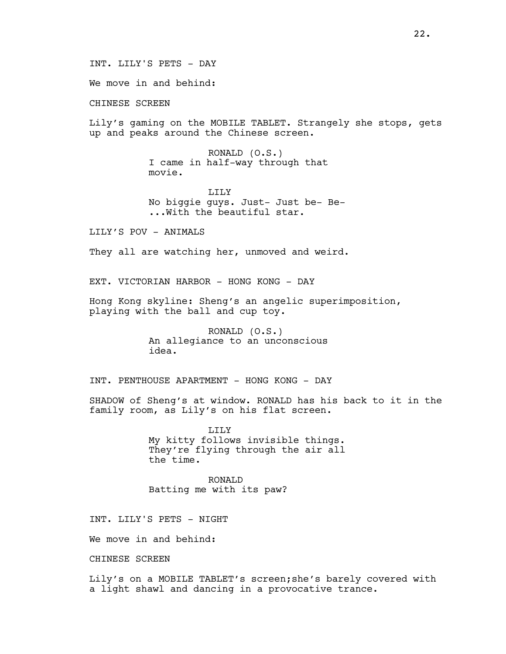INT. LILY'S PETS - DAY

We move in and behind:

CHINESE SCREEN

Lily's gaming on the MOBILE TABLET. Strangely she stops, gets up and peaks around the Chinese screen.

> RONALD (O.S.) I came in half-way through that movie.

LILY No biggie guys. Just- Just be- Be- ...With the beautiful star.

LILY'S POV - ANIMALS

They all are watching her, unmoved and weird.

EXT. VICTORIAN HARBOR - HONG KONG - DAY

Hong Kong skyline: Sheng's an angelic superimposition, playing with the ball and cup toy.

> RONALD (O.S.) An allegiance to an unconscious idea.

INT. PENTHOUSE APARTMENT - HONG KONG - DAY

SHADOW of Sheng's at window. RONALD has his back to it in the family room, as Lily's on his flat screen.

> LILY My kitty follows invisible things. They're flying through the air all the time.

RONALD Batting me with its paw?

INT. LILY'S PETS - NIGHT

We move in and behind:

CHINESE SCREEN

Lily's on a MOBILE TABLET's screen;she's barely covered with a light shawl and dancing in a provocative trance.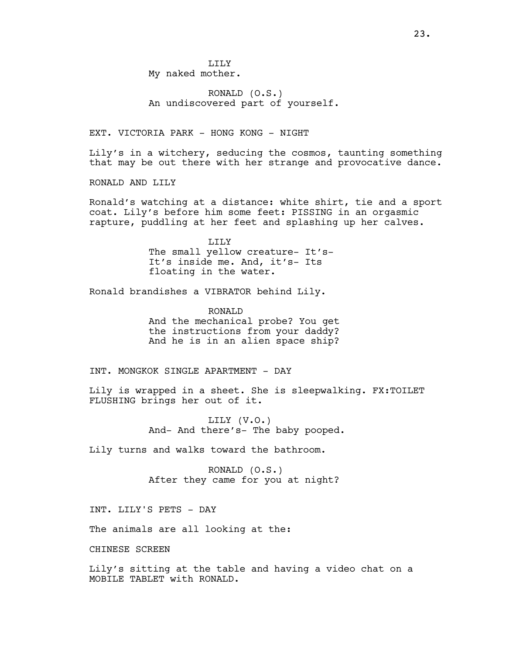LILY My naked mother.

RONALD (O.S.) An undiscovered part of yourself.

EXT. VICTORIA PARK - HONG KONG - NIGHT

Lily's in a witchery, seducing the cosmos, taunting something that may be out there with her strange and provocative dance.

RONALD AND LILY

Ronald's watching at a distance: white shirt, tie and a sport coat. Lily's before him some feet: PISSING in an orgasmic rapture, puddling at her feet and splashing up her calves.

> LILY The small yellow creature- It's-It's inside me. And, it's- Its floating in the water.

Ronald brandishes a VIBRATOR behind Lily.

RONALD And the mechanical probe? You get the instructions from your daddy? And he is in an alien space ship?

INT. MONGKOK SINGLE APARTMENT - DAY

Lily is wrapped in a sheet. She is sleepwalking. FX:TOILET FLUSHING brings her out of it.

> LILY (V.O.) And- And there's- The baby pooped.

Lily turns and walks toward the bathroom.

RONALD (O.S.) After they came for you at night?

INT. LILY'S PETS - DAY

The animals are all looking at the:

CHINESE SCREEN

Lily's sitting at the table and having a video chat on a MOBILE TABLET with RONALD.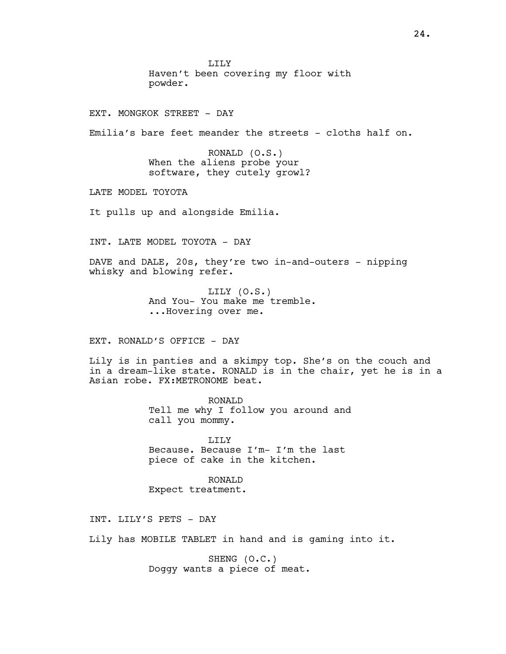LILY Haven't been covering my floor with powder.

EXT. MONGKOK STREET - DAY

Emilia's bare feet meander the streets - cloths half on.

RONALD (O.S.) When the aliens probe your software, they cutely growl?

LATE MODEL TOYOTA

It pulls up and alongside Emilia.

INT. LATE MODEL TOYOTA - DAY

DAVE and DALE, 20s, they're two in-and-outers - nipping whisky and blowing refer.

> LILY (O.S.) And You- You make me tremble. ...Hovering over me.

EXT. RONALD'S OFFICE - DAY

Lily is in panties and a skimpy top. She's on the couch and in a dream-like state. RONALD is in the chair, yet he is in a Asian robe. FX:METRONOME beat.

> RONALD Tell me why I follow you around and call you mommy.

LILY Because. Because I'm- I'm the last piece of cake in the kitchen.

RONALD Expect treatment.

INT. LILY'S PETS - DAY

Lily has MOBILE TABLET in hand and is gaming into it.

SHENG (O.C.) Doggy wants a piece of meat.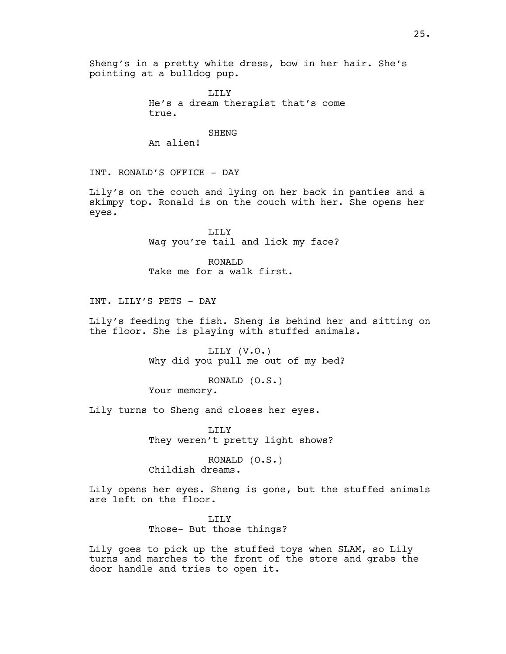Sheng's in a pretty white dress, bow in her hair. She's pointing at a bulldog pup.

> LILY He's a dream therapist that's come true.

SHENG An alien!

INT. RONALD'S OFFICE - DAY

Lily's on the couch and lying on her back in panties and a skimpy top. Ronald is on the couch with her. She opens her eyes.

> T.TT.Y Wag you're tail and lick my face?

RONALD Take me for a walk first.

INT. LILY'S PETS - DAY

Lily's feeding the fish. Sheng is behind her and sitting on the floor. She is playing with stuffed animals.

> LILY (V.O.) Why did you pull me out of my bed?

RONALD (O.S.) Your memory.

Lily turns to Sheng and closes her eyes.

T.TT.Y They weren't pretty light shows?

RONALD (O.S.) Childish dreams.

Lily opens her eyes. Sheng is gone, but the stuffed animals are left on the floor.

> LILY Those- But those things?

Lily goes to pick up the stuffed toys when SLAM, so Lily turns and marches to the front of the store and grabs the door handle and tries to open it.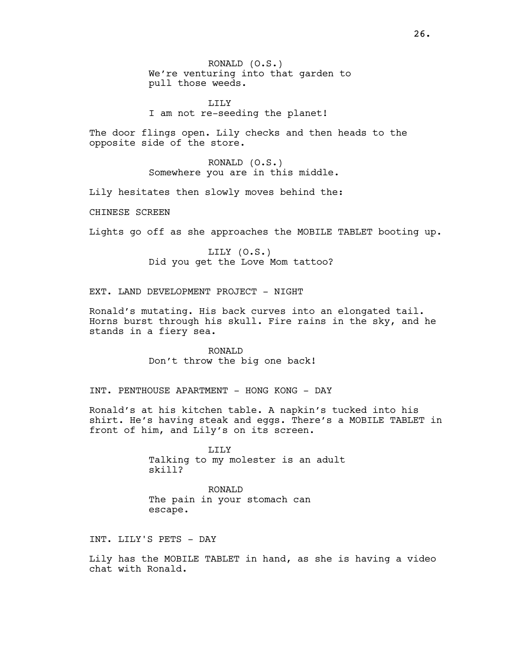RONALD (O.S.) We're venturing into that garden to pull those weeds.

LILY I am not re-seeding the planet!

The door flings open. Lily checks and then heads to the opposite side of the store.

> RONALD (O.S.) Somewhere you are in this middle.

Lily hesitates then slowly moves behind the:

CHINESE SCREEN

Lights go off as she approaches the MOBILE TABLET booting up.

LILY (O.S.) Did you get the Love Mom tattoo?

EXT. LAND DEVELOPMENT PROJECT - NIGHT

Ronald's mutating. His back curves into an elongated tail. Horns burst through his skull. Fire rains in the sky, and he stands in a fiery sea.

> RONALD Don't throw the big one back!

INT. PENTHOUSE APARTMENT - HONG KONG - DAY

Ronald's at his kitchen table. A napkin's tucked into his shirt. He's having steak and eggs. There's a MOBILE TABLET in front of him, and Lily's on its screen.

> LILY Talking to my molester is an adult skill?

RONALD The pain in your stomach can escape.

INT. LILY'S PETS - DAY

Lily has the MOBILE TABLET in hand, as she is having a video chat with Ronald.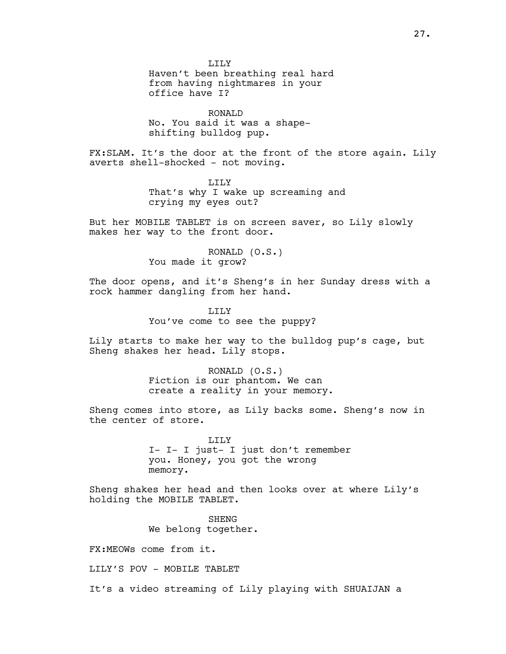T.TT.Y Haven't been breathing real hard from having nightmares in your office have I?

RONALD No. You said it was a shapeshifting bulldog pup.

FX:SLAM. It's the door at the front of the store again. Lily averts shell-shocked - not moving.

> LILY That's why I wake up screaming and crying my eyes out?

But her MOBILE TABLET is on screen saver, so Lily slowly makes her way to the front door.

> RONALD (O.S.) You made it grow?

The door opens, and it's Sheng's in her Sunday dress with a rock hammer dangling from her hand.

> LILY You've come to see the puppy?

Lily starts to make her way to the bulldog pup's cage, but Sheng shakes her head. Lily stops.

> RONALD (O.S.) Fiction is our phantom. We can create a reality in your memory.

Sheng comes into store, as Lily backs some. Sheng's now in the center of store.

> LILY I- I- I just- I just don't remember you. Honey, you got the wrong memory.

Sheng shakes her head and then looks over at where Lily's holding the MOBILE TABLET.

> SHENG We belong together.

FX:MEOWs come from it.

LILY'S POV - MOBILE TABLET

It's a video streaming of Lily playing with SHUAIJAN a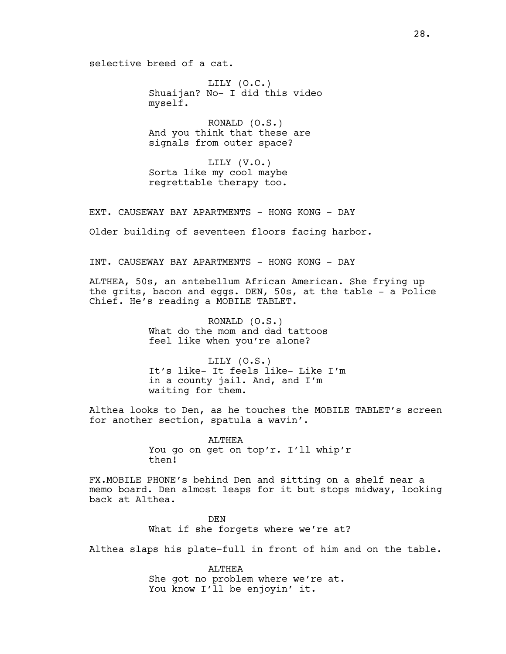selective breed of a cat.

LILY (O.C.) Shuaijan? No- I did this video myself.

RONALD (O.S.) And you think that these are signals from outer space?

LILY (V.O.) Sorta like my cool maybe regrettable therapy too.

EXT. CAUSEWAY BAY APARTMENTS - HONG KONG - DAY

Older building of seventeen floors facing harbor.

INT. CAUSEWAY BAY APARTMENTS - HONG KONG - DAY

ALTHEA, 50s, an antebellum African American. She frying up the grits, bacon and eggs. DEN, 50s, at the table - a Police Chief. He's reading a MOBILE TABLET.

> RONALD (O.S.) What do the mom and dad tattoos feel like when you're alone?

LILY (O.S.) It's like- It feels like- Like I'm in a county jail. And, and I'm waiting for them.

Althea looks to Den, as he touches the MOBILE TABLET's screen for another section, spatula a wavin'.

> ALTHEA You go on get on top'r. I'll whip'r then!

FX.MOBILE PHONE's behind Den and sitting on a shelf near a memo board. Den almost leaps for it but stops midway, looking back at Althea.

> DEN What if she forgets where we're at?

Althea slaps his plate-full in front of him and on the table.

ALTHEA She got no problem where we're at. You know I'll be enjoyin' it.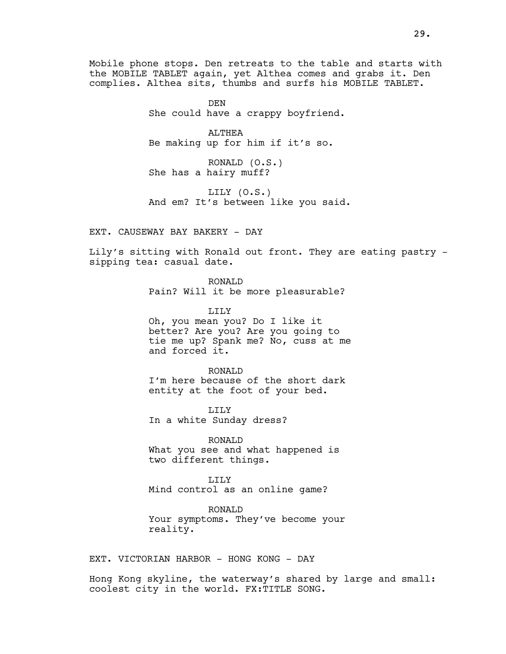Mobile phone stops. Den retreats to the table and starts with the MOBILE TABLET again, yet Althea comes and grabs it. Den complies. Althea sits, thumbs and surfs his MOBILE TABLET.

> DEN She could have a crappy boyfriend.

ALTHEA Be making up for him if it's so.

RONALD (O.S.) She has a hairy muff?

LILY (O.S.) And em? It's between like you said.

EXT. CAUSEWAY BAY BAKERY - DAY

Lily's sitting with Ronald out front. They are eating pastry sipping tea: casual date.

RONALD

Pain? Will it be more pleasurable?

LILY Oh, you mean you? Do I like it better? Are you? Are you going to tie me up? Spank me? No, cuss at me and forced it.

RONALD I'm here because of the short dark entity at the foot of your bed.

LILY In a white Sunday dress?

RONALD What you see and what happened is two different things.

LILY Mind control as an online game?

RONALD Your symptoms. They've become your reality.

EXT. VICTORIAN HARBOR - HONG KONG - DAY

Hong Kong skyline, the waterway's shared by large and small: coolest city in the world. FX:TITLE SONG.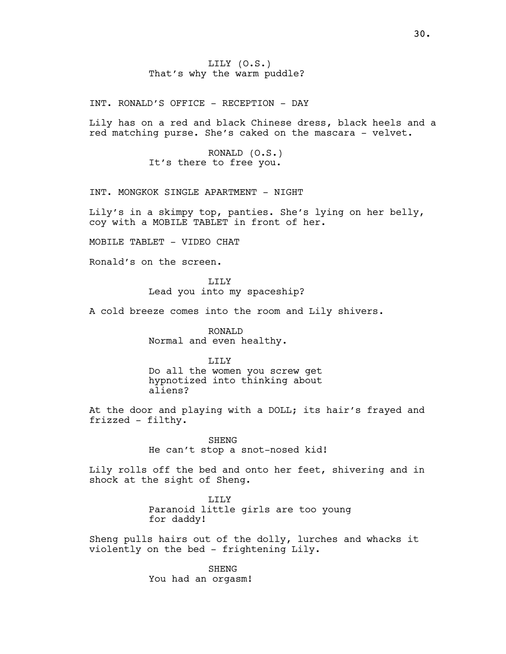LILY (O.S.) That's why the warm puddle?

INT. RONALD'S OFFICE - RECEPTION - DAY

Lily has on a red and black Chinese dress, black heels and a red matching purse. She's caked on the mascara - velvet.

> RONALD (O.S.) It's there to free you.

INT. MONGKOK SINGLE APARTMENT - NIGHT

Lily's in a skimpy top, panties. She's lying on her belly, coy with a MOBILE TABLET in front of her.

MOBILE TABLET - VIDEO CHAT

Ronald's on the screen.

LILY

Lead you into my spaceship?

A cold breeze comes into the room and Lily shivers.

RONALD Normal and even healthy.

T.TT.Y Do all the women you screw get hypnotized into thinking about aliens?

At the door and playing with a DOLL; its hair's frayed and frizzed - filthy.

> SHENG He can't stop a snot-nosed kid!

Lily rolls off the bed and onto her feet, shivering and in shock at the sight of Sheng.

> LILY Paranoid little girls are too young for daddy!

Sheng pulls hairs out of the dolly, lurches and whacks it violently on the bed - frightening Lily.

> SHENG You had an orgasm!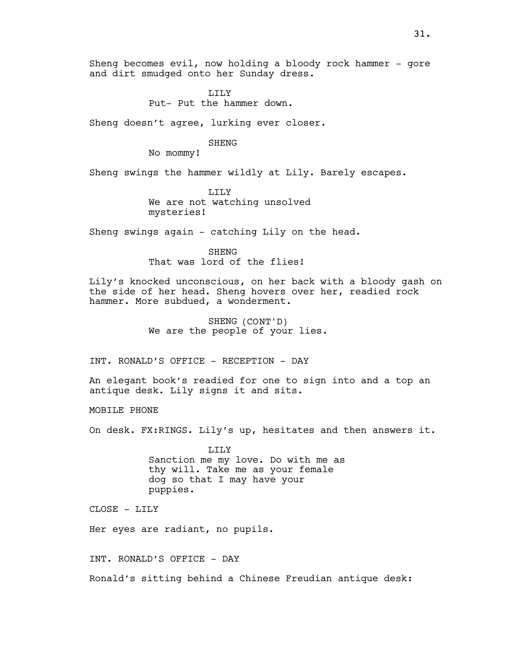Sheng becomes evil, now holding a bloody rock hammer - gore and dirt smudged onto her Sunday dress.

T.TT.Y

Put- Put the hammer down.

Sheng doesn't agree, lurking ever closer.

### **SHENG**

No mommy!

Sheng swings the hammer wildly at Lily. Barely escapes.

LILY We are not watching unsolved mysteries!

Sheng swings again - catching Lily on the head.

**SHENG** That was lord of the flies!

Lily's knocked unconscious, on her back with a bloody gash on the side of her head. Sheng hovers over her, readied rock hammer. More subdued, a wonderment.

> SHENG (CONT'D) We are the people of your lies.

INT. RONALD'S OFFICE - RECEPTION - DAY

An elegant book's readied for one to sign into and a top an antique desk. Lily signs it and sits.

MOBILE PHONE

On desk. FX:RINGS. Lily's up, hesitates and then answers it.

LILY Sanction me my love. Do with me as thy will. Take me as your female dog so that I may have your puppies.

CLOSE - LILY

Her eyes are radiant, no pupils.

INT. RONALD'S OFFICE - DAY

Ronald's sitting behind a Chinese Freudian antique desk: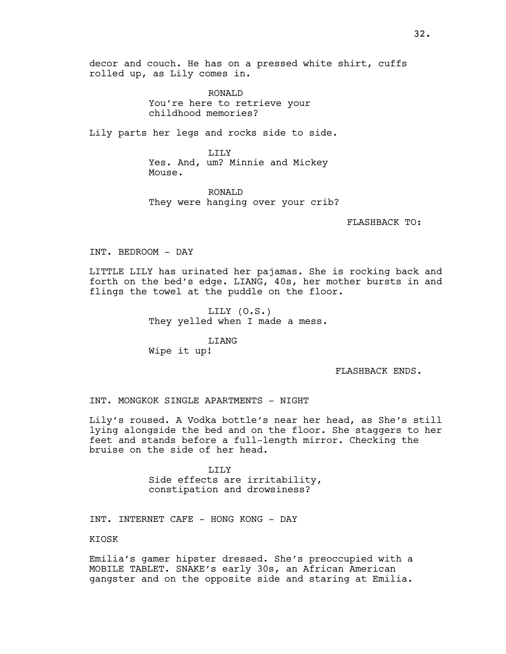decor and couch. He has on a pressed white shirt, cuffs rolled up, as Lily comes in.

> RONALD You're here to retrieve your childhood memories?

Lily parts her legs and rocks side to side.

LILY Yes. And, um? Minnie and Mickey Mouse.

RONALD They were hanging over your crib?

FLASHBACK TO:

INT. BEDROOM - DAY

LITTLE LILY has urinated her pajamas. She is rocking back and forth on the bed's edge. LIANG, 40s, her mother bursts in and flings the towel at the puddle on the floor.

> LILY (O.S.) They yelled when I made a mess.

LIANG Wipe it up!

FLASHBACK ENDS.

INT. MONGKOK SINGLE APARTMENTS - NIGHT

Lily's roused. A Vodka bottle's near her head, as She's still lying alongside the bed and on the floor. She staggers to her feet and stands before a full-length mirror. Checking the bruise on the side of her head.

> T.TT.Y Side effects are irritability, constipation and drowsiness?

INT. INTERNET CAFE - HONG KONG - DAY

KIOSK

Emilia's gamer hipster dressed. She's preoccupied with a MOBILE TABLET. SNAKE's early 30s, an African American gangster and on the opposite side and staring at Emilia.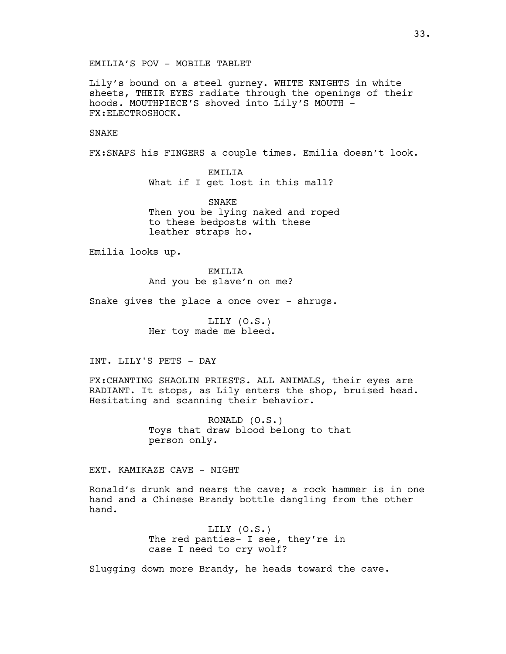EMILIA'S POV - MOBILE TABLET

Lily's bound on a steel gurney. WHITE KNIGHTS in white sheets, THEIR EYES radiate through the openings of their hoods. MOUTHPIECE'S shoved into Lily'S MOUTH - FX:ELECTROSHOCK.

### SNAKE

FX:SNAPS his FINGERS a couple times. Emilia doesn't look.

EMILIA What if I get lost in this mall?

SNAKE Then you be lying naked and roped to these bedposts with these leather straps ho.

Emilia looks up.

EMILIA And you be slave'n on me?

Snake gives the place a once over - shrugs.

LILY (O.S.) Her toy made me bleed.

### INT. LILY'S PETS - DAY

FX:CHANTING SHAOLIN PRIESTS. ALL ANIMALS, their eyes are RADIANT. It stops, as Lily enters the shop, bruised head. Hesitating and scanning their behavior.

> RONALD (O.S.) Toys that draw blood belong to that person only.

# EXT. KAMIKAZE CAVE - NIGHT

Ronald's drunk and nears the cave; a rock hammer is in one hand and a Chinese Brandy bottle dangling from the other hand.

> LILY (O.S.) The red panties- I see, they're in case I need to cry wolf?

Slugging down more Brandy, he heads toward the cave.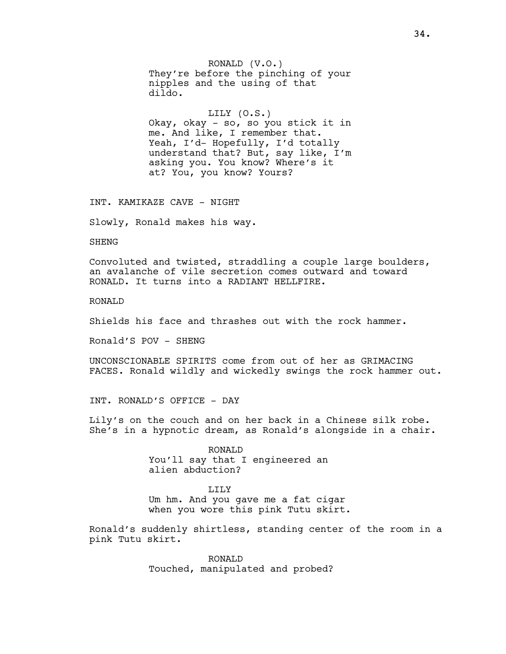RONALD (V.O.) They're before the pinching of your nipples and the using of that dildo.

LILY (O.S.) Okay, okay - so, so you stick it in me. And like, I remember that. Yeah, I'd- Hopefully, I'd totally understand that? But, say like, I'm asking you. You know? Where's it at? You, you know? Yours?

INT. KAMIKAZE CAVE - NIGHT

Slowly, Ronald makes his way.

SHENG

Convoluted and twisted, straddling a couple large boulders, an avalanche of vile secretion comes outward and toward RONALD. It turns into a RADIANT HELLFIRE.

RONALD

Shields his face and thrashes out with the rock hammer.

Ronald'S POV - SHENG

UNCONSCIONABLE SPIRITS come from out of her as GRIMACING FACES. Ronald wildly and wickedly swings the rock hammer out.

INT. RONALD'S OFFICE - DAY

Lily's on the couch and on her back in a Chinese silk robe. She's in a hypnotic dream, as Ronald's alongside in a chair.

> RONALD You'll say that I engineered an alien abduction?

> > T.TT.Y

Um hm. And you gave me a fat cigar when you wore this pink Tutu skirt.

Ronald's suddenly shirtless, standing center of the room in a pink Tutu skirt.

> RONAT<sub>D</sub> Touched, manipulated and probed?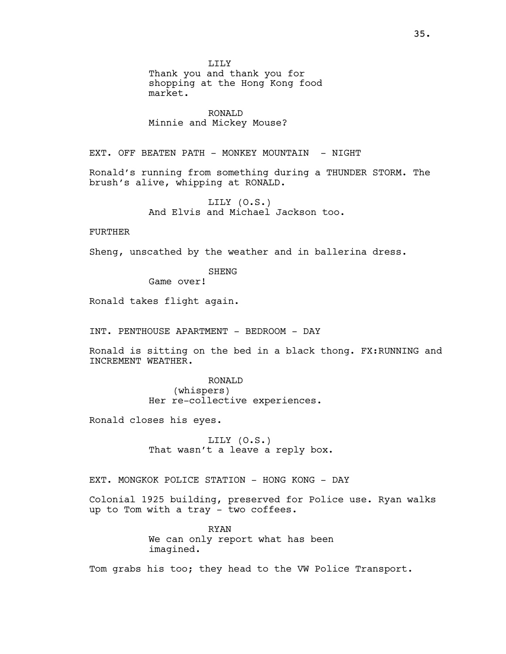LILY

Thank you and thank you for shopping at the Hong Kong food market.

RONALD Minnie and Mickey Mouse?

EXT. OFF BEATEN PATH - MONKEY MOUNTAIN - NIGHT

Ronald's running from something during a THUNDER STORM. The brush's alive, whipping at RONALD.

> LILY (O.S.) And Elvis and Michael Jackson too.

FURTHER

Sheng, unscathed by the weather and in ballerina dress.

SHENG

Game over!

Ronald takes flight again.

INT. PENTHOUSE APARTMENT - BEDROOM - DAY

Ronald is sitting on the bed in a black thong. FX:RUNNING and INCREMENT WEATHER.

> RONALD (whispers) Her re-collective experiences.

Ronald closes his eyes.

LILY (O.S.) That wasn't a leave a reply box.

EXT. MONGKOK POLICE STATION - HONG KONG - DAY

Colonial 1925 building, preserved for Police use. Ryan walks up to Tom with a tray - two coffees.

> RYAN We can only report what has been imagined.

Tom grabs his too; they head to the VW Police Transport.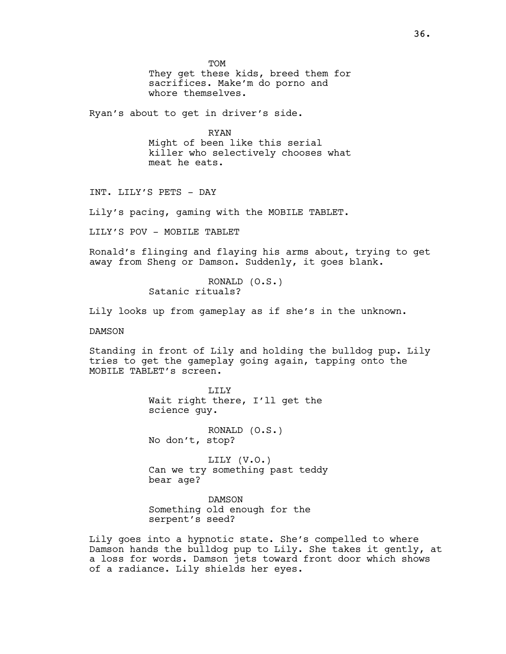TOM They get these kids, breed them for sacrifices. Make'm do porno and whore themselves.

Ryan's about to get in driver's side.

RYAN Might of been like this serial killer who selectively chooses what meat he eats.

INT. LILY'S PETS - DAY

Lily's pacing, gaming with the MOBILE TABLET.

LILY'S POV - MOBILE TABLET

Ronald's flinging and flaying his arms about, trying to get away from Sheng or Damson. Suddenly, it goes blank.

> RONALD (O.S.) Satanic rituals?

Lily looks up from gameplay as if she's in the unknown.

DAMSON

Standing in front of Lily and holding the bulldog pup. Lily tries to get the gameplay going again, tapping onto the MOBILE TABLET's screen.

> LILY Wait right there, I'll get the science guy.

RONALD (O.S.) No don't, stop?

LILY (V.O.) Can we try something past teddy bear age?

DAMSON Something old enough for the serpent's seed?

Lily goes into a hypnotic state. She's compelled to where Damson hands the bulldog pup to Lily. She takes it gently, at a loss for words. Damson jets toward front door which shows of a radiance. Lily shields her eyes.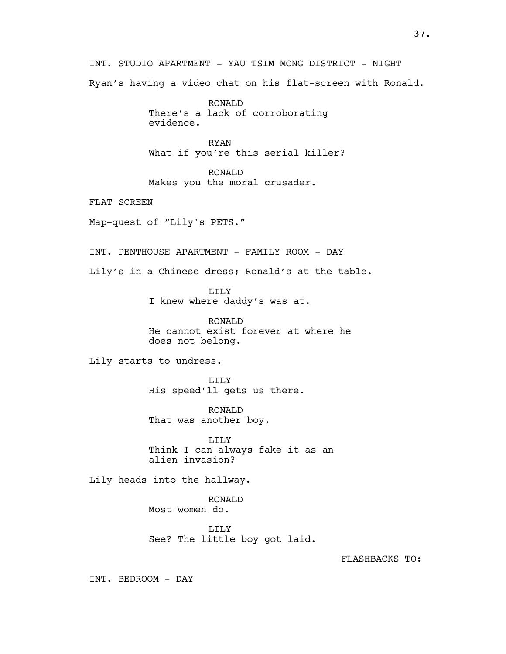INT. STUDIO APARTMENT - YAU TSIM MONG DISTRICT - NIGHT Ryan's having a video chat on his flat-screen with Ronald.

> RONALD There's a lack of corroborating evidence.

RYAN What if you're this serial killer?

RONALD Makes you the moral crusader.

FLAT SCREEN

Map-quest of "Lily's PETS."

INT. PENTHOUSE APARTMENT - FAMILY ROOM - DAY

Lily's in a Chinese dress; Ronald's at the table.

LILY I knew where daddy's was at.

RONALD He cannot exist forever at where he does not belong.

Lily starts to undress.

LILY His speed'll gets us there.

RONALD That was another boy.

LILY Think I can always fake it as an alien invasion?

Lily heads into the hallway.

RONALD Most women do.

LILY See? The little boy got laid.

FLASHBACKS TO:

INT. BEDROOM - DAY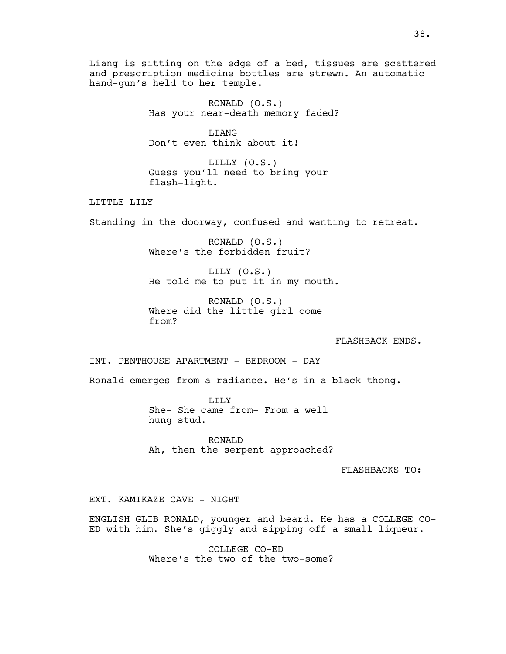Liang is sitting on the edge of a bed, tissues are scattered and prescription medicine bottles are strewn. An automatic hand-gun's held to her temple.

> RONALD (O.S.) Has your near-death memory faded?

LIANG Don't even think about it!

LILLY (O.S.) Guess you'll need to bring your flash-light.

LITTLE LILY

Standing in the doorway, confused and wanting to retreat.

RONALD (O.S.) Where's the forbidden fruit?

LILY (O.S.) He told me to put it in my mouth.

RONALD (O.S.) Where did the little girl come from?

FLASHBACK ENDS.

INT. PENTHOUSE APARTMENT - BEDROOM - DAY

Ronald emerges from a radiance. He's in a black thong.

T.TT.Y She- She came from- From a well hung stud.

RONALD Ah, then the serpent approached?

FLASHBACKS TO:

# EXT. KAMIKAZE CAVE - NIGHT

ENGLISH GLIB RONALD, younger and beard. He has a COLLEGE CO-ED with him. She's giggly and sipping off a small liqueur.

> COLLEGE CO-ED Where's the two of the two-some?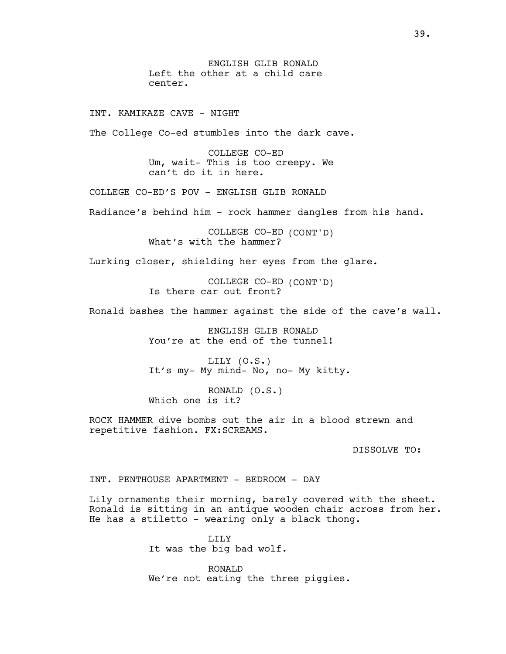ENGLISH GLIB RONALD Left the other at a child care center.

INT. KAMIKAZE CAVE - NIGHT

The College Co-ed stumbles into the dark cave.

COLLEGE CO-ED Um, wait- This is too creepy. We can't do it in here.

COLLEGE CO-ED'S POV - ENGLISH GLIB RONALD

Radiance's behind him - rock hammer dangles from his hand.

COLLEGE CO-ED (CONT'D) What's with the hammer?

Lurking closer, shielding her eyes from the glare.

COLLEGE CO-ED (CONT'D) Is there car out front?

Ronald bashes the hammer against the side of the cave's wall.

ENGLISH GLIB RONALD You're at the end of the tunnel!

LILY (O.S.) It's my- My mind- No, no- My kitty.

RONALD (O.S.) Which one is it?

ROCK HAMMER dive bombs out the air in a blood strewn and repetitive fashion. FX:SCREAMS.

DISSOLVE TO:

INT. PENTHOUSE APARTMENT - BEDROOM - DAY

Lily ornaments their morning, barely covered with the sheet. Ronald is sitting in an antique wooden chair across from her. He has a stiletto - wearing only a black thong.

> T.TT.Y It was the big bad wolf.

RONALD We're not eating the three piggies.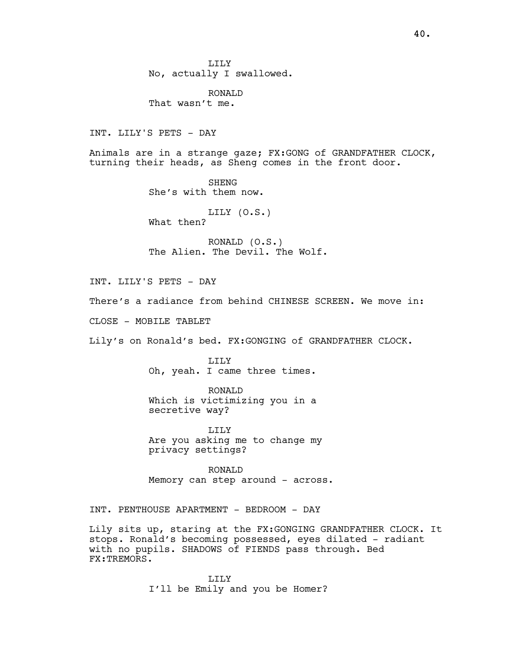LILY No, actually I swallowed.

RONALD That wasn't me.

INT. LILY'S PETS - DAY

Animals are in a strange gaze; FX:GONG of GRANDFATHER CLOCK, turning their heads, as Sheng comes in the front door.

> SHENG She's with them now.

LILY (O.S.) What then?

RONALD (O.S.) The Alien. The Devil. The Wolf.

INT. LILY'S PETS - DAY

There's a radiance from behind CHINESE SCREEN. We move in:

CLOSE - MOBILE TABLET

Lily's on Ronald's bed. FX:GONGING of GRANDFATHER CLOCK.

LILY Oh, yeah. I came three times.

RONALD Which is victimizing you in a secretive way?

LILY Are you asking me to change my privacy settings?

RONALD Memory can step around - across.

INT. PENTHOUSE APARTMENT - BEDROOM - DAY

Lily sits up, staring at the FX:GONGING GRANDFATHER CLOCK. It stops. Ronald's becoming possessed, eyes dilated - radiant with no pupils. SHADOWS of FIENDS pass through. Bed FX:TREMORS.

> T.TT.Y I'll be Emily and you be Homer?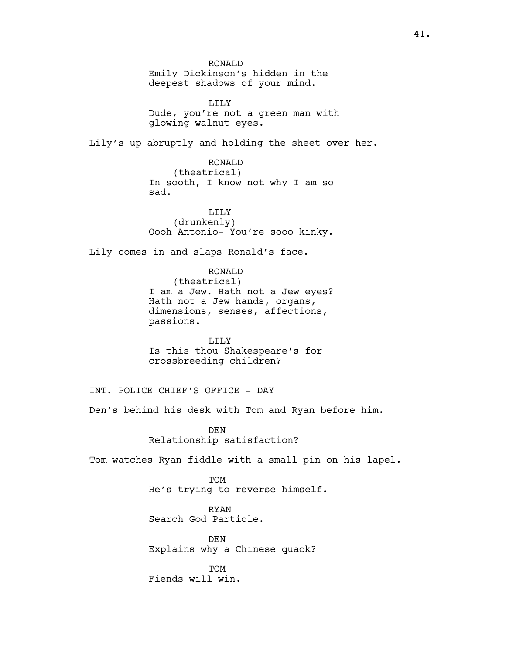RONALD Emily Dickinson's hidden in the deepest shadows of your mind.

LILY Dude, you're not a green man with glowing walnut eyes.

Lily's up abruptly and holding the sheet over her.

RONALD

(theatrical) In sooth, I know not why I am so sad.

LILY (drunkenly) Oooh Antonio- You're sooo kinky.

Lily comes in and slaps Ronald's face.

RONALD (theatrical) I am a Jew. Hath not a Jew eyes? Hath not a Jew hands, organs, dimensions, senses, affections,

passions. LILY

Is this thou Shakespeare's for crossbreeding children?

INT. POLICE CHIEF'S OFFICE - DAY

Den's behind his desk with Tom and Ryan before him.

DEN Relationship satisfaction?

Tom watches Ryan fiddle with a small pin on his lapel.

TOM He's trying to reverse himself.

RYAN Search God Particle.

DEN Explains why a Chinese quack?

TOM Fiends will win.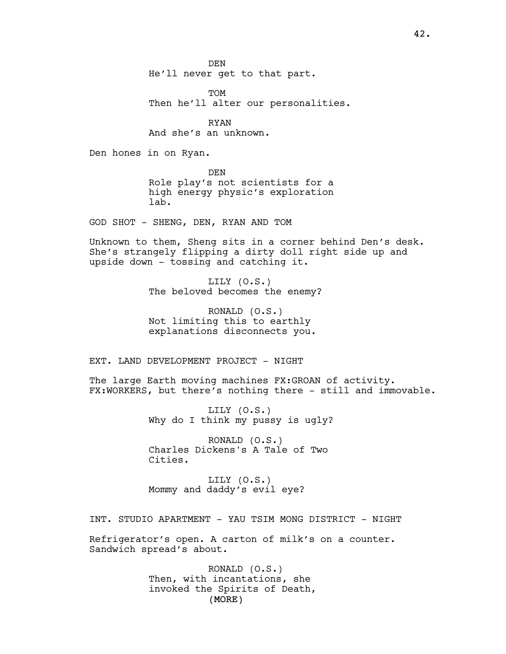DEN He'll never get to that part.

TOM Then he'll alter our personalities.

RYAN And she's an unknown.

Den hones in on Ryan.

DEN Role play's not scientists for a high energy physic's exploration lab.

GOD SHOT - SHENG, DEN, RYAN AND TOM

Unknown to them, Sheng sits in a corner behind Den's desk. She's strangely flipping a dirty doll right side up and upside down - tossing and catching it.

> LILY (O.S.) The beloved becomes the enemy?

RONALD (O.S.) Not limiting this to earthly explanations disconnects you.

EXT. LAND DEVELOPMENT PROJECT - NIGHT

The large Earth moving machines FX: GROAN of activity. FX:WORKERS, but there's nothing there - still and immovable.

> LILY (O.S.) Why do I think my pussy is ugly?

RONALD (O.S.) Charles Dickens's A Tale of Two Cities.

LILY (O.S.) Mommy and daddy's evil eye?

INT. STUDIO APARTMENT - YAU TSIM MONG DISTRICT - NIGHT

Refrigerator's open. A carton of milk's on a counter. Sandwich spread's about.

> (MORE) RONALD (O.S.) Then, with incantations, she invoked the Spirits of Death,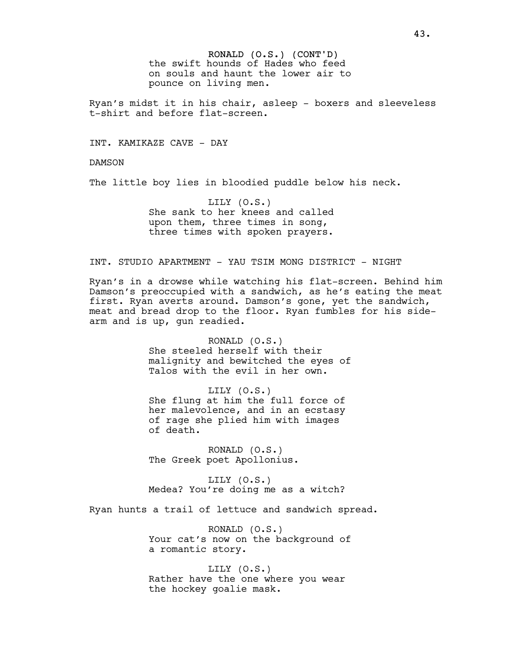RONALD (O.S.) (CONT'D) the swift hounds of Hades who feed on souls and haunt the lower air to pounce on living men.

Ryan's midst it in his chair, asleep - boxers and sleeveless t-shirt and before flat-screen.

## INT. KAMIKAZE CAVE - DAY

DAMSON

The little boy lies in bloodied puddle below his neck.

LILY (O.S.) She sank to her knees and called upon them, three times in song, three times with spoken prayers.

INT. STUDIO APARTMENT - YAU TSIM MONG DISTRICT - NIGHT

Ryan's in a drowse while watching his flat-screen. Behind him Damson's preoccupied with a sandwich, as he's eating the meat first. Ryan averts around. Damson's gone, yet the sandwich, meat and bread drop to the floor. Ryan fumbles for his sidearm and is up, gun readied.

> RONALD (O.S.) She steeled herself with their malignity and bewitched the eyes of Talos with the evil in her own.

LILY (O.S.) She flung at him the full force of her malevolence, and in an ecstasy of rage she plied him with images of death.

RONALD (O.S.) The Greek poet Apollonius.

LILY (O.S.) Medea? You're doing me as a witch?

Ryan hunts a trail of lettuce and sandwich spread.

RONALD (O.S.) Your cat's now on the background of a romantic story.

LILY (O.S.) Rather have the one where you wear the hockey goalie mask.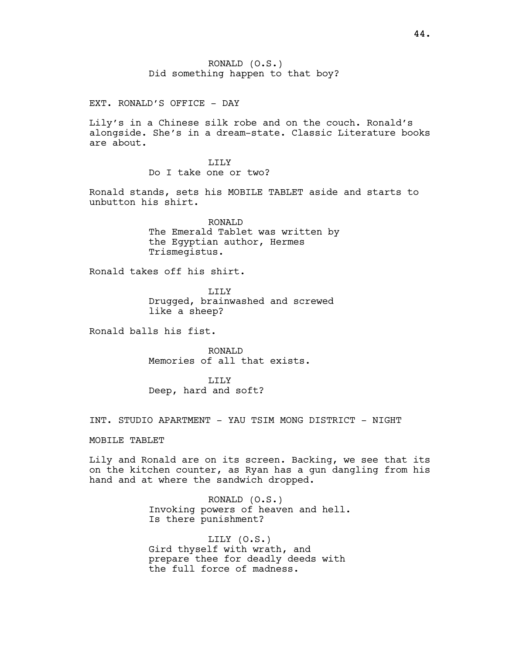EXT. RONALD'S OFFICE - DAY

Lily's in a Chinese silk robe and on the couch. Ronald's alongside. She's in a dream-state. Classic Literature books are about.

> T.TT.Y Do I take one or two?

Ronald stands, sets his MOBILE TABLET aside and starts to unbutton his shirt.

> RONALD The Emerald Tablet was written by the Egyptian author, Hermes Trismegistus.

Ronald takes off his shirt.

T.TT.Y Drugged, brainwashed and screwed like a sheep?

Ronald balls his fist.

RONALD Memories of all that exists.

T.TT.Y Deep, hard and soft?

INT. STUDIO APARTMENT - YAU TSIM MONG DISTRICT - NIGHT

MOBILE TABLET

Lily and Ronald are on its screen. Backing, we see that its on the kitchen counter, as Ryan has a gun dangling from his hand and at where the sandwich dropped.

> RONALD (O.S.) Invoking powers of heaven and hell. Is there punishment?

LILY (O.S.) Gird thyself with wrath, and prepare thee for deadly deeds with the full force of madness.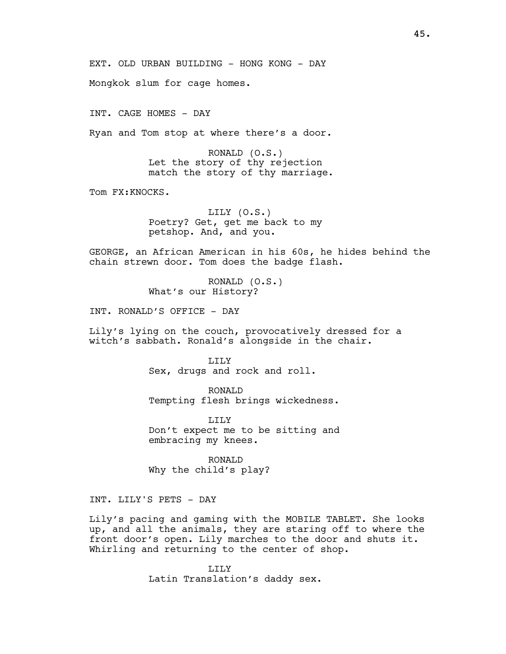EXT. OLD URBAN BUILDING - HONG KONG - DAY

Mongkok slum for cage homes.

INT. CAGE HOMES - DAY

Ryan and Tom stop at where there's a door.

RONALD (O.S.) Let the story of thy rejection match the story of thy marriage.

Tom FX:KNOCKS.

LILY (O.S.) Poetry? Get, get me back to my petshop. And, and you.

GEORGE, an African American in his 60s, he hides behind the chain strewn door. Tom does the badge flash.

> RONALD (O.S.) What's our History?

INT. RONALD'S OFFICE - DAY

Lily's lying on the couch, provocatively dressed for a witch's sabbath. Ronald's alongside in the chair.

> T.TT.Y Sex, drugs and rock and roll.

RONALD Tempting flesh brings wickedness.

LILY Don't expect me to be sitting and embracing my knees.

RONALD Why the child's play?

INT. LILY'S PETS - DAY

Lily's pacing and gaming with the MOBILE TABLET. She looks up, and all the animals, they are staring off to where the front door's open. Lily marches to the door and shuts it. Whirling and returning to the center of shop.

> LILY Latin Translation's daddy sex.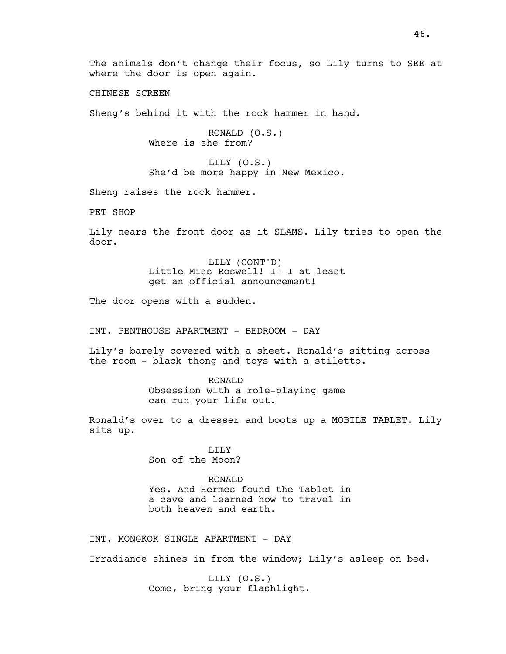The animals don't change their focus, so Lily turns to SEE at where the door is open again.

CHINESE SCREEN

Sheng's behind it with the rock hammer in hand.

RONALD (O.S.) Where is she from?

LILY (O.S.) She'd be more happy in New Mexico.

Sheng raises the rock hammer.

PET SHOP

Lily nears the front door as it SLAMS. Lily tries to open the door.

> LILY (CONT'D) Little Miss Roswell! I- I at least get an official announcement!

The door opens with a sudden.

INT. PENTHOUSE APARTMENT - BEDROOM - DAY

Lily's barely covered with a sheet. Ronald's sitting across the room - black thong and toys with a stiletto.

> RONALD Obsession with a role-playing game can run your life out.

Ronald's over to a dresser and boots up a MOBILE TABLET. Lily sits up.

> **LILY** Son of the Moon?

RONALD Yes. And Hermes found the Tablet in a cave and learned how to travel in both heaven and earth.

INT. MONGKOK SINGLE APARTMENT - DAY

Irradiance shines in from the window; Lily's asleep on bed.

LILY (O.S.) Come, bring your flashlight.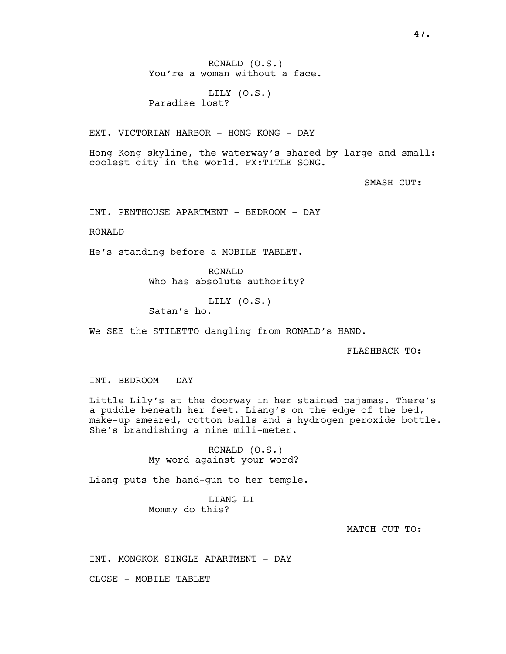RONALD (O.S.) You're a woman without a face.

LILY (O.S.) Paradise lost?

EXT. VICTORIAN HARBOR - HONG KONG - DAY

Hong Kong skyline, the waterway's shared by large and small: coolest city in the world. FX:TITLE SONG.

SMASH CUT:

INT. PENTHOUSE APARTMENT - BEDROOM - DAY

RONALD

He's standing before a MOBILE TABLET.

RONALD Who has absolute authority?

LILY (O.S.)

Satan's ho.

We SEE the STILETTO dangling from RONALD's HAND.

FLASHBACK TO:

INT. BEDROOM - DAY

Little Lily's at the doorway in her stained pajamas. There's a puddle beneath her feet. Liang's on the edge of the bed, make-up smeared, cotton balls and a hydrogen peroxide bottle. She's brandishing a nine mili-meter.

> RONALD (O.S.) My word against your word?

Liang puts the hand-gun to her temple.

LIANG LI Mommy do this?

MATCH CUT TO:

INT. MONGKOK SINGLE APARTMENT - DAY

CLOSE - MOBILE TABLET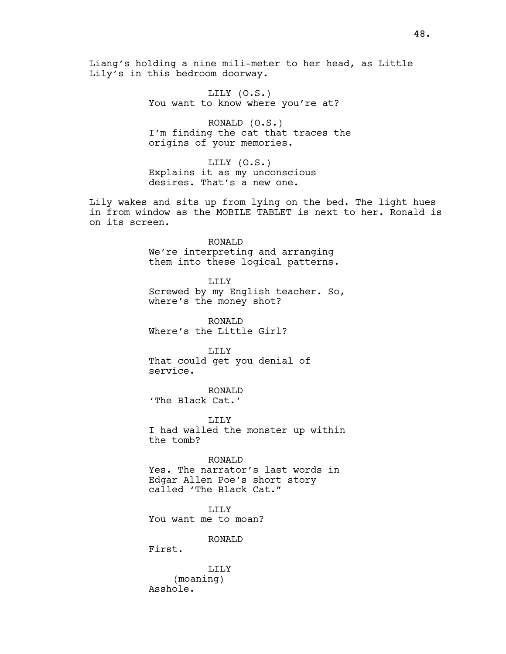Liang's holding a nine mili-meter to her head, as Little Lily's in this bedroom doorway.

> LILY (O.S.) You want to know where you're at?

RONALD (O.S.) I'm finding the cat that traces the origins of your memories.

LILY (O.S.) Explains it as my unconscious desires. That's a new one.

Lily wakes and sits up from lying on the bed. The light hues in from window as the MOBILE TABLET is next to her. Ronald is on its screen.

# RONALD

We're interpreting and arranging them into these logical patterns.

LILY Screwed by my English teacher. So, where's the money shot?

RONALD Where's the Little Girl?

LILY That could get you denial of service.

RONALD 'The Black Cat.'

LILY I had walled the monster up within the tomb?

RONALD

Yes. The narrator's last words in Edgar Allen Poe's short story called 'The Black Cat."

LILY You want me to moan?

RONALD

First.

LILY (moaning) Asshole.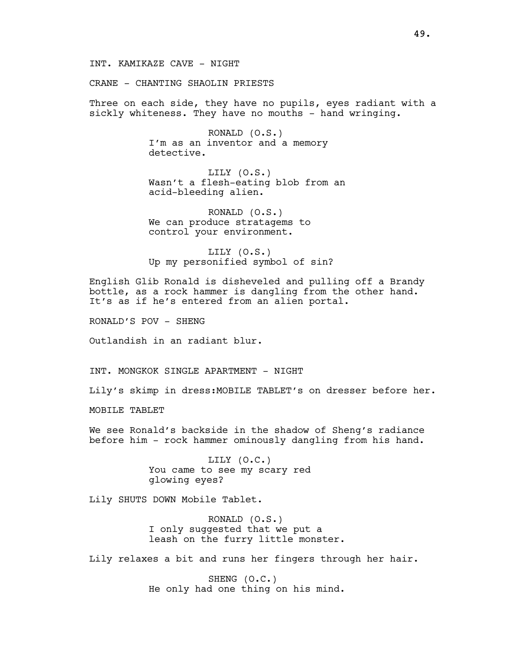CRANE - CHANTING SHAOLIN PRIESTS

Three on each side, they have no pupils, eyes radiant with a sickly whiteness. They have no mouths - hand wringing.

> RONALD (O.S.) I'm as an inventor and a memory detective.

LILY (O.S.) Wasn't a flesh-eating blob from an acid-bleeding alien.

RONALD (O.S.) We can produce stratagems to control your environment.

LILY (O.S.) Up my personified symbol of sin?

English Glib Ronald is disheveled and pulling off a Brandy bottle, as a rock hammer is dangling from the other hand. It's as if he's entered from an alien portal.

RONALD'S POV - SHENG

Outlandish in an radiant blur.

INT. MONGKOK SINGLE APARTMENT - NIGHT

Lily's skimp in dress:MOBILE TABLET's on dresser before her.

MOBILE TABLET

We see Ronald's backside in the shadow of Sheng's radiance before him - rock hammer ominously dangling from his hand.

> LILY (O.C.) You came to see my scary red glowing eyes?

Lily SHUTS DOWN Mobile Tablet.

RONALD (O.S.) I only suggested that we put a leash on the furry little monster.

Lily relaxes a bit and runs her fingers through her hair.

SHENG (O.C.) He only had one thing on his mind.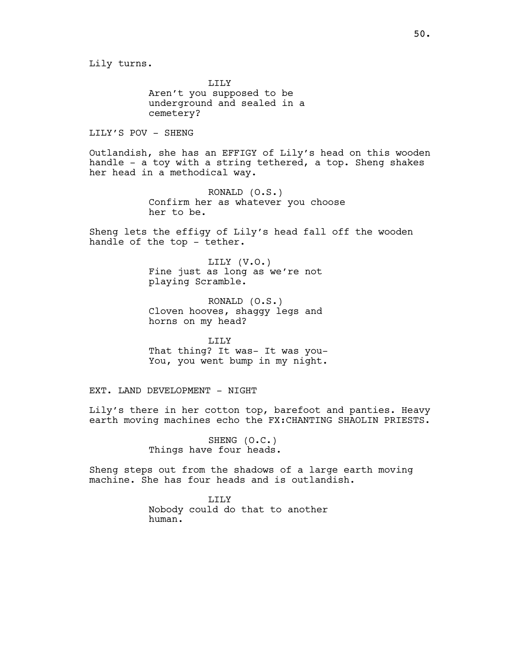Lily turns.

LILY Aren't you supposed to be underground and sealed in a cemetery?

LILY'S POV - SHENG

Outlandish, she has an EFFIGY of Lily's head on this wooden handle - a toy with a string tethered, a top. Sheng shakes her head in a methodical way.

> RONALD (O.S.) Confirm her as whatever you choose her to be.

Sheng lets the effigy of Lily's head fall off the wooden handle of the top - tether.

> LILY (V.O.) Fine just as long as we're not playing Scramble.

> RONALD (O.S.) Cloven hooves, shaggy legs and horns on my head?

LILY That thing? It was- It was you-You, you went bump in my night.

EXT. LAND DEVELOPMENT - NIGHT

Lily's there in her cotton top, barefoot and panties. Heavy earth moving machines echo the FX:CHANTING SHAOLIN PRIESTS.

> SHENG (O.C.) Things have four heads.

Sheng steps out from the shadows of a large earth moving machine. She has four heads and is outlandish.

> T.TT.Y Nobody could do that to another human.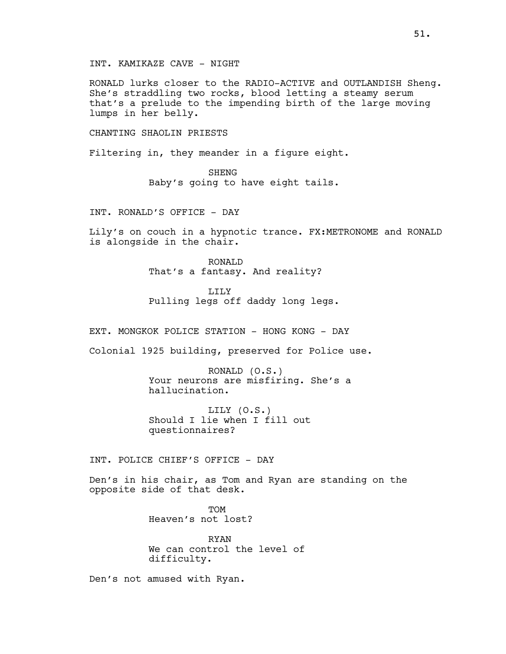## INT. KAMIKAZE CAVE - NIGHT

RONALD lurks closer to the RADIO-ACTIVE and OUTLANDISH Sheng. She's straddling two rocks, blood letting a steamy serum that's a prelude to the impending birth of the large moving lumps in her belly.

CHANTING SHAOLIN PRIESTS

Filtering in, they meander in a figure eight.

SHENG Baby's going to have eight tails.

INT. RONALD'S OFFICE - DAY

Lily's on couch in a hypnotic trance. FX:METRONOME and RONALD is alongside in the chair.

> RONALD That's a fantasy. And reality?

LILY Pulling legs off daddy long legs.

EXT. MONGKOK POLICE STATION - HONG KONG - DAY

Colonial 1925 building, preserved for Police use.

RONALD (O.S.) Your neurons are misfiring. She's a hallucination.

LILY (O.S.) Should I lie when I fill out questionnaires?

INT. POLICE CHIEF'S OFFICE - DAY

Den's in his chair, as Tom and Ryan are standing on the opposite side of that desk.

> **TOM** Heaven's not lost?

RYAN We can control the level of difficulty.

Den's not amused with Ryan.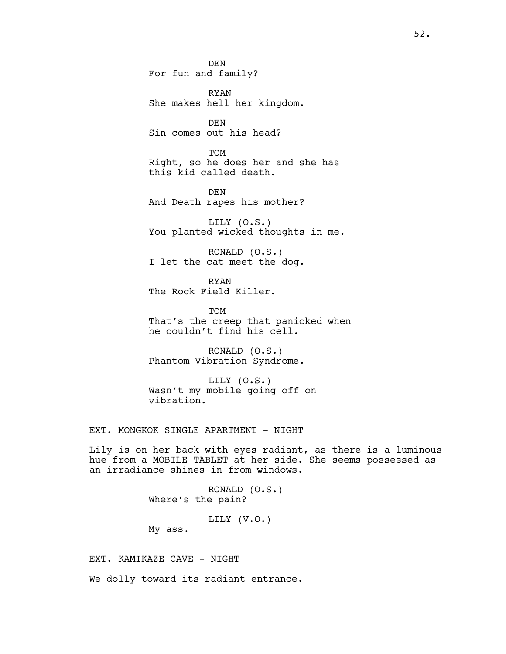DEN For fun and family?

RYAN She makes hell her kingdom.

DEN Sin comes out his head?

**TOM** Right, so he does her and she has this kid called death.

DEN And Death rapes his mother?

LILY (O.S.) You planted wicked thoughts in me.

RONALD (O.S.) I let the cat meet the dog.

RYAN The Rock Field Killer.

TOM That's the creep that panicked when he couldn't find his cell.

RONALD (O.S.) Phantom Vibration Syndrome.

LILY (O.S.) Wasn't my mobile going off on vibration.

EXT. MONGKOK SINGLE APARTMENT - NIGHT

Lily is on her back with eyes radiant, as there is a luminous hue from a MOBILE TABLET at her side. She seems possessed as an irradiance shines in from windows.

> RONALD (O.S.) Where's the pain?

> > LILY (V.O.)

My ass.

EXT. KAMIKAZE CAVE - NIGHT

We dolly toward its radiant entrance.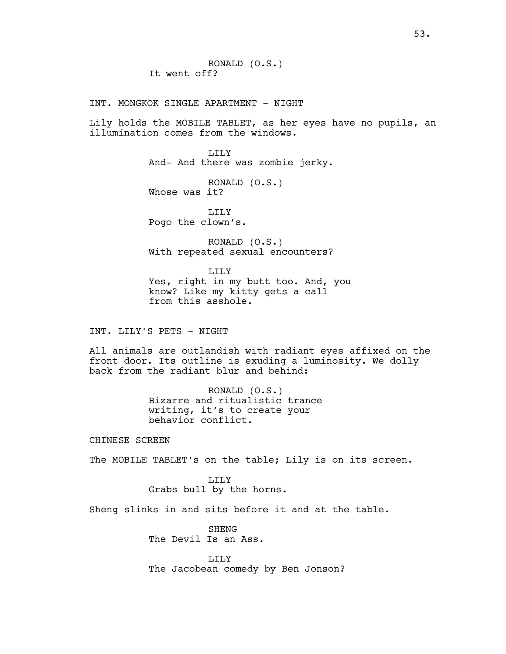INT. MONGKOK SINGLE APARTMENT - NIGHT

Lily holds the MOBILE TABLET, as her eyes have no pupils, an illumination comes from the windows.

> T.TT.Y And- And there was zombie jerky.

RONALD (O.S.) Whose was it?

T.TT.Y Pogo the clown's.

RONALD (O.S.) With repeated sexual encounters?

LILY

Yes, right in my butt too. And, you know? Like my kitty gets a call from this asshole.

INT. LILY'S PETS - NIGHT

All animals are outlandish with radiant eyes affixed on the front door. Its outline is exuding a luminosity. We dolly back from the radiant blur and behind:

> RONALD (O.S.) Bizarre and ritualistic trance writing, it's to create your behavior conflict.

CHINESE SCREEN

The MOBILE TABLET's on the table; Lily is on its screen.

LILY Grabs bull by the horns.

Sheng slinks in and sits before it and at the table.

SHENG The Devil Is an Ass.

T.TT.Y The Jacobean comedy by Ben Jonson?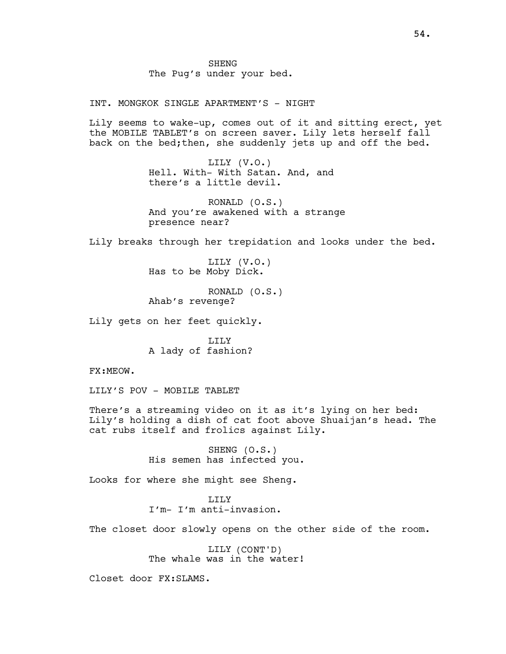The Pug's under your bed.

INT. MONGKOK SINGLE APARTMENT'S - NIGHT

Lily seems to wake-up, comes out of it and sitting erect, yet the MOBILE TABLET's on screen saver. Lily lets herself fall back on the bed;then, she suddenly jets up and off the bed.

> LILY (V.O.) Hell. With- With Satan. And, and there's a little devil.

RONALD (O.S.) And you're awakened with a strange presence near?

Lily breaks through her trepidation and looks under the bed.

LILY (V.O.) Has to be Moby Dick.

RONALD (O.S.) Ahab's revenge?

Lily gets on her feet quickly.

LILY A lady of fashion?

FX:MEOW.

LILY'S POV - MOBILE TABLET

There's a streaming video on it as it's lying on her bed: Lily's holding a dish of cat foot above Shuaijan's head. The cat rubs itself and frolics against Lily.

> SHENG (O.S.) His semen has infected you.

Looks for where she might see Sheng.

T.TT.Y I'm- I'm anti-invasion.

The closet door slowly opens on the other side of the room.

LILY (CONT'D) The whale was in the water!

Closet door FX:SLAMS.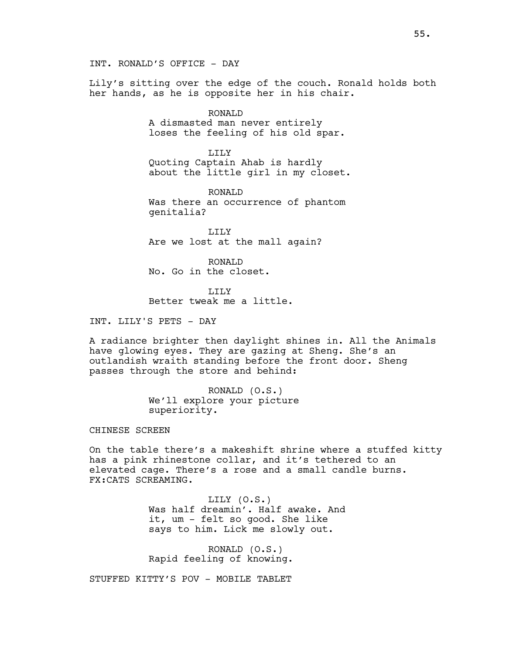Lily's sitting over the edge of the couch. Ronald holds both her hands, as he is opposite her in his chair.

> RONALD A dismasted man never entirely loses the feeling of his old spar.

LILY Quoting Captain Ahab is hardly about the little girl in my closet.

RONALD Was there an occurrence of phantom genitalia?

T.TT.Y Are we lost at the mall again?

RONALD No. Go in the closet.

T.TT.Y Better tweak me a little.

INT. LILY'S PETS - DAY

A radiance brighter then daylight shines in. All the Animals have glowing eyes. They are gazing at Sheng. She's an outlandish wraith standing before the front door. Sheng passes through the store and behind:

> RONALD (O.S.) We'll explore your picture superiority.

CHINESE SCREEN

On the table there's a makeshift shrine where a stuffed kitty has a pink rhinestone collar, and it's tethered to an elevated cage. There's a rose and a small candle burns. FX:CATS SCREAMING.

> LILY (O.S.) Was half dreamin'. Half awake. And it, um - felt so good. She like says to him. Lick me slowly out.

RONALD (O.S.) Rapid feeling of knowing.

STUFFED KITTY'S POV - MOBILE TABLET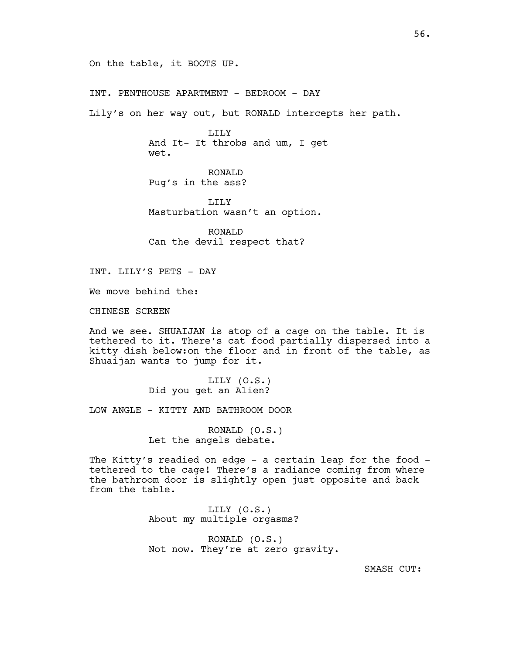On the table, it BOOTS UP.

INT. PENTHOUSE APARTMENT - BEDROOM - DAY

Lily's on her way out, but RONALD intercepts her path.

LILY And It- It throbs and um, I get wet.

RONALD Pug's in the ass?

LILY Masturbation wasn't an option.

RONALD Can the devil respect that?

INT. LILY'S PETS - DAY

We move behind the:

CHINESE SCREEN

And we see. SHUAIJAN is atop of a cage on the table. It is tethered to it. There's cat food partially dispersed into a kitty dish below:on the floor and in front of the table, as Shuaijan wants to jump for it.

> LILY (O.S.) Did you get an Alien?

LOW ANGLE - KITTY AND BATHROOM DOOR

RONALD (O.S.) Let the angels debate.

The Kitty's readied on edge - a certain leap for the food tethered to the cage! There's a radiance coming from where the bathroom door is slightly open just opposite and back from the table.

> LILY (O.S.) About my multiple orgasms?

RONALD (O.S.) Not now. They're at zero gravity.

SMASH CUT: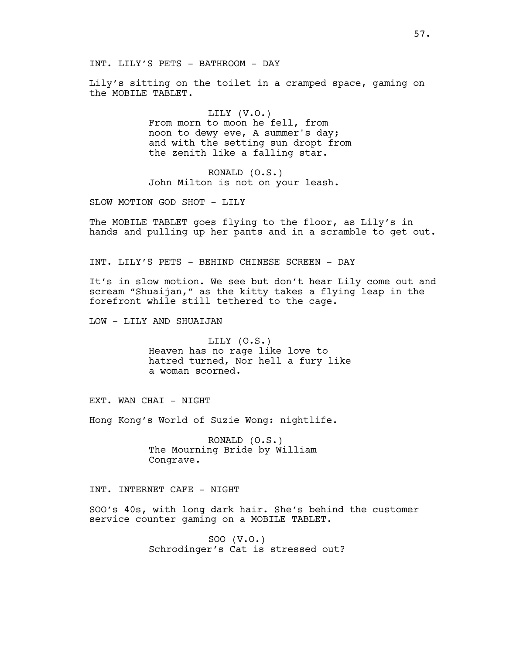INT. LILY'S PETS - BATHROOM - DAY

Lily's sitting on the toilet in a cramped space, gaming on the MOBILE TABLET.

> LILY (V.O.) From morn to moon he fell, from noon to dewy eve, A summer's day; and with the setting sun dropt from the zenith like a falling star.

RONALD (O.S.) John Milton is not on your leash.

SLOW MOTION GOD SHOT - LILY

The MOBILE TABLET goes flying to the floor, as Lily's in hands and pulling up her pants and in a scramble to get out.

INT. LILY'S PETS - BEHIND CHINESE SCREEN - DAY

It's in slow motion. We see but don't hear Lily come out and scream "Shuaijan," as the kitty takes a flying leap in the forefront while still tethered to the cage.

LOW - LILY AND SHUAIJAN

LILY (O.S.) Heaven has no rage like love to hatred turned, Nor hell a fury like a woman scorned.

EXT. WAN CHAI - NIGHT

Hong Kong's World of Suzie Wong: nightlife.

RONALD (O.S.) The Mourning Bride by William Congrave.

INT. INTERNET CAFE - NIGHT

SOO's 40s, with long dark hair. She's behind the customer service counter gaming on a MOBILE TABLET.

> SOO (V.O.) Schrodinger's Cat is stressed out?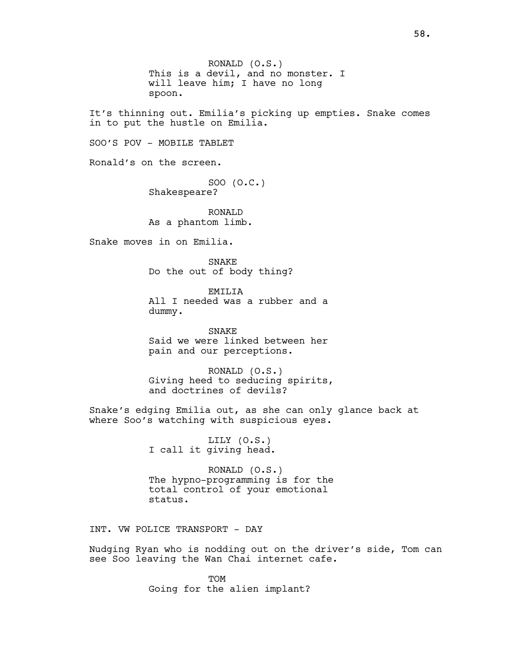RONALD (O.S.) This is a devil, and no monster. I will leave him; I have no long spoon.

It's thinning out. Emilia's picking up empties. Snake comes in to put the hustle on Emilia.

SOO'S POV - MOBILE TABLET

Ronald's on the screen.

SOO (O.C.) Shakespeare?

RONALD As a phantom limb.

Snake moves in on Emilia.

SNAKE Do the out of body thing?

EMILIA All I needed was a rubber and a dummy.

SNAKE Said we were linked between her pain and our perceptions.

RONALD (O.S.) Giving heed to seducing spirits, and doctrines of devils?

Snake's edging Emilia out, as she can only glance back at where Soo's watching with suspicious eyes.

> LILY (O.S.) I call it giving head.

RONALD (O.S.) The hypno-programming is for the total control of your emotional status.

INT. VW POLICE TRANSPORT - DAY

Nudging Ryan who is nodding out on the driver's side, Tom can see Soo leaving the Wan Chai internet cafe.

> **TOM** Going for the alien implant?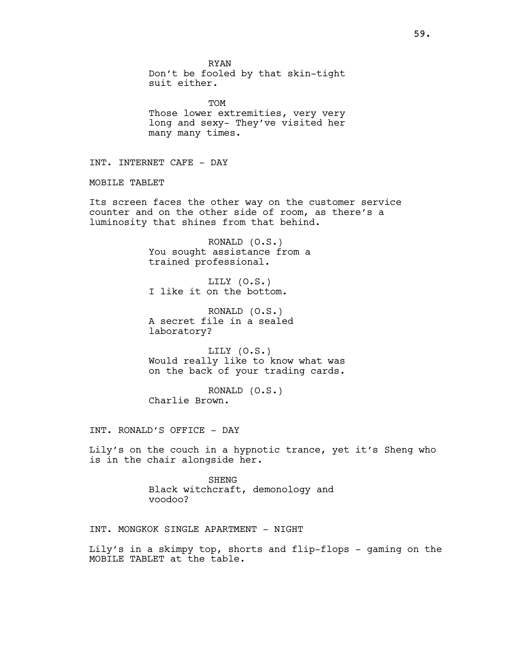RYAN Don't be fooled by that skin-tight suit either.

**TOM** Those lower extremities, very very long and sexy- They've visited her many many times.

INT. INTERNET CAFE - DAY

MOBILE TABLET

Its screen faces the other way on the customer service counter and on the other side of room, as there's a luminosity that shines from that behind.

> RONALD (O.S.) You sought assistance from a trained professional.

LILY (O.S.) I like it on the bottom.

RONALD (O.S.) A secret file in a sealed laboratory?

LILY (O.S.) Would really like to know what was on the back of your trading cards.

RONALD (O.S.) Charlie Brown.

INT. RONALD'S OFFICE - DAY

Lily's on the couch in a hypnotic trance, yet it's Sheng who is in the chair alongside her.

> SHENG Black witchcraft, demonology and voodoo?

INT. MONGKOK SINGLE APARTMENT - NIGHT

Lily's in a skimpy top, shorts and flip-flops - gaming on the MOBILE TABLET at the table.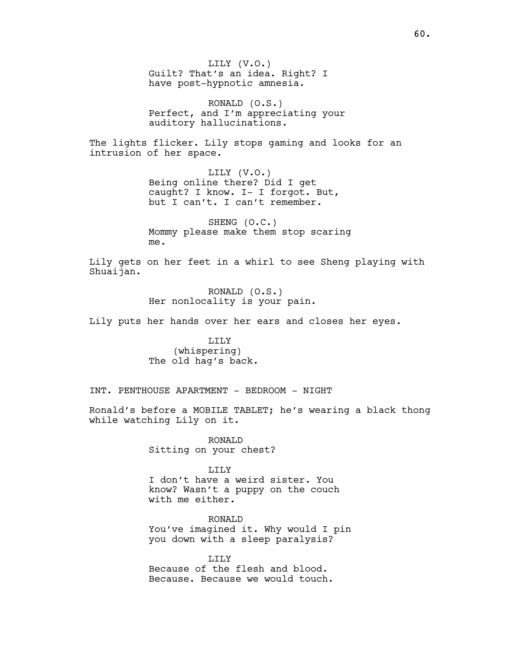LILY (V.O.) Guilt? That's an idea. Right? I have post-hypnotic amnesia.

RONALD (O.S.) Perfect, and I'm appreciating your auditory hallucinations.

The lights flicker. Lily stops gaming and looks for an intrusion of her space.

> LILY (V.O.) Being online there? Did I get caught? I know. I- I forgot. But, but I can't. I can't remember.

SHENG (O.C.) Mommy please make them stop scaring me.

Lily gets on her feet in a whirl to see Sheng playing with Shuaijan.

> RONALD (O.S.) Her nonlocality is your pain.

Lily puts her hands over her ears and closes her eyes.

LILY (whispering) The old hag's back.

INT. PENTHOUSE APARTMENT - BEDROOM - NIGHT

Ronald's before a MOBILE TABLET; he's wearing a black thong while watching Lily on it.

> RONALD Sitting on your chest?

T.TT.Y I don't have a weird sister. You know? Wasn't a puppy on the couch with me either.

RONALD You've imagined it. Why would I pin you down with a sleep paralysis?

LILY Because of the flesh and blood. Because. Because we would touch.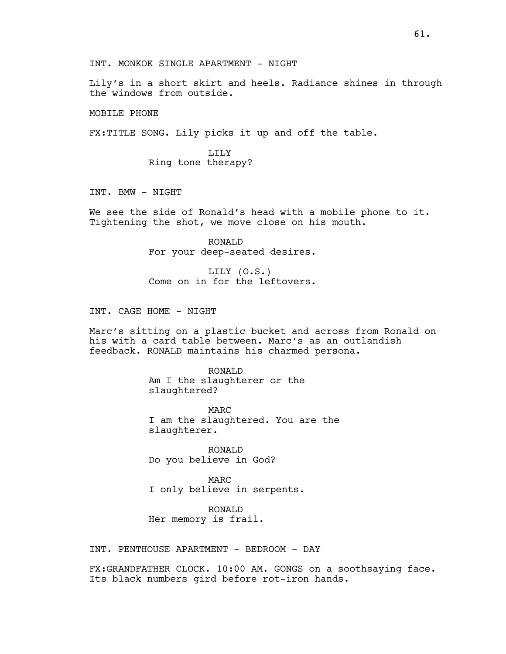INT. MONKOK SINGLE APARTMENT - NIGHT

Lily's in a short skirt and heels. Radiance shines in through the windows from outside.

MOBILE PHONE

FX:TITLE SONG. Lily picks it up and off the table.

LILY Ring tone therapy?

INT. BMW - NIGHT

We see the side of Ronald's head with a mobile phone to it. Tightening the shot, we move close on his mouth.

> RONALD For your deep-seated desires.

> LILY (O.S.) Come on in for the leftovers.

INT. CAGE HOME - NIGHT

Marc's sitting on a plastic bucket and across from Ronald on his with a card table between. Marc's as an outlandish feedback. RONALD maintains his charmed persona.

> RONALD Am I the slaughterer or the slaughtered?

MARC I am the slaughtered. You are the slaughterer.

RONALD Do you believe in God?

MARC I only believe in serpents.

RONALD Her memory is frail.

INT. PENTHOUSE APARTMENT - BEDROOM - DAY

FX:GRANDFATHER CLOCK. 10:00 AM. GONGS on a soothsaying face. Its black numbers gird before rot-iron hands.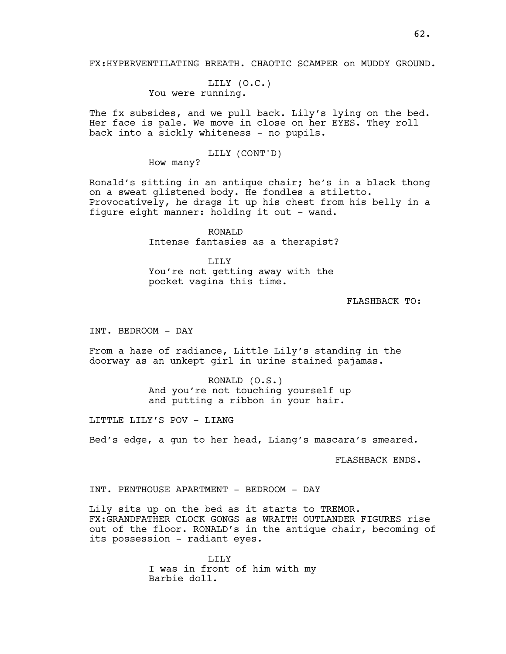LILY (O.C.) You were running.

The fx subsides, and we pull back. Lily's lying on the bed. Her face is pale. We move in close on her EYES. They roll back into a sickly whiteness - no pupils.

## LILY (CONT'D)

How many?

Ronald's sitting in an antique chair; he's in a black thong on a sweat glistened body. He fondles a stiletto. Provocatively, he drags it up his chest from his belly in a figure eight manner: holding it out - wand.

> RONALD Intense fantasies as a therapist?

LILY You're not getting away with the pocket vagina this time.

FLASHBACK TO:

INT. BEDROOM - DAY

From a haze of radiance, Little Lily's standing in the doorway as an unkept girl in urine stained pajamas.

> RONALD (O.S.) And you're not touching yourself up and putting a ribbon in your hair.

LITTLE LILY'S POV - LIANG

Bed's edge, a gun to her head, Liang's mascara's smeared.

FLASHBACK ENDS.

INT. PENTHOUSE APARTMENT - BEDROOM - DAY

Lily sits up on the bed as it starts to TREMOR. FX:GRANDFATHER CLOCK GONGS as WRAITH OUTLANDER FIGURES rise out of the floor. RONALD's in the antique chair, becoming of its possession - radiant eyes.

> **LILY** I was in front of him with my Barbie doll.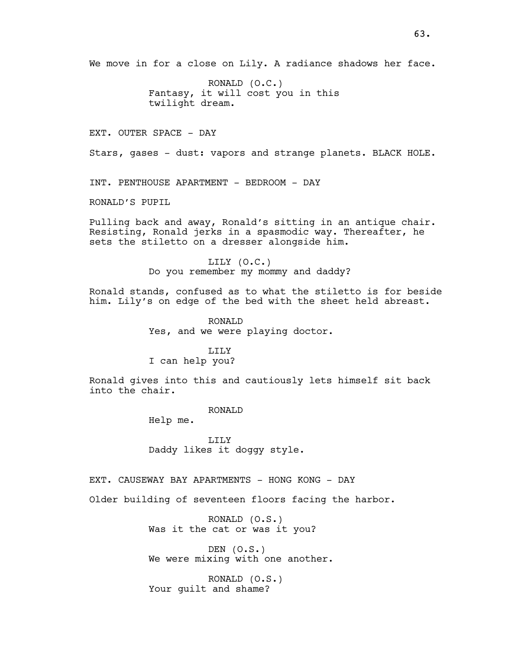We move in for a close on Lily. A radiance shadows her face.

RONALD (O.C.) Fantasy, it will cost you in this twilight dream.

EXT. OUTER SPACE - DAY

Stars, gases - dust: vapors and strange planets. BLACK HOLE.

INT. PENTHOUSE APARTMENT - BEDROOM - DAY

RONALD'S PUPIL

Pulling back and away, Ronald's sitting in an antique chair. Resisting, Ronald jerks in a spasmodic way. Thereafter, he sets the stiletto on a dresser alongside him.

> LILY (O.C.) Do you remember my mommy and daddy?

Ronald stands, confused as to what the stiletto is for beside him. Lily's on edge of the bed with the sheet held abreast.

> RONALD Yes, and we were playing doctor.

> > LILY

I can help you?

Ronald gives into this and cautiously lets himself sit back into the chair.

RONALD

Help me.

LILY Daddy likes it doggy style.

EXT. CAUSEWAY BAY APARTMENTS - HONG KONG - DAY

Older building of seventeen floors facing the harbor.

RONALD (O.S.) Was it the cat or was it you?

DEN (O.S.) We were mixing with one another.

RONALD (O.S.) Your guilt and shame?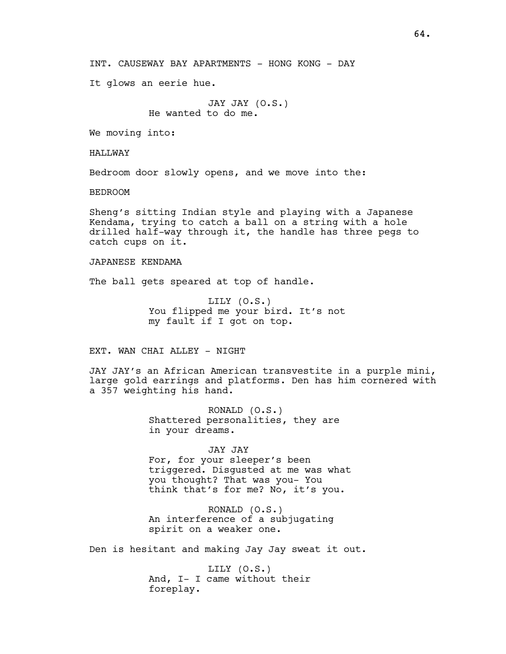INT. CAUSEWAY BAY APARTMENTS - HONG KONG - DAY

It glows an eerie hue.

JAY JAY (O.S.) He wanted to do me.

We moving into:

HALLWAY

Bedroom door slowly opens, and we move into the:

BEDROOM

Sheng's sitting Indian style and playing with a Japanese Kendama, trying to catch a ball on a string with a hole drilled half-way through it, the handle has three pegs to catch cups on it.

JAPANESE KENDAMA

The ball gets speared at top of handle.

LILY (O.S.) You flipped me your bird. It's not my fault if I got on top.

#### EXT. WAN CHAI ALLEY - NIGHT

JAY JAY's an African American transvestite in a purple mini, large gold earrings and platforms. Den has him cornered with a 357 weighting his hand.

> RONALD (O.S.) Shattered personalities, they are in your dreams.

JAY JAY For, for your sleeper's been triggered. Disgusted at me was what you thought? That was you- You think that's for me? No, it's you.

RONALD (O.S.) An interference of a subjugating spirit on a weaker one.

Den is hesitant and making Jay Jay sweat it out.

LILY (O.S.) And, I- I came without their foreplay.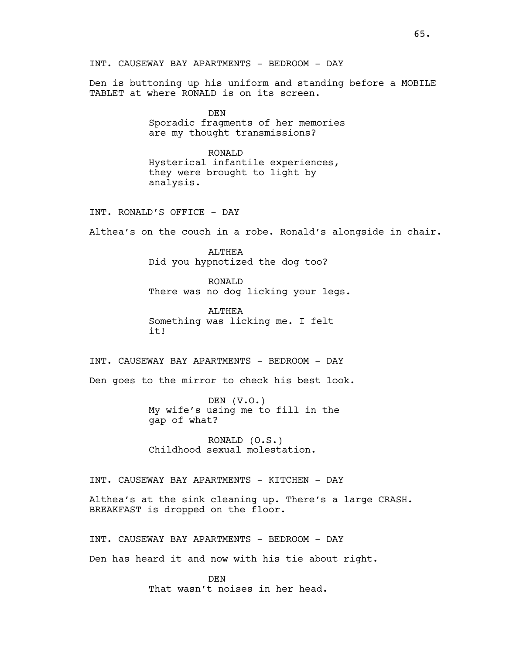Den is buttoning up his uniform and standing before a MOBILE TABLET at where RONALD is on its screen.

> DEN Sporadic fragments of her memories are my thought transmissions?

RONALD Hysterical infantile experiences, they were brought to light by analysis.

INT. RONALD'S OFFICE - DAY

Althea's on the couch in a robe. Ronald's alongside in chair.

ALTHEA Did you hypnotized the dog too?

RONALD There was no dog licking your legs.

ALTHEA Something was licking me. I felt it!

INT. CAUSEWAY BAY APARTMENTS - BEDROOM - DAY

Den goes to the mirror to check his best look.

DEN (V.O.) My wife's using me to fill in the gap of what?

RONALD (O.S.) Childhood sexual molestation.

INT. CAUSEWAY BAY APARTMENTS - KITCHEN - DAY

Althea's at the sink cleaning up. There's a large CRASH. BREAKFAST is dropped on the floor.

INT. CAUSEWAY BAY APARTMENTS - BEDROOM - DAY Den has heard it and now with his tie about right.

> DEN That wasn't noises in her head.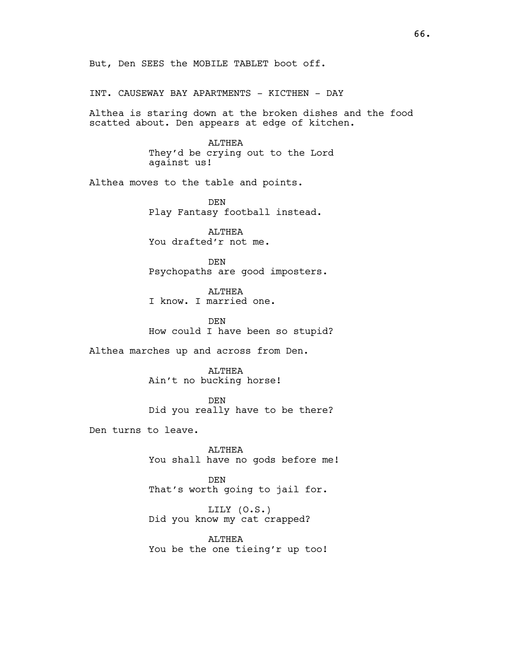INT. CAUSEWAY BAY APARTMENTS - KICTHEN - DAY

Althea is staring down at the broken dishes and the food scatted about. Den appears at edge of kitchen.

> ALTHEA They'd be crying out to the Lord against us!

Althea moves to the table and points.

DEN Play Fantasy football instead.

**ALTHEA** You drafted'r not me.

DEN Psychopaths are good imposters.

ALTHEA I know. I married one.

DEN How could I have been so stupid?

Althea marches up and across from Den.

ALTHEA Ain't no bucking horse!

DEN Did you really have to be there?

Den turns to leave.

ALTHEA You shall have no gods before me!

DEN That's worth going to jail for.

LILY (O.S.) Did you know my cat crapped?

ALTHEA You be the one tieing'r up too!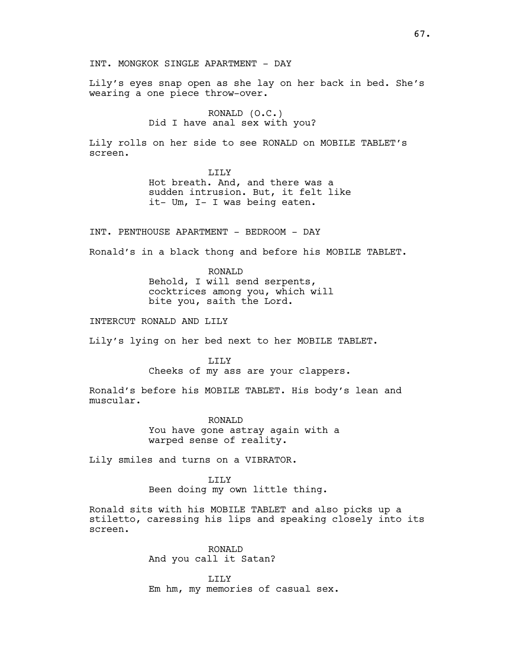Lily's eyes snap open as she lay on her back in bed. She's wearing a one piece throw-over.

> RONALD (O.C.) Did I have anal sex with you?

Lily rolls on her side to see RONALD on MOBILE TABLET's screen.

> LILY Hot breath. And, and there was a sudden intrusion. But, it felt like it- Um, I- I was being eaten.

INT. PENTHOUSE APARTMENT - BEDROOM - DAY

Ronald's in a black thong and before his MOBILE TABLET.

RONALD Behold, I will send serpents, cocktrices among you, which will bite you, saith the Lord.

INTERCUT RONALD AND LILY

Lily's lying on her bed next to her MOBILE TABLET.

T.TT.Y

Cheeks of my ass are your clappers.

Ronald's before his MOBILE TABLET. His body's lean and muscular.

> RONALD You have gone astray again with a warped sense of reality.

Lily smiles and turns on a VIBRATOR.

LILY Been doing my own little thing.

Ronald sits with his MOBILE TABLET and also picks up a stiletto, caressing his lips and speaking closely into its screen.

> RONALD And you call it Satan?

T.TT.Y Em hm, my memories of casual sex.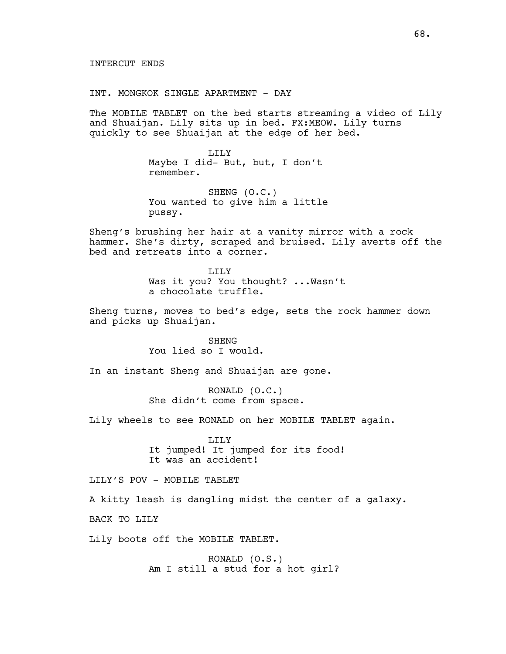INT. MONGKOK SINGLE APARTMENT - DAY

The MOBILE TABLET on the bed starts streaming a video of Lily and Shuaijan. Lily sits up in bed. FX:MEOW. Lily turns quickly to see Shuaijan at the edge of her bed.

> LILY Maybe I did- But, but, I don't remember.

SHENG (O.C.) You wanted to give him a little pussy.

Sheng's brushing her hair at a vanity mirror with a rock hammer. She's dirty, scraped and bruised. Lily averts off the bed and retreats into a corner.

> T.TT.Y Was it you? You thought? ...Wasn't a chocolate truffle.

Sheng turns, moves to bed's edge, sets the rock hammer down and picks up Shuaijan.

> **SHENG** You lied so I would.

In an instant Sheng and Shuaijan are gone.

RONALD (O.C.) She didn't come from space.

Lily wheels to see RONALD on her MOBILE TABLET again.

LILY It jumped! It jumped for its food! It was an accident!

LILY'S POV - MOBILE TABLET

A kitty leash is dangling midst the center of a galaxy.

BACK TO LILY

Lily boots off the MOBILE TABLET.

RONALD (O.S.) Am I still a stud for a hot girl?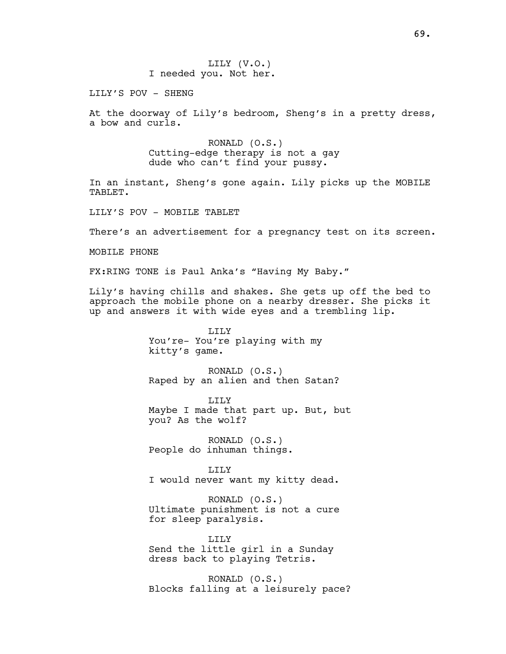LILY (V.O.) I needed you. Not her.

LILY'S POV - SHENG

At the doorway of Lily's bedroom, Sheng's in a pretty dress, a bow and curls.

> RONALD (O.S.) Cutting-edge therapy is not a gay dude who can't find your pussy.

In an instant, Sheng's gone again. Lily picks up the MOBILE TABLET.

LILY'S POV - MOBILE TABLET

There's an advertisement for a pregnancy test on its screen.

MOBILE PHONE

FX:RING TONE is Paul Anka's "Having My Baby."

Lily's having chills and shakes. She gets up off the bed to approach the mobile phone on a nearby dresser. She picks it up and answers it with wide eyes and a trembling lip.

> LILY You're- You're playing with my kitty's game.

RONALD (O.S.) Raped by an alien and then Satan?

LILY Maybe I made that part up. But, but you? As the wolf?

RONALD (O.S.) People do inhuman things.

T.TT.Y I would never want my kitty dead.

RONALD (O.S.) Ultimate punishment is not a cure for sleep paralysis.

T.TT.Y Send the little girl in a Sunday dress back to playing Tetris.

RONALD (O.S.) Blocks falling at a leisurely pace?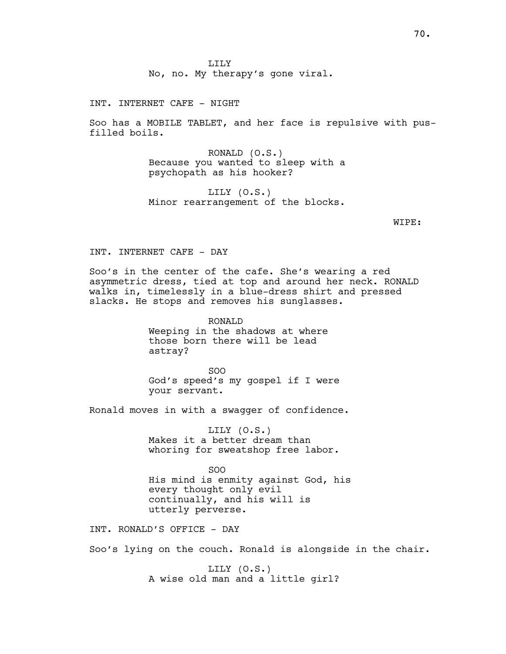#### INT. INTERNET CAFE - NIGHT

Soo has a MOBILE TABLET, and her face is repulsive with pusfilled boils.

> RONALD (O.S.) Because you wanted to sleep with a psychopath as his hooker?

> LILY (O.S.) Minor rearrangement of the blocks.

> > WIPE:

#### INT. INTERNET CAFE - DAY

Soo's in the center of the cafe. She's wearing a red asymmetric dress, tied at top and around her neck. RONALD walks in, timelessly in a blue-dress shirt and pressed slacks. He stops and removes his sunglasses.

> RONALD Weeping in the shadows at where those born there will be lead astray?

SOO God's speed's my gospel if I were your servant.

Ronald moves in with a swagger of confidence.

LILY (O.S.) Makes it a better dream than whoring for sweatshop free labor.

SOO His mind is enmity against God, his every thought only evil continually, and his will is utterly perverse.

INT. RONALD'S OFFICE - DAY

Soo's lying on the couch. Ronald is alongside in the chair.

LILY (O.S.) A wise old man and a little girl?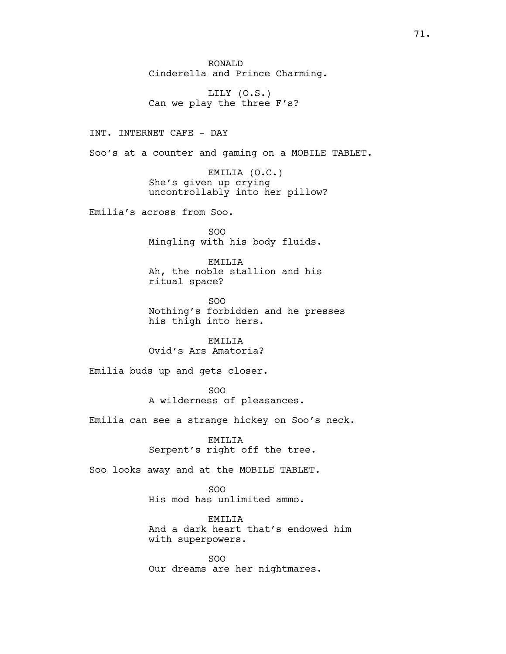RONALD Cinderella and Prince Charming.

LILY (O.S.) Can we play the three F's?

INT. INTERNET CAFE - DAY

Soo's at a counter and gaming on a MOBILE TABLET.

EMILIA (O.C.) She's given up crying uncontrollably into her pillow?

Emilia's across from Soo.

SOO Mingling with his body fluids.

EMILIA Ah, the noble stallion and his ritual space?

SOO Nothing's forbidden and he presses his thigh into hers.

EMILIA Ovid's Ars Amatoria?

Emilia buds up and gets closer.

SOO A wilderness of pleasances.

Emilia can see a strange hickey on Soo's neck.

EMILIA Serpent's right off the tree.

Soo looks away and at the MOBILE TABLET.

SOO His mod has unlimited ammo.

EMILIA And a dark heart that's endowed him with superpowers.

SOO Our dreams are her nightmares.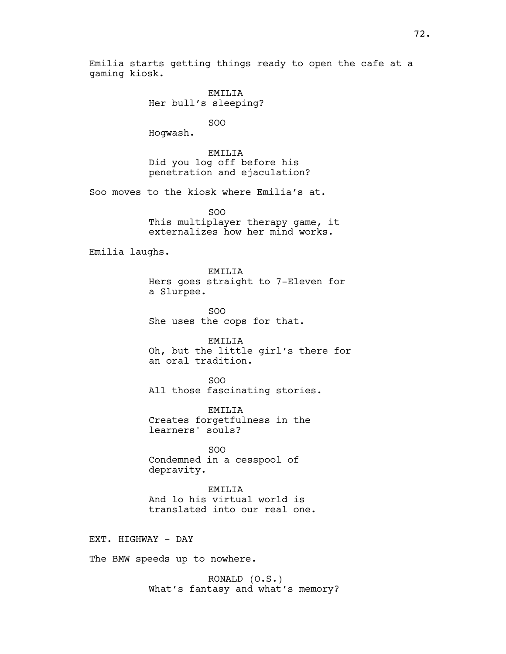Emilia starts getting things ready to open the cafe at a gaming kiosk.

> EMILIA Her bull's sleeping?

> > SOO

Hogwash.

EMILIA Did you log off before his penetration and ejaculation?

Soo moves to the kiosk where Emilia's at.

SOO This multiplayer therapy game, it externalizes how her mind works.

Emilia laughs.

EMILIA Hers goes straight to 7-Eleven for a Slurpee.

SOO She uses the cops for that.

EMILIA Oh, but the little girl's there for an oral tradition.

SOO All those fascinating stories.

EMILIA Creates forgetfulness in the learners' souls?

SOO Condemned in a cesspool of depravity.

EMILIA And lo his virtual world is translated into our real one.

EXT. HIGHWAY - DAY

The BMW speeds up to nowhere.

RONALD (O.S.) What's fantasy and what's memory?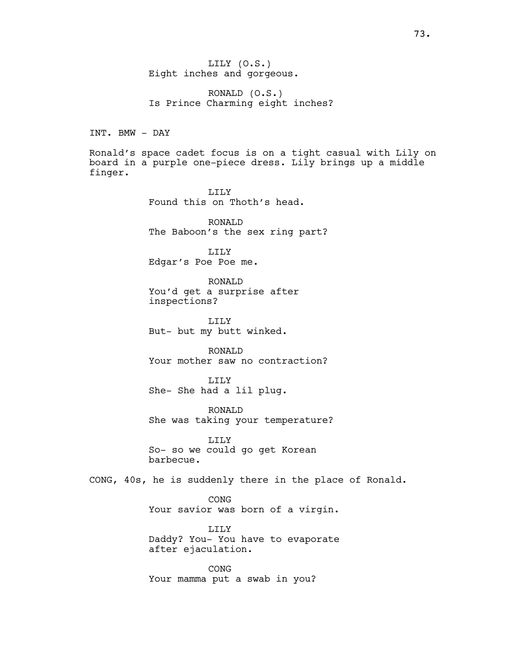LILY (O.S.) Eight inches and gorgeous.

RONALD (O.S.) Is Prince Charming eight inches?

INT. BMW - DAY

Ronald's space cadet focus is on a tight casual with Lily on board in a purple one-piece dress. Lily brings up a middle finger.

> LILY Found this on Thoth's head.

RONALD The Baboon's the sex ring part?

T.TT.Y Edgar's Poe Poe me.

RONALD You'd get a surprise after inspections?

LILY But- but my butt winked.

RONALD Your mother saw no contraction?

LILY She- She had a lil plug.

RONALD She was taking your temperature?

LILY So- so we could go get Korean barbecue.

CONG, 40s, he is suddenly there in the place of Ronald.

CONG Your savior was born of a virgin.

LILY Daddy? You- You have to evaporate after ejaculation.

CONG Your mamma put a swab in you?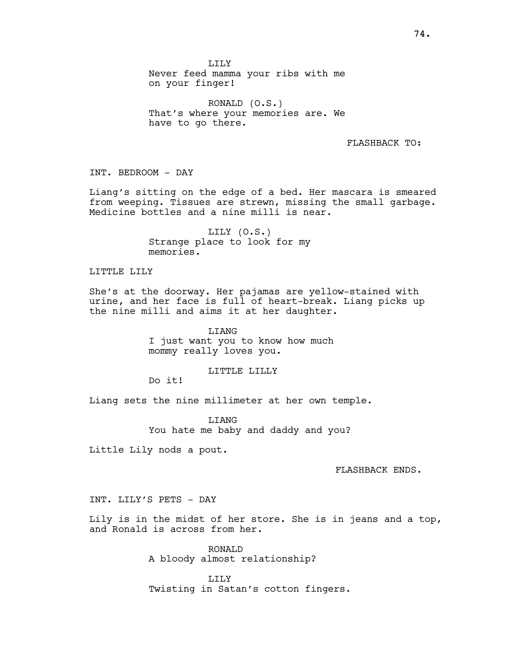LILY Never feed mamma your ribs with me on your finger!

RONALD (O.S.) That's where your memories are. We have to go there.

FLASHBACK TO:

INT. BEDROOM - DAY

Liang's sitting on the edge of a bed. Her mascara is smeared from weeping. Tissues are strewn, missing the small garbage. Medicine bottles and a nine milli is near.

> LILY (O.S.) Strange place to look for my memories.

### LITTLE LILY

She's at the doorway. Her pajamas are yellow-stained with urine, and her face is full of heart-break. Liang picks up the nine milli and aims it at her daughter.

> LIANG I just want you to know how much mommy really loves you.

### LITTLE LILLY

Do it!

Liang sets the nine millimeter at her own temple.

**T.TANG** You hate me baby and daddy and you?

Little Lily nods a pout.

FLASHBACK ENDS.

### INT. LILY'S PETS - DAY

Lily is in the midst of her store. She is in jeans and a top, and Ronald is across from her.

> RONALD A bloody almost relationship?

T.TT.Y Twisting in Satan's cotton fingers.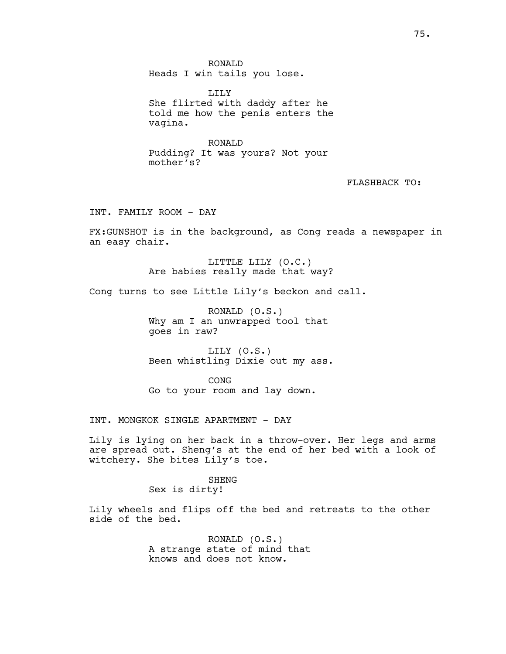RONALD Heads I win tails you lose.

LILY She flirted with daddy after he told me how the penis enters the vagina.

RONALD Pudding? It was yours? Not your mother's?

FLASHBACK TO:

INT. FAMILY ROOM - DAY

FX:GUNSHOT is in the background, as Cong reads a newspaper in an easy chair.

> LITTLE LILY (O.C.) Are babies really made that way?

Cong turns to see Little Lily's beckon and call.

RONALD (O.S.) Why am I an unwrapped tool that goes in raw?

LILY (O.S.) Been whistling Dixie out my ass.

CONG Go to your room and lay down.

INT. MONGKOK SINGLE APARTMENT - DAY

Lily is lying on her back in a throw-over. Her legs and arms are spread out. Sheng's at the end of her bed with a look of witchery. She bites Lily's toe.

> SHENG Sex is dirty!

Lily wheels and flips off the bed and retreats to the other side of the bed.

> RONALD (O.S.) A strange state of mind that knows and does not know.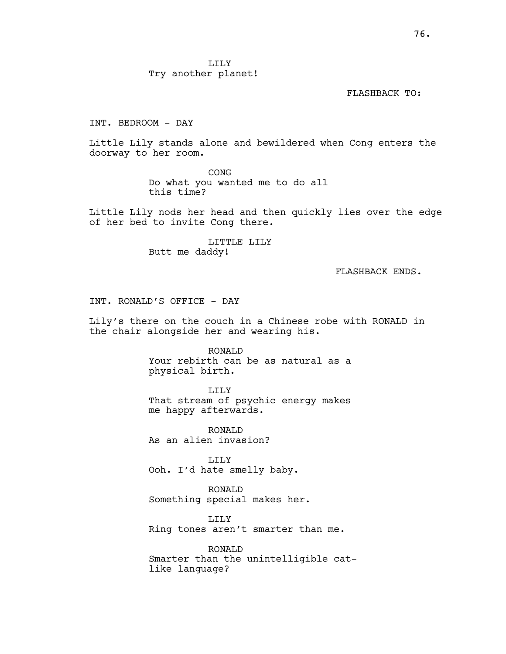FLASHBACK TO:

INT. BEDROOM - DAY

Little Lily stands alone and bewildered when Cong enters the doorway to her room.

> CONG Do what you wanted me to do all this time?

Little Lily nods her head and then quickly lies over the edge of her bed to invite Cong there.

> LITTLE LILY Butt me daddy!

> > FLASHBACK ENDS.

INT. RONALD'S OFFICE - DAY

Lily's there on the couch in a Chinese robe with RONALD in the chair alongside her and wearing his.

> RONALD Your rebirth can be as natural as a physical birth.

> LILY That stream of psychic energy makes me happy afterwards.

RONAT<sub>D</sub> As an alien invasion?

LILY Ooh. I'd hate smelly baby.

RONALD Something special makes her.

LILY Ring tones aren't smarter than me.

RONALD Smarter than the unintelligible catlike language?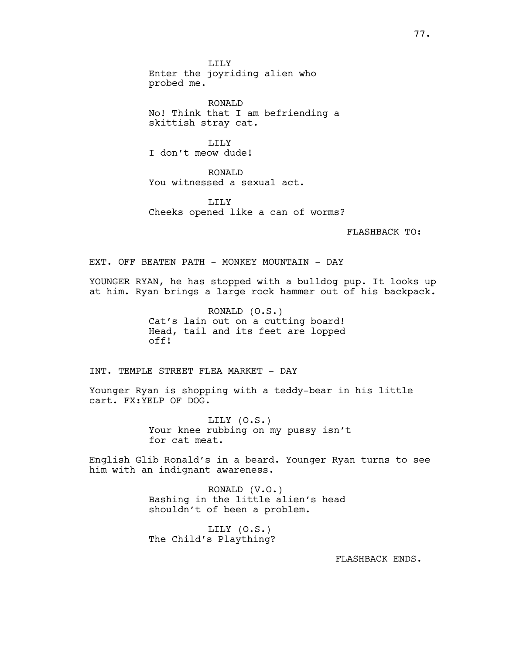LILY Enter the joyriding alien who probed me.

RONALD No! Think that I am befriending a skittish stray cat.

T.TT.Y I don't meow dude!

RONALD You witnessed a sexual act.

LILY Cheeks opened like a can of worms?

FLASHBACK TO:

EXT. OFF BEATEN PATH - MONKEY MOUNTAIN - DAY

YOUNGER RYAN, he has stopped with a bulldog pup. It looks up at him. Ryan brings a large rock hammer out of his backpack.

> RONALD (O.S.) Cat's lain out on a cutting board! Head, tail and its feet are lopped off!

INT. TEMPLE STREET FLEA MARKET - DAY

Younger Ryan is shopping with a teddy-bear in his little cart. FX:YELP OF DOG.

> LILY (O.S.) Your knee rubbing on my pussy isn't for cat meat.

English Glib Ronald's in a beard. Younger Ryan turns to see him with an indignant awareness.

> RONALD (V.O.) Bashing in the little alien's head shouldn't of been a problem.

LILY (O.S.) The Child's Plaything?

FLASHBACK ENDS.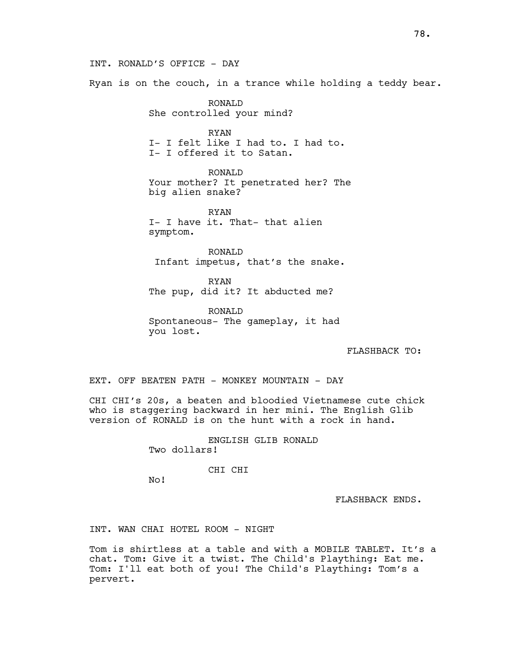INT. RONALD'S OFFICE - DAY

Ryan is on the couch, in a trance while holding a teddy bear.

RONALD She controlled your mind?

RYAN I- I felt like I had to. I had to. I- I offered it to Satan.

RONALD Your mother? It penetrated her? The big alien snake?

RYAN I- I have it. That- that alien symptom.

RONAT<sub>D</sub> Infant impetus, that's the snake.

RYAN The pup, did it? It abducted me?

RONALD Spontaneous- The gameplay, it had you lost.

FLASHBACK TO:

EXT. OFF BEATEN PATH - MONKEY MOUNTAIN - DAY

CHI CHI's 20s, a beaten and bloodied Vietnamese cute chick who is staggering backward in her mini. The English Glib version of RONALD is on the hunt with a rock in hand.

> ENGLISH GLIB RONALD Two dollars!

> > CHI CHI

No!

FLASHBACK ENDS.

INT. WAN CHAI HOTEL ROOM - NIGHT

Tom is shirtless at a table and with a MOBILE TABLET. It's a chat. Tom: Give it a twist. The Child's Plaything: Eat me. Tom: I'll eat both of you! The Child's Plaything: Tom's a pervert.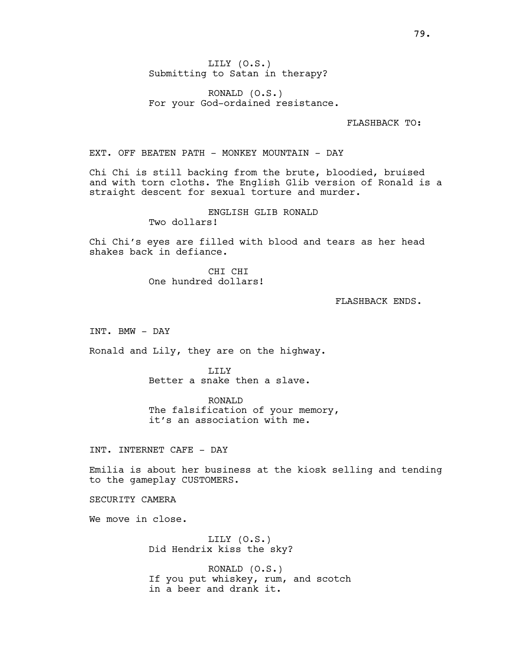LILY (O.S.) Submitting to Satan in therapy?

RONALD (O.S.) For your God-ordained resistance.

FLASHBACK TO:

EXT. OFF BEATEN PATH - MONKEY MOUNTAIN - DAY

Chi Chi is still backing from the brute, bloodied, bruised and with torn cloths. The English Glib version of Ronald is a straight descent for sexual torture and murder.

> ENGLISH GLIB RONALD Two dollars!

Chi Chi's eyes are filled with blood and tears as her head shakes back in defiance.

> CHI CHI One hundred dollars!

> > FLASHBACK ENDS.

INT. BMW - DAY

Ronald and Lily, they are on the highway.

LILY Better a snake then a slave.

RONALD The falsification of your memory, it's an association with me.

INT. INTERNET CAFE - DAY

Emilia is about her business at the kiosk selling and tending to the gameplay CUSTOMERS.

SECURITY CAMERA

We move in close.

LILY (O.S.) Did Hendrix kiss the sky?

RONALD (O.S.) If you put whiskey, rum, and scotch in a beer and drank it.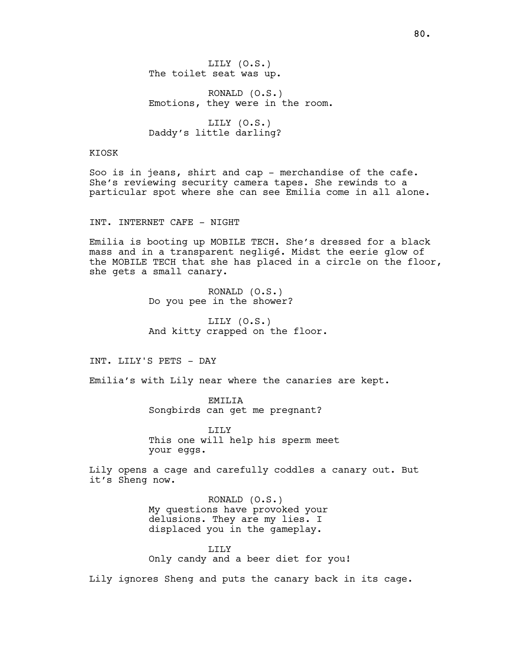LILY (O.S.) The toilet seat was up.

RONALD (O.S.) Emotions, they were in the room.

LILY (O.S.) Daddy's little darling?

KIOSK

Soo is in jeans, shirt and cap - merchandise of the cafe. She's reviewing security camera tapes. She rewinds to a particular spot where she can see Emilia come in all alone.

#### INT. INTERNET CAFE - NIGHT

Emilia is booting up MOBILE TECH. She's dressed for a black mass and in a transparent negligé. Midst the eerie glow of the MOBILE TECH that she has placed in a circle on the floor, she gets a small canary.

> RONALD (O.S.) Do you pee in the shower?

LILY (O.S.) And kitty crapped on the floor.

INT. LILY'S PETS - DAY

Emilia's with Lily near where the canaries are kept.

EMILIA Songbirds can get me pregnant?

LILY This one will help his sperm meet your eggs.

Lily opens a cage and carefully coddles a canary out. But it's Sheng now.

> RONALD (O.S.) My questions have provoked your delusions. They are my lies. I displaced you in the gameplay.

LILY Only candy and a beer diet for you!

Lily ignores Sheng and puts the canary back in its cage.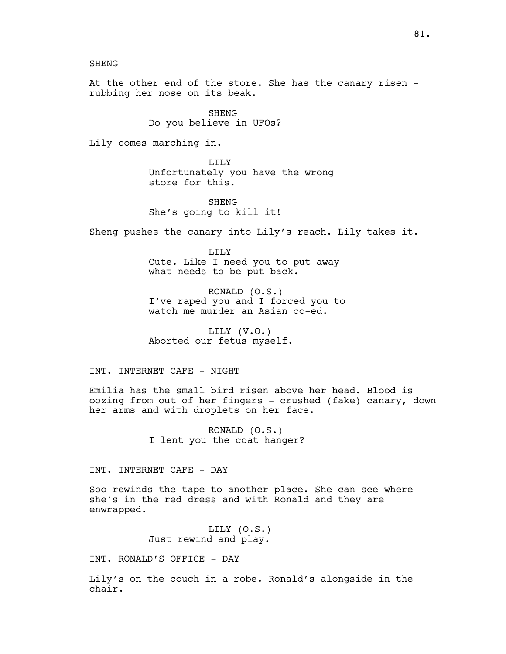SHENG

At the other end of the store. She has the canary risen rubbing her nose on its beak.

> SHENG Do you believe in UFOs?

Lily comes marching in.

LILY Unfortunately you have the wrong store for this.

**SHENG** She's going to kill it!

Sheng pushes the canary into Lily's reach. Lily takes it.

LILY Cute. Like I need you to put away what needs to be put back.

RONALD (O.S.) I've raped you and I forced you to watch me murder an Asian co-ed.

LILY (V.O.) Aborted our fetus myself.

### INT. INTERNET CAFE - NIGHT

Emilia has the small bird risen above her head. Blood is oozing from out of her fingers - crushed (fake) canary, down her arms and with droplets on her face.

> RONALD (O.S.) I lent you the coat hanger?

# INT. INTERNET CAFE - DAY

Soo rewinds the tape to another place. She can see where she's in the red dress and with Ronald and they are enwrapped.

> LILY (O.S.) Just rewind and play.

INT. RONALD'S OFFICE - DAY

Lily's on the couch in a robe. Ronald's alongside in the chair.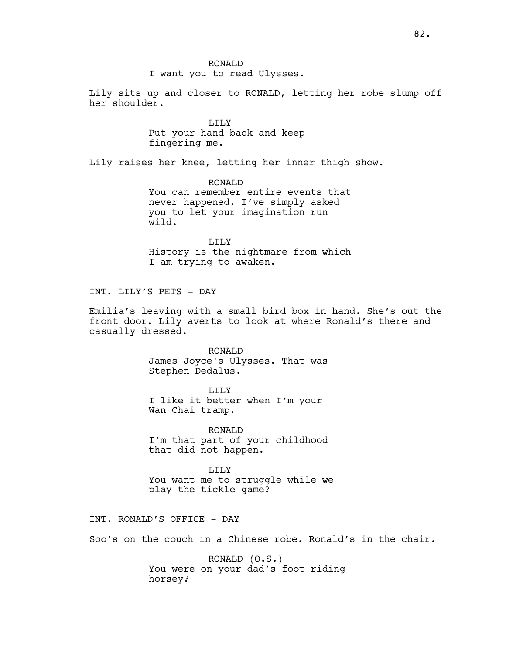RONALD I want you to read Ulysses.

Lily sits up and closer to RONALD, letting her robe slump off her shoulder.

> LILY Put your hand back and keep fingering me.

Lily raises her knee, letting her inner thigh show.

RONALD You can remember entire events that never happened. I've simply asked you to let your imagination run wild.

LILY History is the nightmare from which I am trying to awaken.

INT. LILY'S PETS - DAY

Emilia's leaving with a small bird box in hand. She's out the front door. Lily averts to look at where Ronald's there and casually dressed.

> RONALD James Joyce's Ulysses. That was Stephen Dedalus.

LILY I like it better when I'm your Wan Chai tramp.

RONALD I'm that part of your childhood that did not happen.

T.TT.Y You want me to struggle while we play the tickle game?

INT. RONALD'S OFFICE - DAY

Soo's on the couch in a Chinese robe. Ronald's in the chair.

RONALD (O.S.) You were on your dad's foot riding horsey?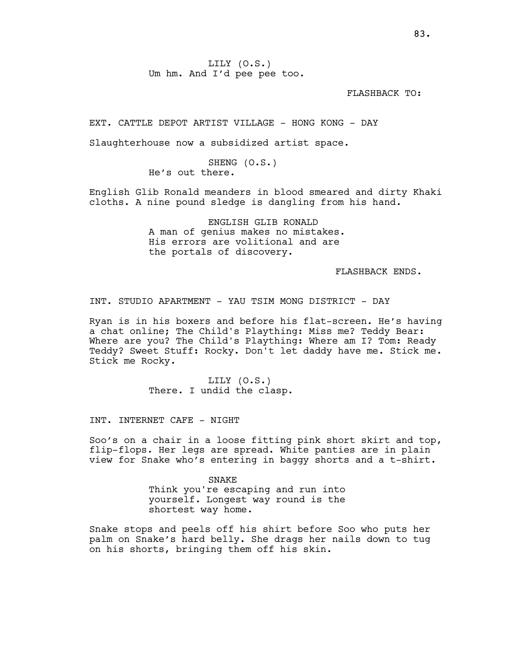LILY (O.S.) Um hm. And I'd pee pee too.

FLASHBACK TO:

EXT. CATTLE DEPOT ARTIST VILLAGE - HONG KONG - DAY

Slaughterhouse now a subsidized artist space.

SHENG (O.S.) He's out there.

English Glib Ronald meanders in blood smeared and dirty Khaki cloths. A nine pound sledge is dangling from his hand.

> ENGLISH GLIB RONALD A man of genius makes no mistakes. His errors are volitional and are the portals of discovery.

> > FLASHBACK ENDS.

INT. STUDIO APARTMENT - YAU TSIM MONG DISTRICT - DAY

Ryan is in his boxers and before his flat-screen. He's having a chat online; The Child's Plaything: Miss me? Teddy Bear: Where are you? The Child's Plaything: Where am I? Tom: Ready Teddy? Sweet Stuff: Rocky. Don't let daddy have me. Stick me. Stick me Rocky.

> LILY (O.S.) There. I undid the clasp.

INT. INTERNET CAFE - NIGHT

Soo's on a chair in a loose fitting pink short skirt and top, flip-flops. Her legs are spread. White panties are in plain view for Snake who's entering in baggy shorts and a t-shirt.

> SNAKE Think you're escaping and run into yourself. Longest way round is the shortest way home.

Snake stops and peels off his shirt before Soo who puts her palm on Snake's hard belly. She drags her nails down to tug on his shorts, bringing them off his skin.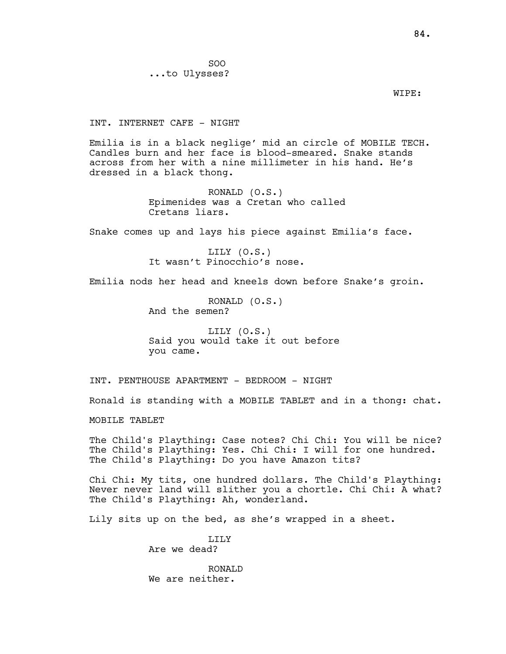SOO ...to Ulysses?

# INT. INTERNET CAFE - NIGHT

Emilia is in a black neglige' mid an circle of MOBILE TECH. Candles burn and her face is blood-smeared. Snake stands across from her with a nine millimeter in his hand. He's dressed in a black thong.

> RONALD (O.S.) Epimenides was a Cretan who called Cretans liars.

Snake comes up and lays his piece against Emilia's face.

LILY (O.S.) It wasn't Pinocchio's nose.

Emilia nods her head and kneels down before Snake's groin.

RONALD (O.S.) And the semen?

LILY (O.S.) Said you would take it out before you came.

INT. PENTHOUSE APARTMENT - BEDROOM - NIGHT

Ronald is standing with a MOBILE TABLET and in a thong: chat.

MOBILE TABLET

The Child's Plaything: Case notes? Chi Chi: You will be nice? The Child's Plaything: Yes. Chi Chi: I will for one hundred. The Child's Plaything: Do you have Amazon tits?

Chi Chi: My tits, one hundred dollars. The Child's Plaything: Never never land will slither you a chortle. Chi Chi: A what? The Child's Plaything: Ah, wonderland.

Lily sits up on the bed, as she's wrapped in a sheet.

T.TT.Y Are we dead?

RONALD We are neither.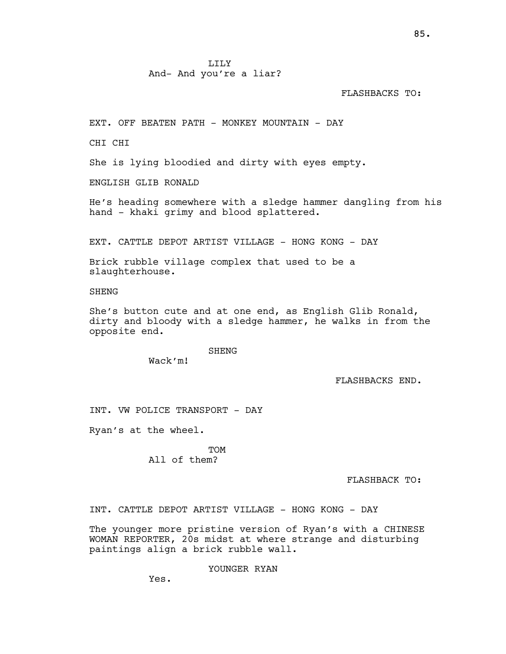And- And you're a liar?

#### FLASHBACKS TO:

EXT. OFF BEATEN PATH - MONKEY MOUNTAIN - DAY

CHI CHI

She is lying bloodied and dirty with eyes empty.

ENGLISH GLIB RONALD

He's heading somewhere with a sledge hammer dangling from his hand - khaki grimy and blood splattered.

EXT. CATTLE DEPOT ARTIST VILLAGE - HONG KONG - DAY

Brick rubble village complex that used to be a slaughterhouse.

SHENG

She's button cute and at one end, as English Glib Ronald, dirty and bloody with a sledge hammer, he walks in from the opposite end.

SHENG

Wack'm!

FLASHBACKS END.

INT. VW POLICE TRANSPORT - DAY

Ryan's at the wheel.

**TOM** All of them?

FLASHBACK TO:

INT. CATTLE DEPOT ARTIST VILLAGE - HONG KONG - DAY

The younger more pristine version of Ryan's with a CHINESE WOMAN REPORTER, 20s midst at where strange and disturbing paintings align a brick rubble wall.

YOUNGER RYAN

Yes.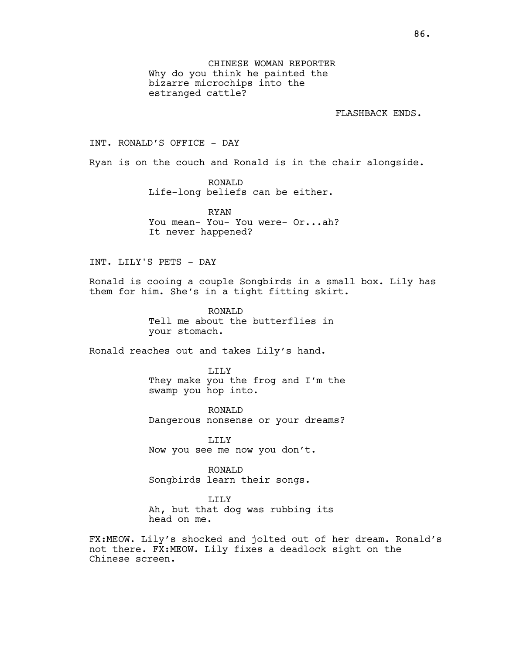CHINESE WOMAN REPORTER Why do you think he painted the bizarre microchips into the estranged cattle?

FLASHBACK ENDS.

INT. RONALD'S OFFICE - DAY

Ryan is on the couch and Ronald is in the chair alongside.

RONALD Life-long beliefs can be either.

RYAN You mean- You- You were- Or...ah? It never happened?

INT. LILY'S PETS - DAY

Ronald is cooing a couple Songbirds in a small box. Lily has them for him. She's in a tight fitting skirt.

> RONALD Tell me about the butterflies in your stomach.

Ronald reaches out and takes Lily's hand.

LILY They make you the frog and I'm the swamp you hop into.

RONALD Dangerous nonsense or your dreams?

LILY Now you see me now you don't.

RONALD Songbirds learn their songs.

LILY Ah, but that dog was rubbing its head on me.

FX:MEOW. Lily's shocked and jolted out of her dream. Ronald's not there. FX:MEOW. Lily fixes a deadlock sight on the Chinese screen.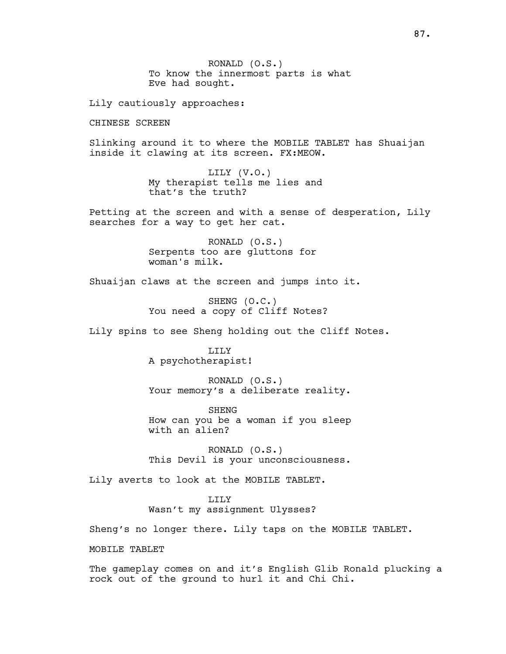RONALD (O.S.) To know the innermost parts is what Eve had sought.

Lily cautiously approaches:

CHINESE SCREEN

Slinking around it to where the MOBILE TABLET has Shuaijan inside it clawing at its screen. FX:MEOW.

> LILY (V.O.) My therapist tells me lies and that's the truth?

Petting at the screen and with a sense of desperation, Lily searches for a way to get her cat.

> RONALD (O.S.) Serpents too are gluttons for woman's milk.

Shuaijan claws at the screen and jumps into it.

SHENG (O.C.) You need a copy of Cliff Notes?

Lily spins to see Sheng holding out the Cliff Notes.

LILY A psychotherapist!

RONALD (O.S.) Your memory's a deliberate reality.

SHENG How can you be a woman if you sleep with an alien?

RONALD (O.S.) This Devil is your unconsciousness.

Lily averts to look at the MOBILE TABLET.

LILY Wasn't my assignment Ulysses?

Sheng's no longer there. Lily taps on the MOBILE TABLET.

MOBILE TABLET

The gameplay comes on and it's English Glib Ronald plucking a rock out of the ground to hurl it and Chi Chi.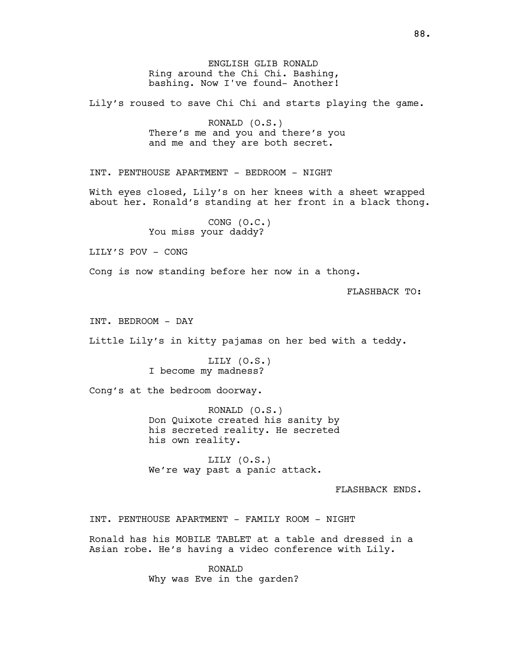ENGLISH GLIB RONALD Ring around the Chi Chi. Bashing, bashing. Now I've found- Another!

Lily's roused to save Chi Chi and starts playing the game.

RONALD (O.S.) There's me and you and there's you and me and they are both secret.

INT. PENTHOUSE APARTMENT - BEDROOM - NIGHT

With eyes closed, Lily's on her knees with a sheet wrapped about her. Ronald's standing at her front in a black thong.

> CONG (O.C.) You miss your daddy?

LILY'S POV - CONG

Cong is now standing before her now in a thong.

FLASHBACK TO:

INT. BEDROOM - DAY

Little Lily's in kitty pajamas on her bed with a teddy.

LILY (O.S.) I become my madness?

Cong's at the bedroom doorway.

RONALD (O.S.) Don Quixote created his sanity by his secreted reality. He secreted his own reality.

LILY (O.S.) We're way past a panic attack.

FLASHBACK ENDS.

INT. PENTHOUSE APARTMENT - FAMILY ROOM - NIGHT

Ronald has his MOBILE TABLET at a table and dressed in a Asian robe. He's having a video conference with Lily.

> RONALD Why was Eve in the garden?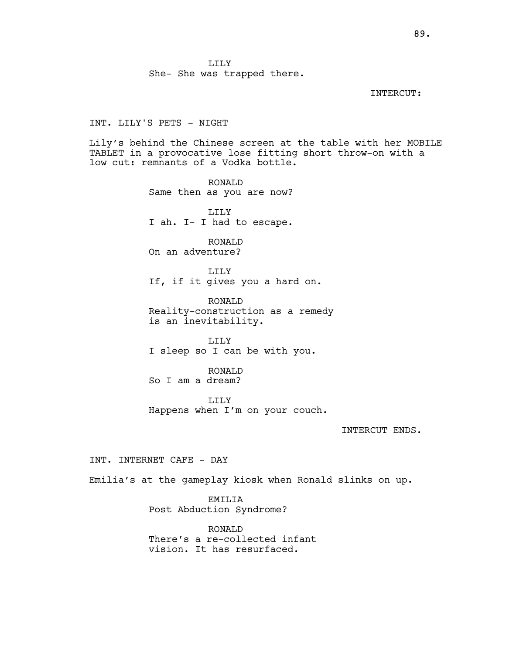LILY She- She was trapped there.

INTERCUT:

89.

### INT. LILY'S PETS - NIGHT

Lily's behind the Chinese screen at the table with her MOBILE TABLET in a provocative lose fitting short throw-on with a low cut: remnants of a Vodka bottle.

> RONALD Same then as you are now?

> T.TT.Y I ah. I- I had to escape.

RONALD On an adventure?

LILY If, if it gives you a hard on.

RONALD Reality-construction as a remedy is an inevitability.

LILY I sleep so I can be with you.

RONALD So I am a dream?

LILY Happens when I'm on your couch.

INTERCUT ENDS.

INT. INTERNET CAFE - DAY

Emilia's at the gameplay kiosk when Ronald slinks on up.

EMILIA Post Abduction Syndrome?

RONALD There's a re-collected infant vision. It has resurfaced.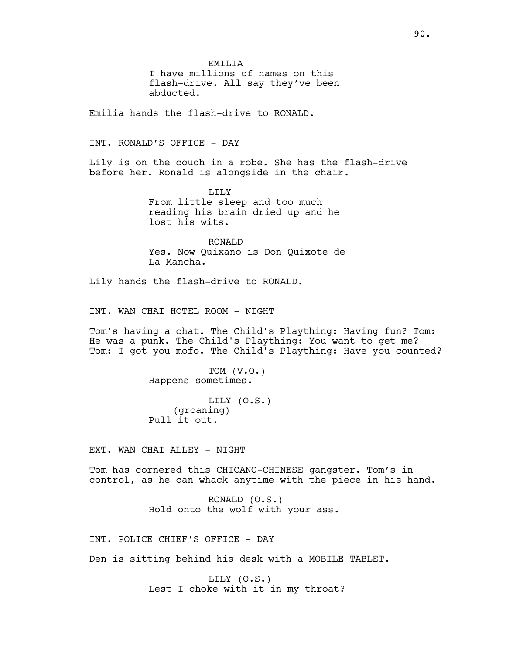EMILIA I have millions of names on this flash-drive. All say they've been abducted.

Emilia hands the flash-drive to RONALD.

# INT. RONALD'S OFFICE - DAY

Lily is on the couch in a robe. She has the flash-drive before her. Ronald is alongside in the chair.

> LILY From little sleep and too much reading his brain dried up and he lost his wits.

RONALD Yes. Now Quixano is Don Quixote de La Mancha.

Lily hands the flash-drive to RONALD.

INT. WAN CHAI HOTEL ROOM - NIGHT

Tom's having a chat. The Child's Plaything: Having fun? Tom: He was a punk. The Child's Plaything: You want to get me? Tom: I got you mofo. The Child's Plaything: Have you counted?

> TOM (V.O.) Happens sometimes.

LILY (O.S.) (groaning) Pull it out.

EXT. WAN CHAI ALLEY - NIGHT

Tom has cornered this CHICANO-CHINESE gangster. Tom's in control, as he can whack anytime with the piece in his hand.

> RONALD (O.S.) Hold onto the wolf with your ass.

INT. POLICE CHIEF'S OFFICE - DAY

Den is sitting behind his desk with a MOBILE TABLET.

LILY (O.S.) Lest I choke with it in my throat?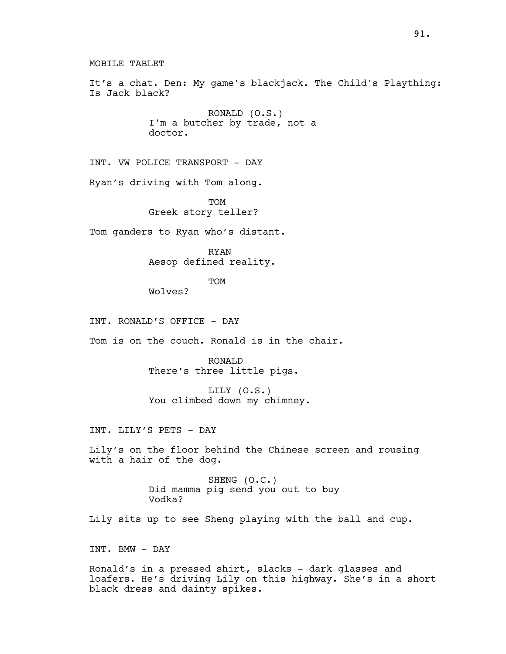MOBILE TABLET

It's a chat. Den: My game's blackjack. The Child's Plaything: Is Jack black?

> RONALD (O.S.) I'm a butcher by trade, not a doctor.

INT. VW POLICE TRANSPORT - DAY

Ryan's driving with Tom along.

TOM Greek story teller?

Tom ganders to Ryan who's distant.

RYAN Aesop defined reality.

TOM

Wolves?

INT. RONALD'S OFFICE - DAY

Tom is on the couch. Ronald is in the chair.

RONAT<sub>D</sub> There's three little pigs.

LILY (O.S.) You climbed down my chimney.

INT. LILY'S PETS - DAY

Lily's on the floor behind the Chinese screen and rousing with a hair of the dog.

> SHENG (O.C.) Did mamma pig send you out to buy Vodka?

Lily sits up to see Sheng playing with the ball and cup.

INT. BMW - DAY

Ronald's in a pressed shirt, slacks - dark glasses and loafers. He's driving Lily on this highway. She's in a short black dress and dainty spikes.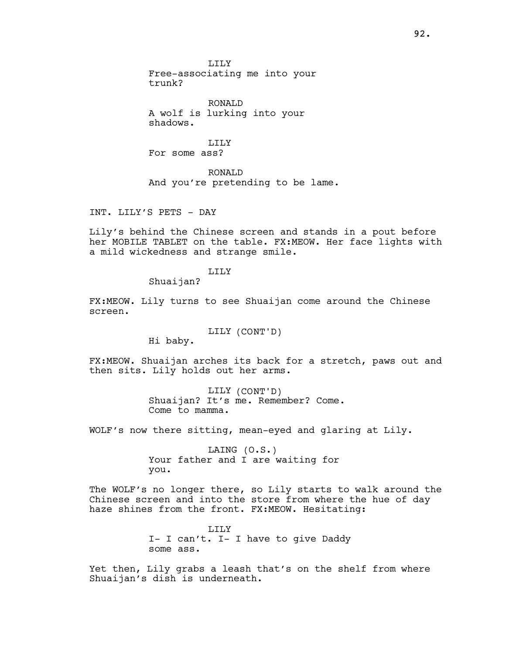LILY Free-associating me into your trunk?

RONALD A wolf is lurking into your shadows.

T.TT.Y For some ass?

RONALD And you're pretending to be lame.

INT. LILY'S PETS - DAY

Lily's behind the Chinese screen and stands in a pout before her MOBILE TABLET on the table. FX:MEOW. Her face lights with a mild wickedness and strange smile.

#### LILY

Shuaijan?

FX:MEOW. Lily turns to see Shuaijan come around the Chinese screen.

LILY (CONT'D)

Hi baby.

FX:MEOW. Shuaijan arches its back for a stretch, paws out and then sits. Lily holds out her arms.

> LILY (CONT'D) Shuaijan? It's me. Remember? Come. Come to mamma.

WOLF's now there sitting, mean-eyed and glaring at Lily.

LAING (O.S.) Your father and I are waiting for you.

The WOLF's no longer there, so Lily starts to walk around the Chinese screen and into the store from where the hue of day haze shines from the front. FX:MEOW. Hesitating:

> LILY I- I can't. I- I have to give Daddy some ass.

Yet then, Lily grabs a leash that's on the shelf from where Shuaijan's dish is underneath.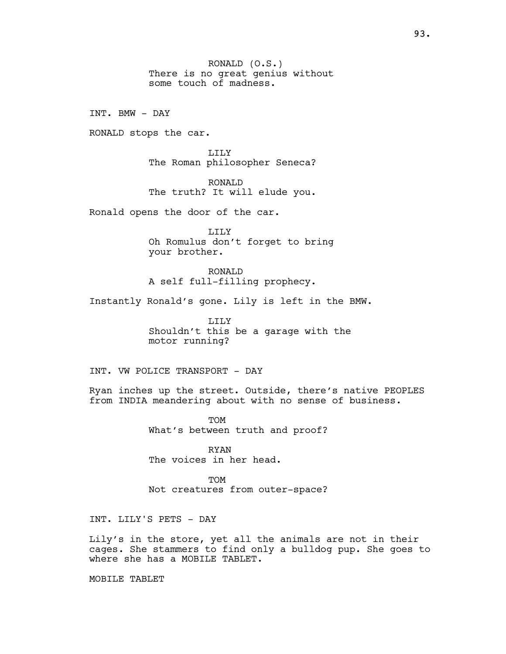RONALD (O.S.) There is no great genius without some touch of madness.

INT. BMW - DAY

RONALD stops the car.

LILY The Roman philosopher Seneca?

RONALD The truth? It will elude you.

Ronald opens the door of the car.

LILY Oh Romulus don't forget to bring your brother.

RONALD A self full-filling prophecy.

Instantly Ronald's gone. Lily is left in the BMW.

LILY Shouldn't this be a garage with the motor running?

INT. VW POLICE TRANSPORT - DAY

Ryan inches up the street. Outside, there's native PEOPLES from INDIA meandering about with no sense of business.

> TOM What's between truth and proof?

RYAN The voices in her head.

TOM Not creatures from outer-space?

INT. LILY'S PETS - DAY

Lily's in the store, yet all the animals are not in their cages. She stammers to find only a bulldog pup. She goes to where she has a MOBILE TABLET.

MOBILE TABLET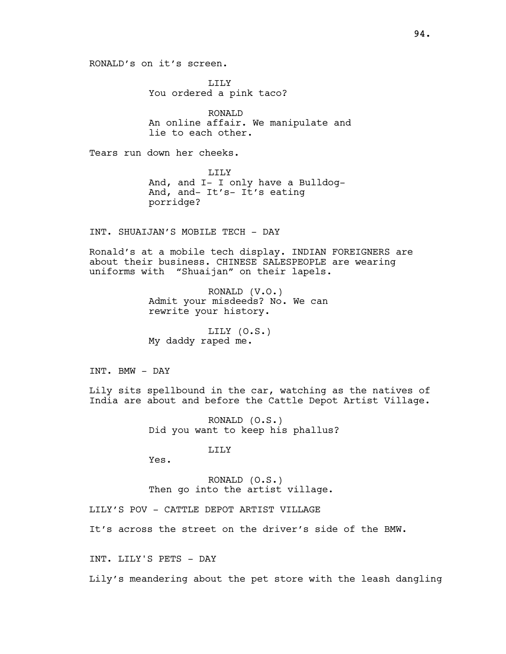RONALD's on it's screen.

LILY You ordered a pink taco?

RONALD An online affair. We manipulate and lie to each other.

Tears run down her cheeks.

LILY And, and I- I only have a Bulldog-And, and- It's- It's eating porridge?

INT. SHUAIJAN'S MOBILE TECH - DAY

Ronald's at a mobile tech display. INDIAN FOREIGNERS are about their business. CHINESE SALESPEOPLE are wearing uniforms with "Shuaijan" on their lapels.

> RONALD (V.O.) Admit your misdeeds? No. We can rewrite your history.

LILY (O.S.) My daddy raped me.

INT. BMW - DAY

Lily sits spellbound in the car, watching as the natives of India are about and before the Cattle Depot Artist Village.

> RONALD (O.S.) Did you want to keep his phallus?

> > T.TT.Y

Yes.

RONALD (O.S.) Then go into the artist village.

LILY'S POV - CATTLE DEPOT ARTIST VILLAGE

It's across the street on the driver's side of the BMW.

INT. LILY'S PETS - DAY

Lily's meandering about the pet store with the leash dangling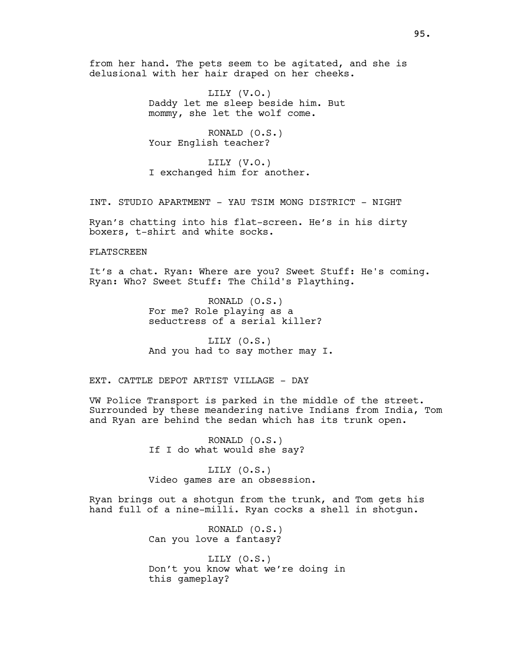from her hand. The pets seem to be agitated, and she is delusional with her hair draped on her cheeks.

> LILY (V.O.) Daddy let me sleep beside him. But mommy, she let the wolf come.

RONALD (O.S.) Your English teacher?

LILY (V.O.) I exchanged him for another.

INT. STUDIO APARTMENT - YAU TSIM MONG DISTRICT - NIGHT

Ryan's chatting into his flat-screen. He's in his dirty boxers, t-shirt and white socks.

## FLATSCREEN

It's a chat. Ryan: Where are you? Sweet Stuff: He's coming. Ryan: Who? Sweet Stuff: The Child's Plaything.

> RONALD (O.S.) For me? Role playing as a seductress of a serial killer?

LILY (O.S.) And you had to say mother may I.

EXT. CATTLE DEPOT ARTIST VILLAGE - DAY

VW Police Transport is parked in the middle of the street. Surrounded by these meandering native Indians from India, Tom and Ryan are behind the sedan which has its trunk open.

> RONALD (O.S.) If I do what would she say?

LILY (O.S.) Video games are an obsession.

Ryan brings out a shotgun from the trunk, and Tom gets his hand full of a nine-milli. Ryan cocks a shell in shotgun.

> RONALD (O.S.) Can you love a fantasy?

LILY (O.S.) Don't you know what we're doing in this gameplay?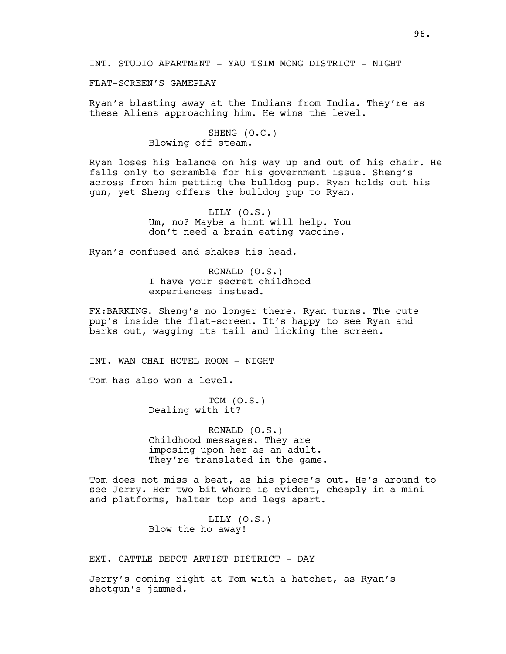FLAT-SCREEN'S GAMEPLAY

Ryan's blasting away at the Indians from India. They're as these Aliens approaching him. He wins the level.

> SHENG (O.C.) Blowing off steam.

Ryan loses his balance on his way up and out of his chair. He falls only to scramble for his government issue. Sheng's across from him petting the bulldog pup. Ryan holds out his gun, yet Sheng offers the bulldog pup to Ryan.

> LILY (O.S.) Um, no? Maybe a hint will help. You don't need a brain eating vaccine.

Ryan's confused and shakes his head.

RONALD (O.S.) I have your secret childhood experiences instead.

FX:BARKING. Sheng's no longer there. Ryan turns. The cute pup's inside the flat-screen. It's happy to see Ryan and barks out, wagging its tail and licking the screen.

INT. WAN CHAI HOTEL ROOM - NIGHT

Tom has also won a level.

TOM (O.S.) Dealing with it?

RONALD (O.S.) Childhood messages. They are imposing upon her as an adult. They're translated in the game.

Tom does not miss a beat, as his piece's out. He's around to see Jerry. Her two-bit whore is evident, cheaply in a mini and platforms, halter top and legs apart.

> LILY (O.S.) Blow the ho away!

EXT. CATTLE DEPOT ARTIST DISTRICT - DAY

Jerry's coming right at Tom with a hatchet, as Ryan's shotgun's jammed.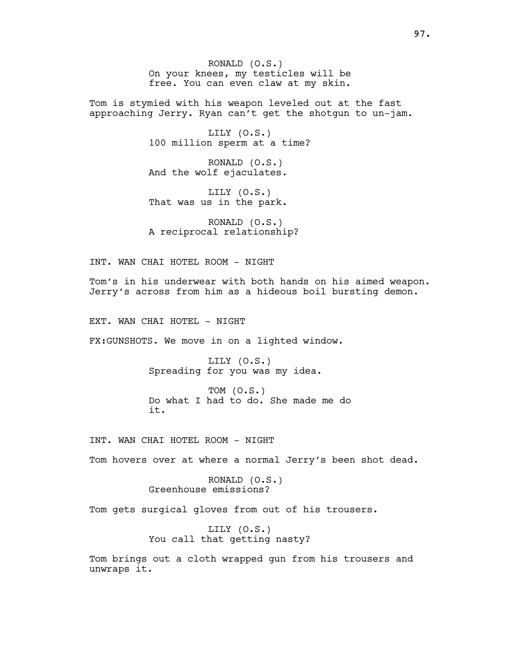RONALD (O.S.) On your knees, my testicles will be free. You can even claw at my skin.

Tom is stymied with his weapon leveled out at the fast approaching Jerry. Ryan can't get the shotgun to un-jam.

> LILY (O.S.) 100 million sperm at a time?

RONALD (O.S.) And the wolf ejaculates.

LILY (O.S.) That was us in the park.

RONALD (O.S.) A reciprocal relationship?

INT. WAN CHAI HOTEL ROOM - NIGHT

Tom's in his underwear with both hands on his aimed weapon. Jerry's across from him as a hideous boil bursting demon.

EXT. WAN CHAI HOTEL - NIGHT

FX:GUNSHOTS. We move in on a lighted window.

LILY (O.S.) Spreading for you was my idea.

TOM (O.S.) Do what I had to do. She made me do it.

INT. WAN CHAI HOTEL ROOM - NIGHT

Tom hovers over at where a normal Jerry's been shot dead.

RONALD (O.S.) Greenhouse emissions?

Tom gets surgical gloves from out of his trousers.

LILY (O.S.) You call that getting nasty?

Tom brings out a cloth wrapped gun from his trousers and unwraps it.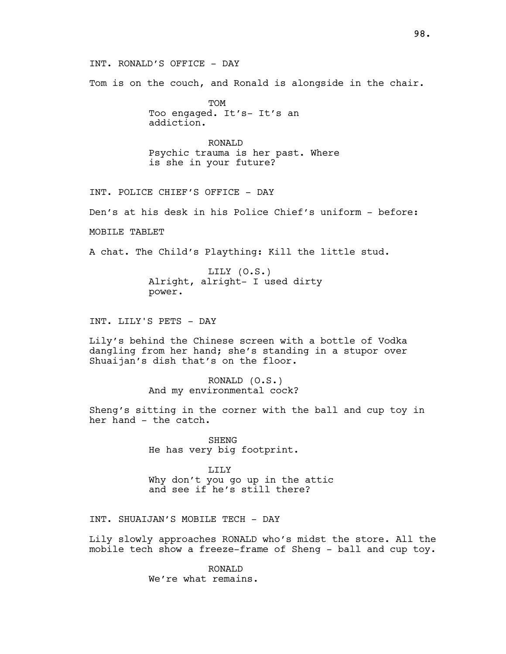INT. RONALD'S OFFICE - DAY

Tom is on the couch, and Ronald is alongside in the chair.

**TOM** Too engaged. It's- It's an addiction.

RONAT<sub>D</sub> Psychic trauma is her past. Where is she in your future?

INT. POLICE CHIEF'S OFFICE - DAY

Den's at his desk in his Police Chief's uniform - before:

MOBILE TABLET

A chat. The Child's Plaything: Kill the little stud.

LILY (O.S.) Alright, alright- I used dirty power.

INT. LILY'S PETS - DAY

Lily's behind the Chinese screen with a bottle of Vodka dangling from her hand; she's standing in a stupor over Shuaijan's dish that's on the floor.

> RONALD (O.S.) And my environmental cock?

Sheng's sitting in the corner with the ball and cup toy in her hand - the catch.

> SHENG He has very big footprint.

LILY Why don't you go up in the attic and see if he's still there?

INT. SHUAIJAN'S MOBILE TECH - DAY

Lily slowly approaches RONALD who's midst the store. All the mobile tech show a freeze-frame of Sheng - ball and cup toy.

> RONALD We're what remains.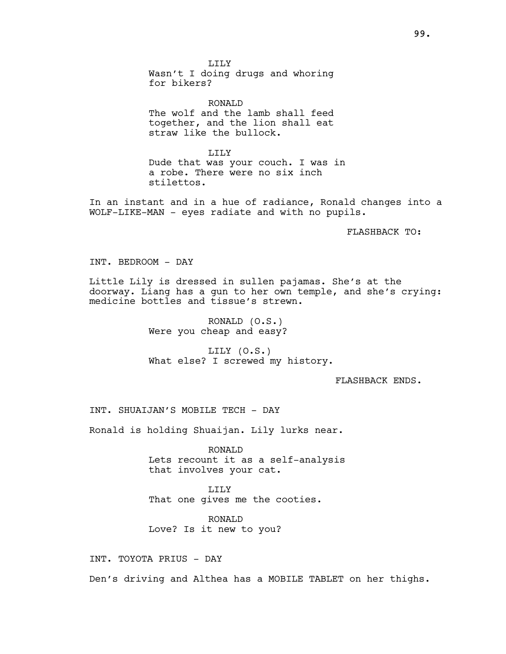LILY Wasn't I doing drugs and whoring for bikers?

RONALD The wolf and the lamb shall feed together, and the lion shall eat straw like the bullock.

T.TT.Y Dude that was your couch. I was in a robe. There were no six inch stilettos.

In an instant and in a hue of radiance, Ronald changes into a WOLF-LIKE-MAN - eyes radiate and with no pupils.

#### FLASHBACK TO:

INT. BEDROOM - DAY

Little Lily is dressed in sullen pajamas. She's at the doorway. Liang has a gun to her own temple, and she's crying: medicine bottles and tissue's strewn.

> RONALD (O.S.) Were you cheap and easy?

LILY (O.S.) What else? I screwed my history.

FLASHBACK ENDS.

INT. SHUAIJAN'S MOBILE TECH - DAY

Ronald is holding Shuaijan. Lily lurks near.

RONALD Lets recount it as a self-analysis that involves your cat.

T.TT.Y That one gives me the cooties.

RONALD Love? Is it new to you?

INT. TOYOTA PRIUS - DAY

Den's driving and Althea has a MOBILE TABLET on her thighs.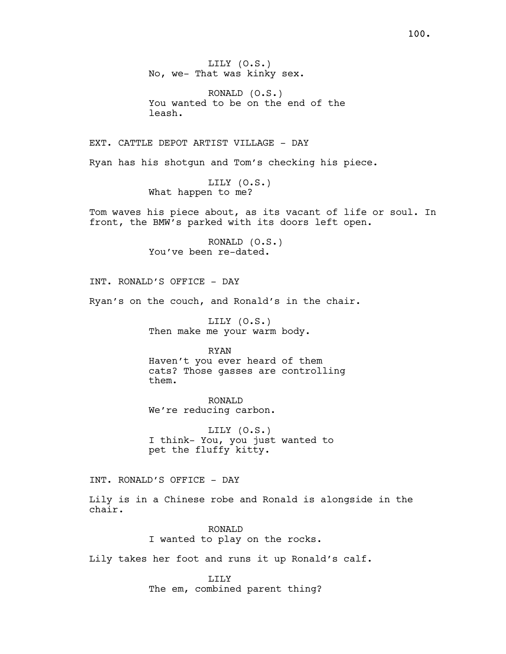LILY (O.S.) No, we- That was kinky sex.

RONALD (O.S.) You wanted to be on the end of the leash.

EXT. CATTLE DEPOT ARTIST VILLAGE - DAY

Ryan has his shotgun and Tom's checking his piece.

LILY (O.S.) What happen to me?

Tom waves his piece about, as its vacant of life or soul. In front, the BMW's parked with its doors left open.

> RONALD (O.S.) You've been re-dated.

INT. RONALD'S OFFICE - DAY

Ryan's on the couch, and Ronald's in the chair.

LILY (O.S.) Then make me your warm body.

RYAN Haven't you ever heard of them cats? Those gasses are controlling them.

RONALD We're reducing carbon.

LILY (O.S.) I think- You, you just wanted to pet the fluffy kitty.

INT. RONALD'S OFFICE - DAY

Lily is in a Chinese robe and Ronald is alongside in the chair.

> RONALD I wanted to play on the rocks.

Lily takes her foot and runs it up Ronald's calf.

T.TT.Y The em, combined parent thing?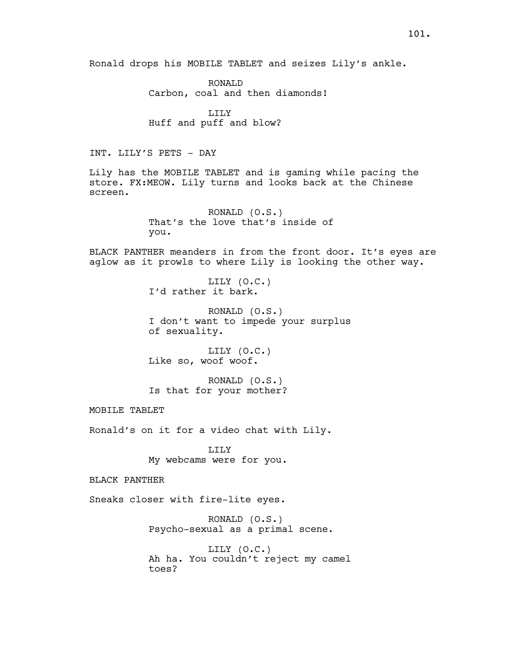RONALD Carbon, coal and then diamonds!

LILY Huff and puff and blow?

INT. LILY'S PETS - DAY

Lily has the MOBILE TABLET and is gaming while pacing the store. FX:MEOW. Lily turns and looks back at the Chinese screen.

> RONALD (O.S.) That's the love that's inside of you.

BLACK PANTHER meanders in from the front door. It's eyes are aglow as it prowls to where Lily is looking the other way.

> LILY (O.C.) I'd rather it bark.

RONALD (O.S.) I don't want to impede your surplus of sexuality.

LILY (O.C.) Like so, woof woof.

RONALD (O.S.) Is that for your mother?

MOBILE TABLET

Ronald's on it for a video chat with Lily.

LILY My webcams were for you.

BLACK PANTHER

Sneaks closer with fire-lite eyes.

RONALD (O.S.) Psycho-sexual as a primal scene.

LILY (O.C.) Ah ha. You couldn't reject my camel toes?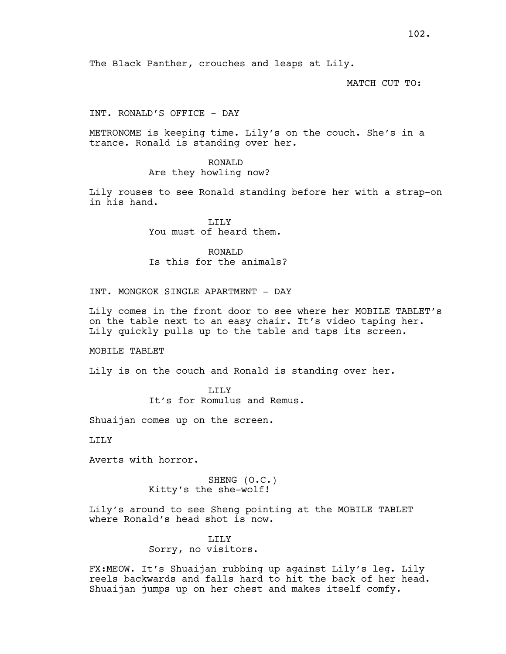The Black Panther, crouches and leaps at Lily.

MATCH CUT TO:

#### INT. RONALD'S OFFICE - DAY

METRONOME is keeping time. Lily's on the couch. She's in a trance. Ronald is standing over her.

## RONALD Are they howling now?

Lily rouses to see Ronald standing before her with a strap-on in his hand.

> LILY You must of heard them.

RONALD Is this for the animals?

INT. MONGKOK SINGLE APARTMENT - DAY

Lily comes in the front door to see where her MOBILE TABLET's on the table next to an easy chair. It's video taping her. Lily quickly pulls up to the table and taps its screen.

MOBILE TABLET

Lily is on the couch and Ronald is standing over her.

LILY It's for Romulus and Remus.

Shuaijan comes up on the screen.

LILY

Averts with horror.

SHENG (O.C.) Kitty's the she-wolf!

Lily's around to see Sheng pointing at the MOBILE TABLET where Ronald's head shot is now.

# T.TT.Y Sorry, no visitors.

FX:MEOW. It's Shuaijan rubbing up against Lily's leg. Lily reels backwards and falls hard to hit the back of her head. Shuaijan jumps up on her chest and makes itself comfy.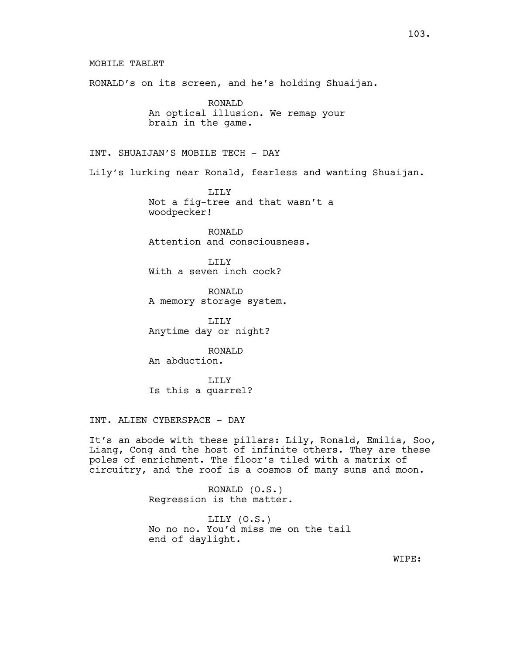MOBILE TABLET

RONALD's on its screen, and he's holding Shuaijan.

RONALD An optical illusion. We remap your brain in the game.

INT. SHUAIJAN'S MOBILE TECH - DAY

Lily's lurking near Ronald, fearless and wanting Shuaijan.

LILY Not a fig-tree and that wasn't a woodpecker!

RONALD Attention and consciousness.

LILY With a seven inch cock?

RONALD A memory storage system.

LILY Anytime day or night?

RONALD An abduction.

LILY Is this a quarrel?

INT. ALIEN CYBERSPACE - DAY

It's an abode with these pillars: Lily, Ronald, Emilia, Soo, Liang, Cong and the host of infinite others. They are these poles of enrichment. The floor's tiled with a matrix of circuitry, and the roof is a cosmos of many suns and moon.

> RONALD (O.S.) Regression is the matter.

LILY (O.S.) No no no. You'd miss me on the tail end of daylight.

WIPE: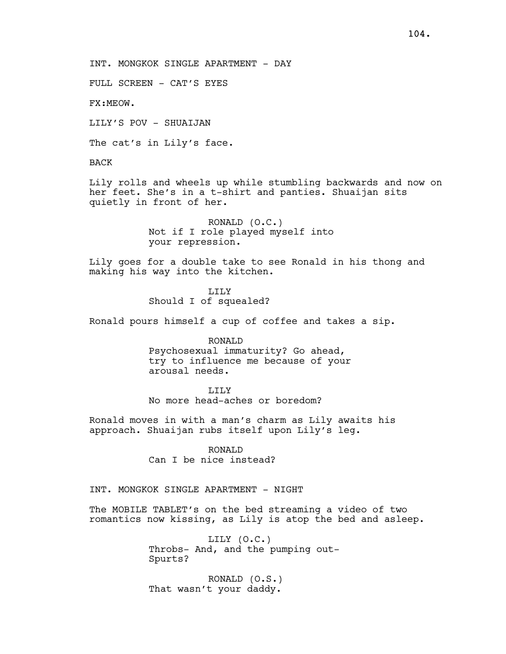INT. MONGKOK SINGLE APARTMENT - DAY

FULL SCREEN - CAT'S EYES

FX:MEOW.

LILY'S POV - SHUAIJAN

The cat's in Lily's face.

BACK

Lily rolls and wheels up while stumbling backwards and now on her feet. She's in a t-shirt and panties. Shuaijan sits quietly in front of her.

> RONALD (O.C.) Not if I role played myself into your repression.

Lily goes for a double take to see Ronald in his thong and making his way into the kitchen.

> LILY Should I of squealed?

Ronald pours himself a cup of coffee and takes a sip.

RONALD

Psychosexual immaturity? Go ahead, try to influence me because of your arousal needs.

T.TT.Y

No more head-aches or boredom?

Ronald moves in with a man's charm as Lily awaits his approach. Shuaijan rubs itself upon Lily's leg.

> RONALD Can I be nice instead?

INT. MONGKOK SINGLE APARTMENT - NIGHT

The MOBILE TABLET's on the bed streaming a video of two romantics now kissing, as Lily is atop the bed and asleep.

> LILY (O.C.) Throbs- And, and the pumping out-Spurts?

RONALD (O.S.) That wasn't your daddy.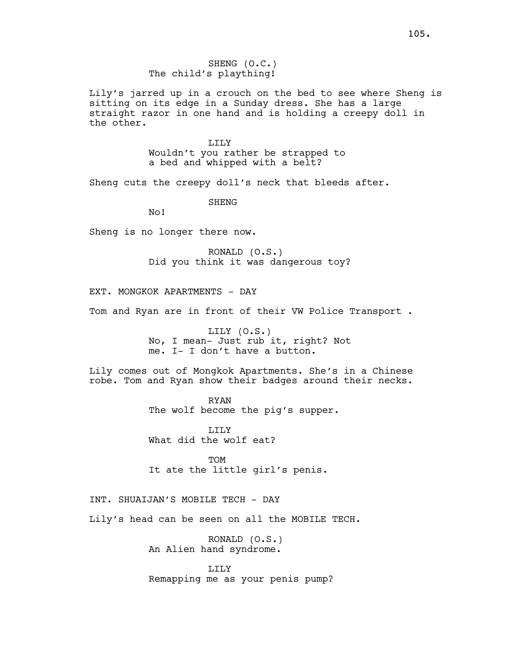# SHENG (O.C.) The child's plaything!

Lily's jarred up in a crouch on the bed to see where Sheng is sitting on its edge in a Sunday dress. She has a large straight razor in one hand and is holding a creepy doll in the other.

> T.TT.Y Wouldn't you rather be strapped to a bed and whipped with a belt?

Sheng cuts the creepy doll's neck that bleeds after.

SHENG

No!

Sheng is no longer there now.

RONALD (O.S.) Did you think it was dangerous toy?

EXT. MONGKOK APARTMENTS - DAY

Tom and Ryan are in front of their VW Police Transport .

LILY (O.S.) No, I mean- Just rub it, right? Not me. I- I don't have a button.

Lily comes out of Mongkok Apartments. She's in a Chinese robe. Tom and Ryan show their badges around their necks.

> RYAN The wolf become the pig's supper.

T.TT.Y What did the wolf eat?

TOM It ate the little girl's penis.

INT. SHUAIJAN'S MOBILE TECH - DAY

Lily's head can be seen on all the MOBILE TECH.

RONALD (O.S.) An Alien hand syndrome.

LILY Remapping me as your penis pump?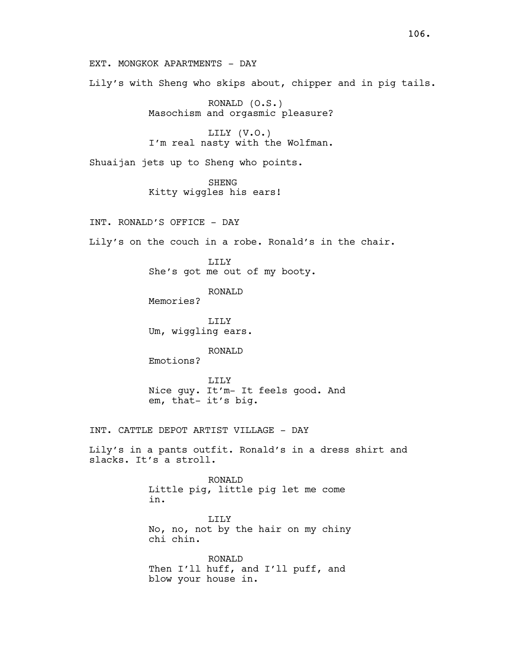EXT. MONGKOK APARTMENTS - DAY

Lily's with Sheng who skips about, chipper and in pig tails.

RONALD (O.S.) Masochism and orgasmic pleasure?

LILY (V.O.) I'm real nasty with the Wolfman.

Shuaijan jets up to Sheng who points.

SHENG Kitty wiggles his ears!

INT. RONALD'S OFFICE - DAY

Lily's on the couch in a robe. Ronald's in the chair.

LILY She's got me out of my booty.

RONALD

Memories?

LILY Um, wiggling ears.

RONALD

Emotions?

LILY Nice guy. It'm- It feels good. And em, that- it's big.

INT. CATTLE DEPOT ARTIST VILLAGE - DAY

Lily's in a pants outfit. Ronald's in a dress shirt and slacks. It's a stroll.

> RONALD Little pig, little pig let me come in.

LILY No, no, not by the hair on my chiny chi chin.

RONALD Then I'll huff, and I'll puff, and blow your house in.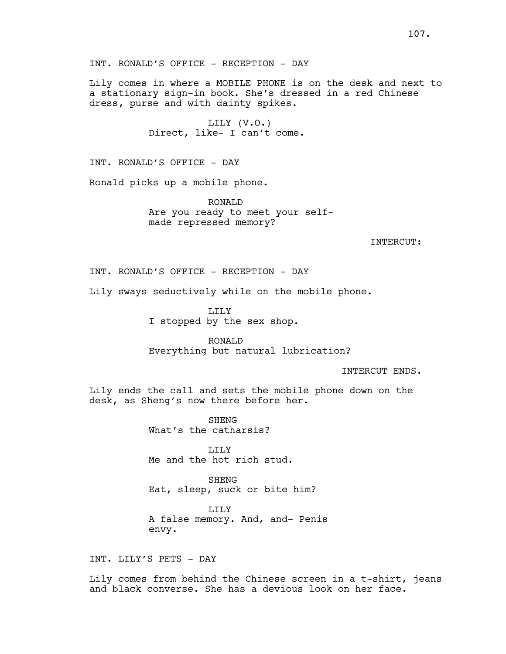INT. RONALD'S OFFICE - RECEPTION - DAY

Lily comes in where a MOBILE PHONE is on the desk and next to a stationary sign-in book. She's dressed in a red Chinese dress, purse and with dainty spikes.

> LILY (V.O.) Direct, like- I can't come.

INT. RONALD'S OFFICE - DAY

Ronald picks up a mobile phone.

RONALD Are you ready to meet your selfmade repressed memory?

INTERCUT:

INT. RONALD'S OFFICE - RECEPTION - DAY

Lily sways seductively while on the mobile phone.

LILY I stopped by the sex shop.

RONALD Everything but natural lubrication?

INTERCUT ENDS.

Lily ends the call and sets the mobile phone down on the desk, as Sheng's now there before her.

> **SHENG** What's the catharsis?

T.TT.Y Me and the hot rich stud.

SHENG Eat, sleep, suck or bite him?

LILY A false memory. And, and- Penis envy.

INT. LILY'S PETS - DAY

Lily comes from behind the Chinese screen in a t-shirt, jeans and black converse. She has a devious look on her face.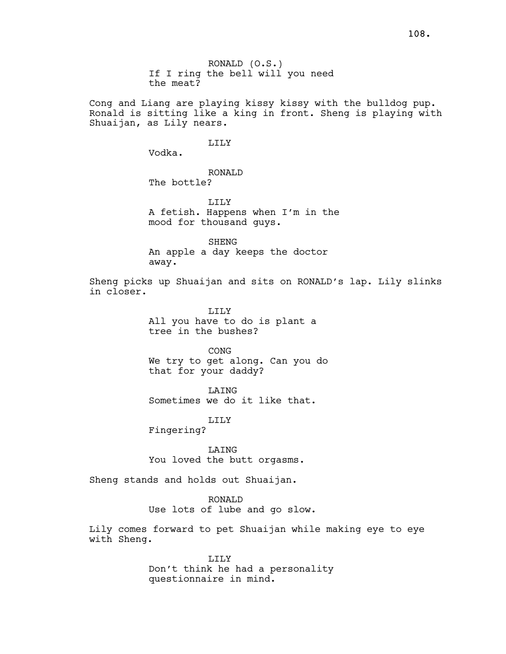RONALD (O.S.) If I ring the bell will you need the meat?

Cong and Liang are playing kissy kissy with the bulldog pup. Ronald is sitting like a king in front. Sheng is playing with Shuaijan, as Lily nears.

### T.TT.Y

Vodka.

# RONALD

The bottle?

LILY A fetish. Happens when I'm in the mood for thousand guys.

SHENG An apple a day keeps the doctor away.

Sheng picks up Shuaijan and sits on RONALD's lap. Lily slinks in closer.

> LILY All you have to do is plant a tree in the bushes?

CONG We try to get along. Can you do that for your daddy?

LAING Sometimes we do it like that.

LILY

Fingering?

LAING You loved the butt orgasms.

Sheng stands and holds out Shuaijan.

## RONALD

Use lots of lube and go slow.

Lily comes forward to pet Shuaijan while making eye to eye with Sheng.

> LILY Don't think he had a personality questionnaire in mind.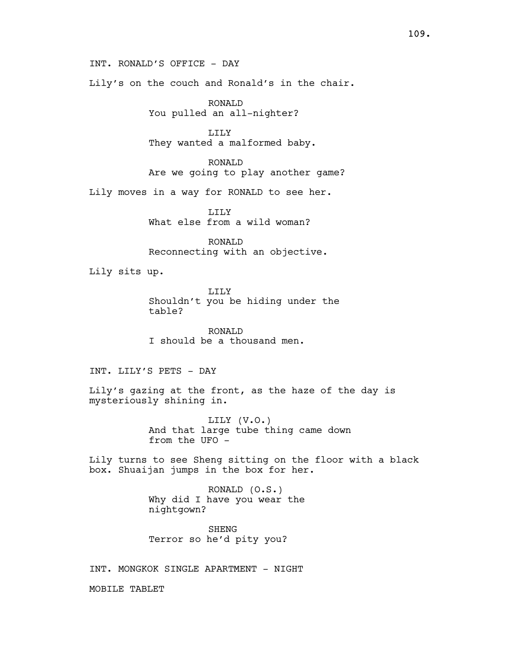# INT. RONALD'S OFFICE - DAY

Lily's on the couch and Ronald's in the chair.

RONALD You pulled an all-nighter?

LILY They wanted a malformed baby.

RONALD Are we going to play another game?

Lily moves in a way for RONALD to see her.

T.TT.Y What else from a wild woman?

RONALD Reconnecting with an objective.

Lily sits up.

LILY Shouldn't you be hiding under the table?

RONALD I should be a thousand men.

INT. LILY'S PETS - DAY

Lily's gazing at the front, as the haze of the day is mysteriously shining in.

> LILY (V.O.) And that large tube thing came down from the UFO -

Lily turns to see Sheng sitting on the floor with a black box. Shuaijan jumps in the box for her.

> RONALD (O.S.) Why did I have you wear the nightgown?

SHENG Terror so he'd pity you?

INT. MONGKOK SINGLE APARTMENT - NIGHT

MOBILE TABLET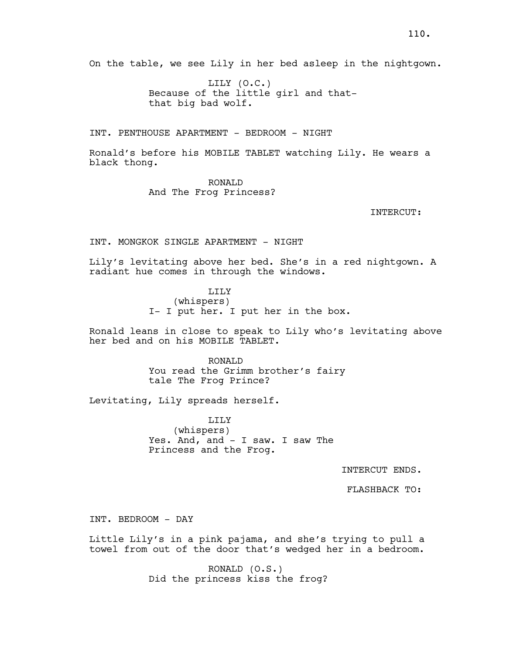LILY (O.C.) Because of the little girl and thatthat big bad wolf.

INT. PENTHOUSE APARTMENT - BEDROOM - NIGHT

Ronald's before his MOBILE TABLET watching Lily. He wears a black thong.

> RONALD And The Frog Princess?

> > INTERCUT:

INT. MONGKOK SINGLE APARTMENT - NIGHT

Lily's levitating above her bed. She's in a red nightgown. A radiant hue comes in through the windows.

> LILY (whispers) I- I put her. I put her in the box.

Ronald leans in close to speak to Lily who's levitating above her bed and on his MOBILE TABLET.

> RONAT<sub>D</sub> You read the Grimm brother's fairy tale The Frog Prince?

Levitating, Lily spreads herself.

LILY (whispers) Yes. And, and - I saw. I saw The Princess and the Frog.

INTERCUT ENDS.

FLASHBACK TO:

INT. BEDROOM - DAY

Little Lily's in a pink pajama, and she's trying to pull a towel from out of the door that's wedged her in a bedroom.

> RONALD (O.S.) Did the princess kiss the frog?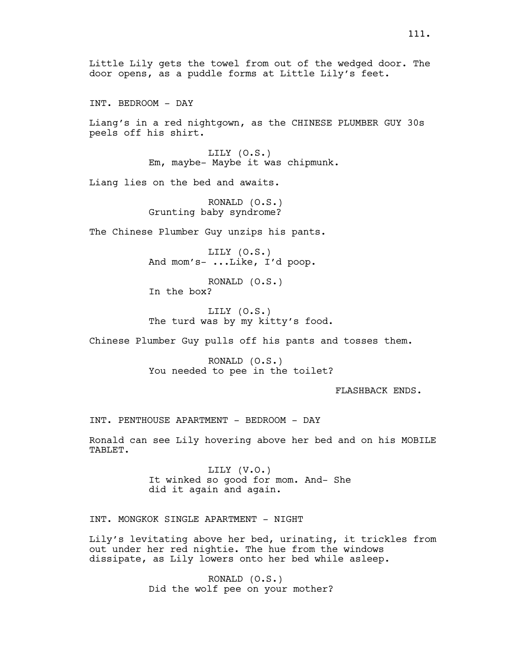Little Lily gets the towel from out of the wedged door. The door opens, as a puddle forms at Little Lily's feet. INT. BEDROOM - DAY Liang's in a red nightgown, as the CHINESE PLUMBER GUY 30s peels off his shirt. LILY (O.S.) Em, maybe- Maybe it was chipmunk. Liang lies on the bed and awaits. RONALD (O.S.) Grunting baby syndrome? The Chinese Plumber Guy unzips his pants. LILY (O.S.) And mom's- ...Like, I'd poop. RONALD (O.S.) In the box? LILY (O.S.) The turd was by my kitty's food. Chinese Plumber Guy pulls off his pants and tosses them. RONALD (O.S.) You needed to pee in the toilet? FLASHBACK ENDS. INT. PENTHOUSE APARTMENT - BEDROOM - DAY Ronald can see Lily hovering above her bed and on his MOBILE TABLET. LILY (V.O.)

It winked so good for mom. And- She did it again and again.

INT. MONGKOK SINGLE APARTMENT - NIGHT

Lily's levitating above her bed, urinating, it trickles from out under her red nightie. The hue from the windows dissipate, as Lily lowers onto her bed while asleep.

> RONALD (O.S.) Did the wolf pee on your mother?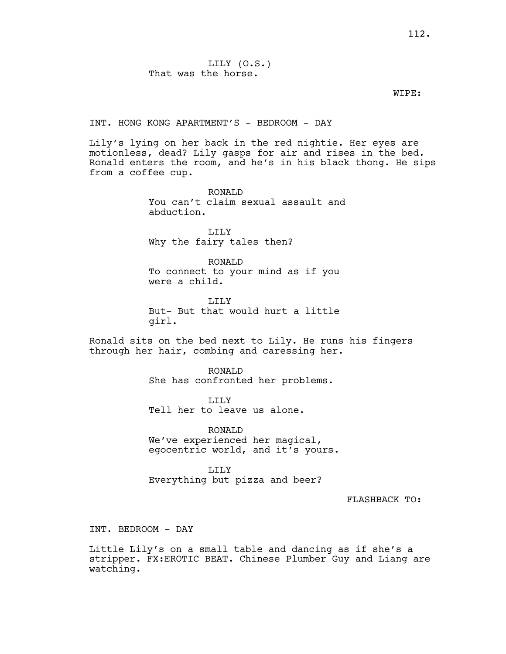LILY (O.S.) That was the horse.

WIPE:

INT. HONG KONG APARTMENT'S - BEDROOM - DAY

Lily's lying on her back in the red nightie. Her eyes are motionless, dead? Lily gasps for air and rises in the bed. Ronald enters the room, and he's in his black thong. He sips from a coffee cup.

> RONALD You can't claim sexual assault and abduction.

T.TT.Y Why the fairy tales then?

RONALD To connect to your mind as if you were a child.

LILY But- But that would hurt a little girl.

Ronald sits on the bed next to Lily. He runs his fingers through her hair, combing and caressing her.

> RONALD She has confronted her problems.

LILY Tell her to leave us alone.

RONALD We've experienced her magical, egocentric world, and it's yours.

T.TT.Y Everything but pizza and beer?

FLASHBACK TO:

INT. BEDROOM - DAY

Little Lily's on a small table and dancing as if she's a stripper. FX:EROTIC BEAT. Chinese Plumber Guy and Liang are watching.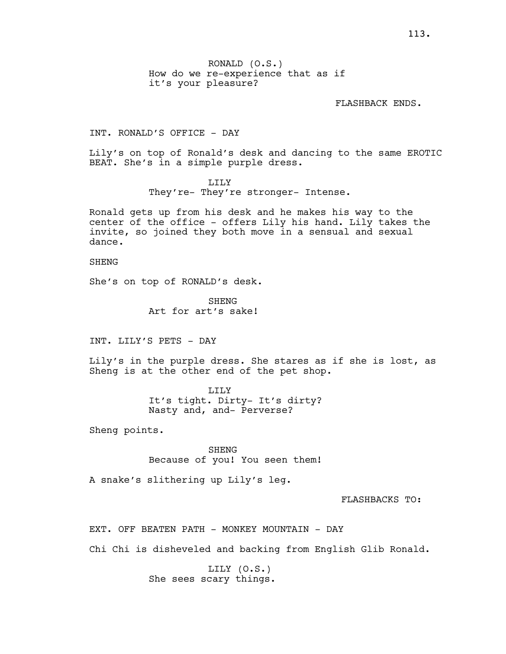RONALD (O.S.) How do we re-experience that as if it's your pleasure?

FLASHBACK ENDS.

INT. RONALD'S OFFICE - DAY

Lily's on top of Ronald's desk and dancing to the same EROTIC BEAT. She's in a simple purple dress.

> LILY They're- They're stronger- Intense.

Ronald gets up from his desk and he makes his way to the center of the office - offers Lily his hand. Lily takes the invite, so joined they both move in a sensual and sexual dance.

SHENG

She's on top of RONALD's desk.

SHENG Art for art's sake!

INT. LILY'S PETS - DAY

Lily's in the purple dress. She stares as if she is lost, as Sheng is at the other end of the pet shop.

> LILY It's tight. Dirty- It's dirty? Nasty and, and- Perverse?

Sheng points.

SHENG Because of you! You seen them!

A snake's slithering up Lily's leg.

FLASHBACKS TO:

EXT. OFF BEATEN PATH - MONKEY MOUNTAIN - DAY

Chi Chi is disheveled and backing from English Glib Ronald.

LILY (O.S.) She sees scary things.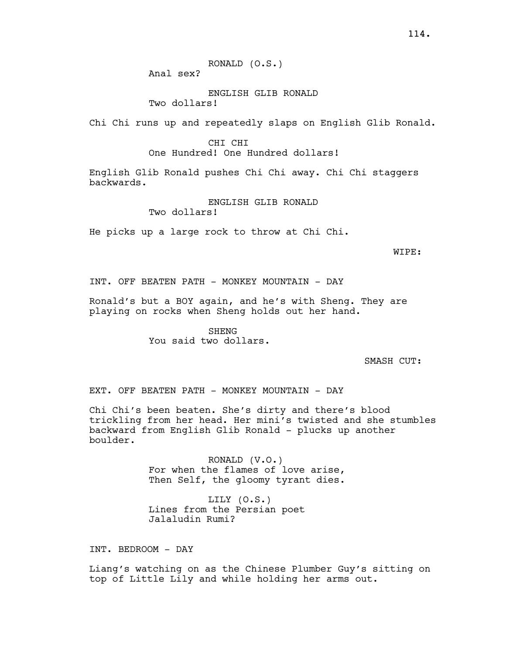RONALD (O.S.)

Anal sex?

ENGLISH GLIB RONALD

Two dollars!

Chi Chi runs up and repeatedly slaps on English Glib Ronald.

# CHI CHI

One Hundred! One Hundred dollars!

English Glib Ronald pushes Chi Chi away. Chi Chi staggers backwards.

> ENGLISH GLIB RONALD Two dollars!

He picks up a large rock to throw at Chi Chi.

WIPE:

INT. OFF BEATEN PATH - MONKEY MOUNTAIN - DAY

Ronald's but a BOY again, and he's with Sheng. They are playing on rocks when Sheng holds out her hand.

> SHENG You said two dollars.

> > SMASH CUT:

EXT. OFF BEATEN PATH - MONKEY MOUNTAIN - DAY

Chi Chi's been beaten. She's dirty and there's blood trickling from her head. Her mini's twisted and she stumbles backward from English Glib Ronald - plucks up another boulder.

> RONALD (V.O.) For when the flames of love arise, Then Self, the gloomy tyrant dies.

LILY (O.S.) Lines from the Persian poet Jalaludin Rumi?

INT. BEDROOM - DAY

Liang's watching on as the Chinese Plumber Guy's sitting on top of Little Lily and while holding her arms out.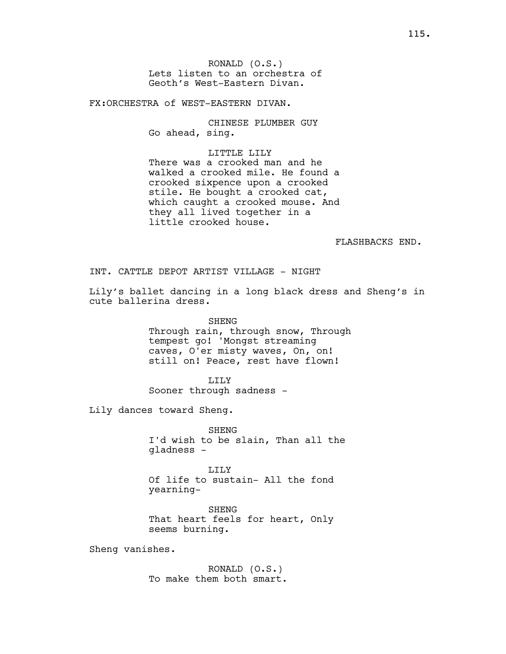RONALD (O.S.) Lets listen to an orchestra of Geoth's West-Eastern Divan.

FX:ORCHESTRA of WEST-EASTERN DIVAN.

CHINESE PLUMBER GUY Go ahead, sing.

LITTLE LILY There was a crooked man and he walked a crooked mile. He found a crooked sixpence upon a crooked stile. He bought a crooked cat, which caught a crooked mouse. And they all lived together in a little crooked house.

FLASHBACKS END.

INT. CATTLE DEPOT ARTIST VILLAGE - NIGHT

Lily's ballet dancing in a long black dress and Sheng's in cute ballerina dress.

> **SHENG** Through rain, through snow, Through tempest go! 'Mongst streaming caves, O'er misty waves, On, on! still on! Peace, rest have flown!

LILY Sooner through sadness -

Lily dances toward Sheng.

**SHENG** I'd wish to be slain, Than all the gladness -

T.TT.Y Of life to sustain- All the fond yearning-

SHENG That heart feels for heart, Only seems burning.

Sheng vanishes.

RONALD (O.S.) To make them both smart.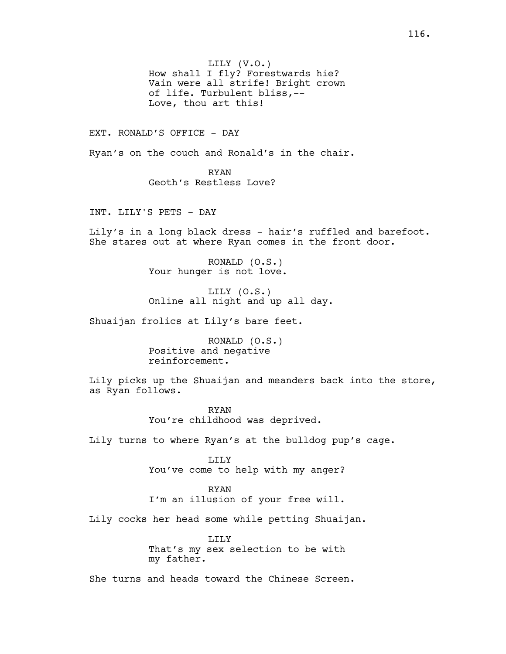EXT. RONALD'S OFFICE - DAY

Ryan's on the couch and Ronald's in the chair.

RYAN Geoth's Restless Love?

INT. LILY'S PETS - DAY

Lily's in a long black dress - hair's ruffled and barefoot. She stares out at where Ryan comes in the front door.

> RONALD (O.S.) Your hunger is not love.

LILY (O.S.) Online all night and up all day.

Shuaijan frolics at Lily's bare feet.

RONALD (O.S.) Positive and negative reinforcement.

Lily picks up the Shuaijan and meanders back into the store, as Ryan follows.

> RYAN You're childhood was deprived.

Lily turns to where Ryan's at the bulldog pup's cage.

LILY You've come to help with my anger?

### RYAN

I'm an illusion of your free will.

Lily cocks her head some while petting Shuaijan.

T.TT.Y That's my sex selection to be with my father.

She turns and heads toward the Chinese Screen.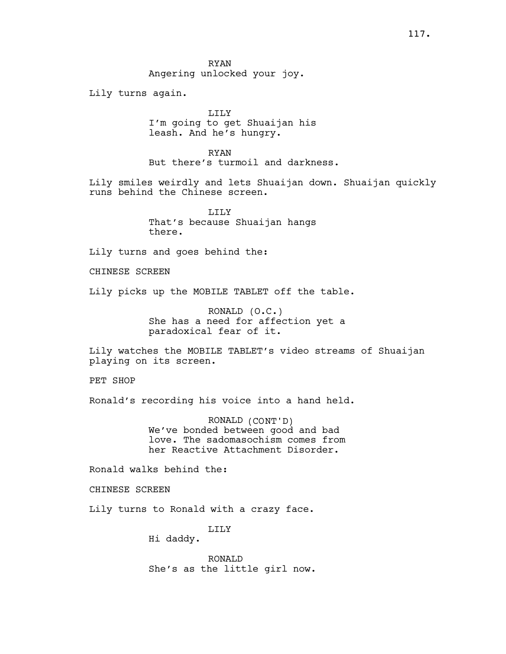RYAN Angering unlocked your joy.

Lily turns again.

LILY I'm going to get Shuaijan his leash. And he's hungry.

RYAN But there's turmoil and darkness.

Lily smiles weirdly and lets Shuaijan down. Shuaijan quickly runs behind the Chinese screen.

> T.TT.Y That's because Shuaijan hangs there.

Lily turns and goes behind the:

CHINESE SCREEN

Lily picks up the MOBILE TABLET off the table.

RONALD (O.C.) She has a need for affection yet a paradoxical fear of it.

Lily watches the MOBILE TABLET's video streams of Shuaijan playing on its screen.

PET SHOP

Ronald's recording his voice into a hand held.

RONALD (CONT'D) We've bonded between good and bad love. The sadomasochism comes from her Reactive Attachment Disorder.

Ronald walks behind the:

CHINESE SCREEN

Lily turns to Ronald with a crazy face.

LILY

Hi daddy.

RONALD She's as the little girl now.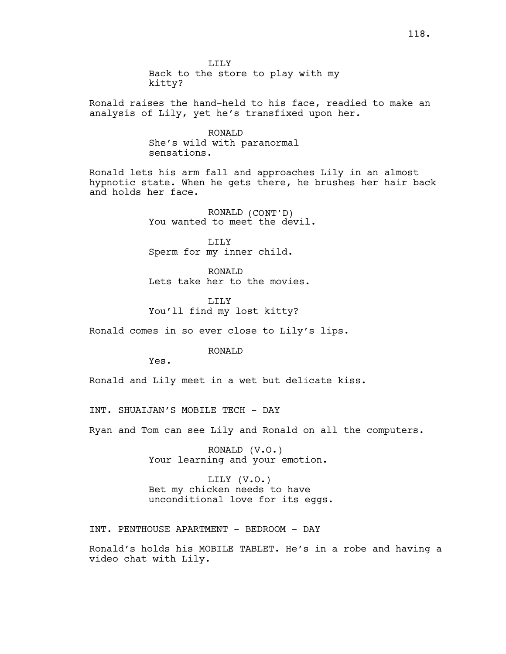Ronald raises the hand-held to his face, readied to make an analysis of Lily, yet he's transfixed upon her.

> RONALD She's wild with paranormal sensations.

Ronald lets his arm fall and approaches Lily in an almost hypnotic state. When he gets there, he brushes her hair back and holds her face.

> RONALD (CONT'D) You wanted to meet the devil.

LILY Sperm for my inner child.

RONALD Lets take her to the movies.

LILY You'll find my lost kitty?

Ronald comes in so ever close to Lily's lips.

RONALD

Yes.

Ronald and Lily meet in a wet but delicate kiss.

INT. SHUAIJAN'S MOBILE TECH - DAY

Ryan and Tom can see Lily and Ronald on all the computers.

RONALD (V.O.) Your learning and your emotion.

LILY (V.O.) Bet my chicken needs to have unconditional love for its eggs.

INT. PENTHOUSE APARTMENT - BEDROOM - DAY

Ronald's holds his MOBILE TABLET. He's in a robe and having a video chat with Lily.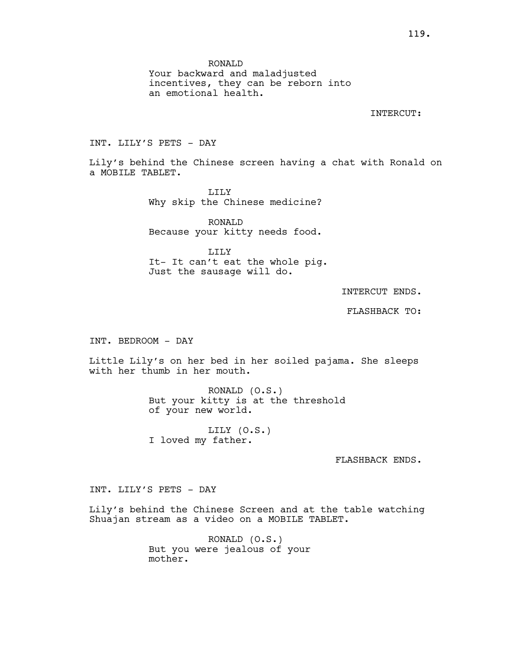RONALD

Your backward and maladjusted incentives, they can be reborn into an emotional health.

INTERCUT:

INT. LILY'S PETS - DAY

Lily's behind the Chinese screen having a chat with Ronald on a MOBILE TABLET.

> LILY Why skip the Chinese medicine?

> RONALD Because your kitty needs food.

LILY It- It can't eat the whole pig. Just the sausage will do.

INTERCUT ENDS.

FLASHBACK TO:

INT. BEDROOM - DAY

Little Lily's on her bed in her soiled pajama. She sleeps with her thumb in her mouth.

> RONALD (O.S.) But your kitty is at the threshold of your new world.

LILY (O.S.) I loved my father.

FLASHBACK ENDS.

INT. LILY'S PETS - DAY

Lily's behind the Chinese Screen and at the table watching Shuajan stream as a video on a MOBILE TABLET.

> RONALD (O.S.) But you were jealous of your mother.